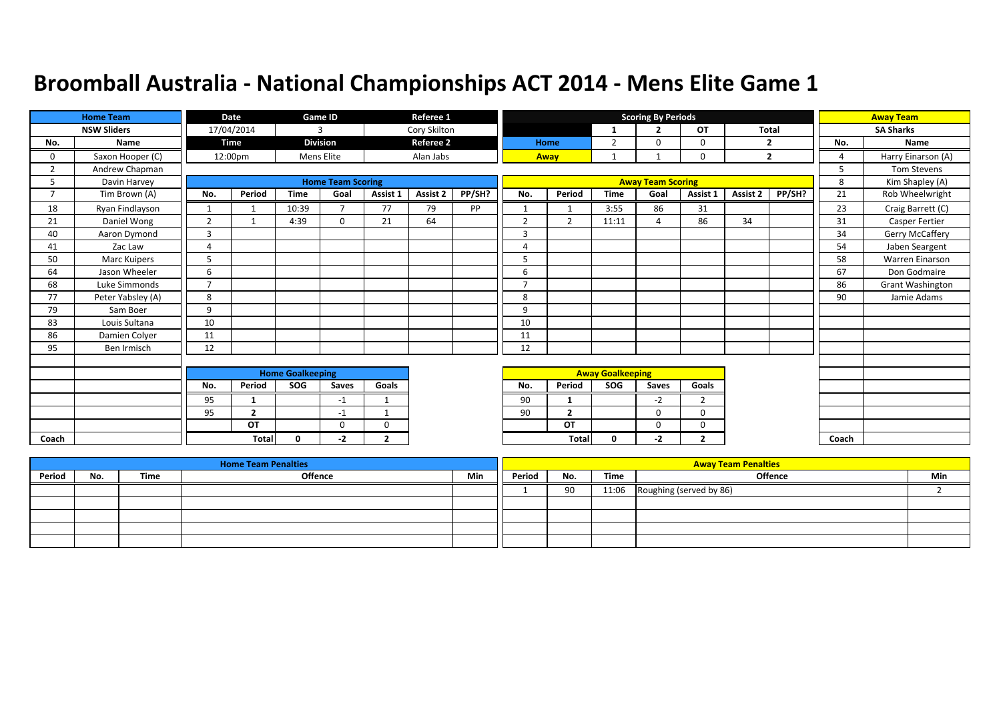|                | <b>Home Team</b>   |                | Date           |                         | Game ID                  |                         | Referee 1        |        |                |                |                         | <b>Scoring By Periods</b> |                |          |                |          | <b>Away Team</b>   |
|----------------|--------------------|----------------|----------------|-------------------------|--------------------------|-------------------------|------------------|--------|----------------|----------------|-------------------------|---------------------------|----------------|----------|----------------|----------|--------------------|
|                | <b>NSW Sliders</b> |                | 17/04/2014     |                         | 3                        |                         | Cory Skilton     |        |                |                | $\mathbf{1}$            | $\overline{2}$            | <b>OT</b>      |          | <b>Total</b>   |          | <b>SA Sharks</b>   |
| No.            | Name               |                | Time           |                         | <b>Division</b>          |                         | <b>Referee 2</b> |        |                | Home           | $\overline{2}$          | $\Omega$                  | 0              |          | $\overline{2}$ | No.      | Name               |
| 0              | Saxon Hooper (C)   |                | 12:00pm        |                         | Mens Elite               |                         | Alan Jabs        |        |                | Away           | 1                       |                           | 0              |          | $\overline{2}$ | $\Delta$ | Harry Einarson (A) |
| 2              | Andrew Chapman     |                |                |                         |                          |                         |                  |        |                |                |                         |                           |                |          |                | 5        | Tom Stevens        |
| 5              | Davin Harvey       |                |                |                         | <b>Home Team Scoring</b> |                         |                  |        |                |                |                         | <b>Away Team Scoring</b>  |                |          |                | 8        | Kim Shapley (A)    |
| $\overline{7}$ | Tim Brown (A)      | No.            | Period         | <b>Time</b>             | Goal                     | Assist 1                | Assist 2         | PP/SH? | No.            | Period         | <b>Time</b>             | Goal                      | Assist 1       | Assist 2 | PP/SH?         | 21       | Rob Wheelwright    |
| 18             | Ryan Findlayson    |                |                | 10:39                   | $\overline{\phantom{a}}$ | 77                      | 79               | PP     | $\mathbf{1}$   |                | 3:55                    | 86                        | 31             |          |                | 23       | Craig Barrett (C)  |
| 21             | Daniel Wong        | 2              |                | 4:39                    | $\mathbf{0}$             | 21                      | 64               |        | $\overline{2}$ | $\overline{2}$ | 11:11                   | $\overline{a}$            | 86             | 34       |                | 31       | Casper Fertier     |
| 40             | Aaron Dymond       | 3              |                |                         |                          |                         |                  |        | 3              |                |                         |                           |                |          |                | 34       | Gerry McCaffery    |
| 41             | Zac Law            | $\overline{a}$ |                |                         |                          |                         |                  |        | $\overline{4}$ |                |                         |                           |                |          |                | 54       | Jaben Seargent     |
| 50             | Marc Kuipers       | 5              |                |                         |                          |                         |                  |        | 5              |                |                         |                           |                |          |                | 58       | Warren Einarson    |
| 64             | Jason Wheeler      | 6              |                |                         |                          |                         |                  |        | 6              |                |                         |                           |                |          |                | 67       | Don Godmaire       |
| 68             | Luke Simmonds      | $\overline{ }$ |                |                         |                          |                         |                  |        | $\overline{z}$ |                |                         |                           |                |          |                | 86       | Grant Washington   |
| 77             | Peter Yabsley (A)  | 8              |                |                         |                          |                         |                  |        | 8              |                |                         |                           |                |          |                | 90       | Jamie Adams        |
| 79             | Sam Boer           | 9              |                |                         |                          |                         |                  |        | 9              |                |                         |                           |                |          |                |          |                    |
| 83             | Louis Sultana      | 10             |                |                         |                          |                         |                  |        | 10             |                |                         |                           |                |          |                |          |                    |
| 86             | Damien Colyer      | 11             |                |                         |                          |                         |                  |        | 11             |                |                         |                           |                |          |                |          |                    |
| 95             | Ben Irmisch        | 12             |                |                         |                          |                         |                  |        | 12             |                |                         |                           |                |          |                |          |                    |
|                |                    |                |                |                         |                          |                         |                  |        |                |                |                         |                           |                |          |                |          |                    |
|                |                    |                |                | <b>Home Goalkeeping</b> |                          |                         |                  |        |                |                | <b>Away Goalkeeping</b> |                           |                |          |                |          |                    |
|                |                    | No.            | Period         | SOG                     | Saves                    | Goals                   |                  |        | No.            | Period         | SOG                     | Saves                     | Goals          |          |                |          |                    |
|                |                    | 95             | 1              |                         | $-1$                     | $\mathbf 1$             |                  |        | 90             | 1              |                         | $-2$                      | $\overline{2}$ |          |                |          |                    |
|                |                    | 95             | $\overline{2}$ |                         | $-1$                     | $\overline{\mathbf{1}}$ |                  |        | 90             | $\overline{2}$ |                         | $\Omega$                  | 0              |          |                |          |                    |
|                |                    |                | OT             |                         | $\mathbf 0$              | $\mathbf 0$             |                  |        |                | OT             |                         | 0                         | 0              |          |                |          |                    |
| Coach          |                    |                | <b>Total</b>   | $\mathbf{0}$            | -2                       | $\overline{2}$          |                  |        |                | <b>Total</b>   | 0                       | $-2$                      | $\overline{2}$ |          |                | Coach    |                    |

|        |     |      | <b>Home Team Penalties</b> |     |        |     |       | <b>Away Team Penalties</b> |     |
|--------|-----|------|----------------------------|-----|--------|-----|-------|----------------------------|-----|
| Period | No. | Time | <b>Offence</b>             | Min | Period | No. | Time  | Offence                    | Min |
|        |     |      |                            |     |        | 90  | 11:06 | Roughing (served by 86)    |     |
|        |     |      |                            |     |        |     |       |                            |     |
|        |     |      |                            |     |        |     |       |                            |     |
|        |     |      |                            |     |        |     |       |                            |     |
|        |     |      |                            |     |        |     |       |                            |     |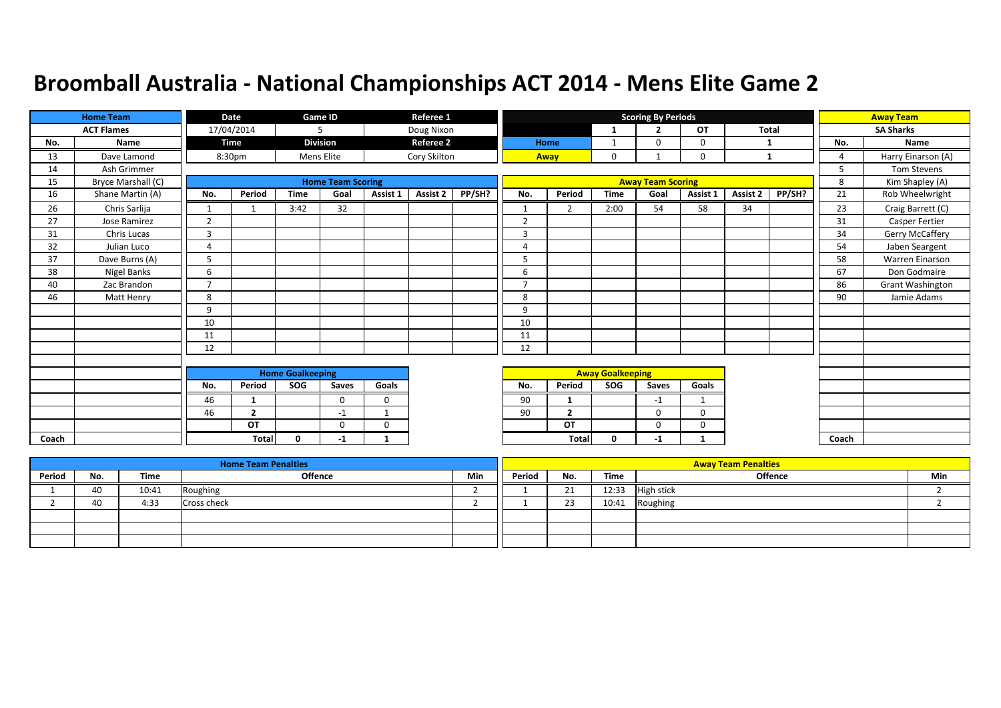|       | <b>Home Team</b>   |                         | Date           |             | Game ID                  |             | Referee 1        |        |                |                         |              | <b>Scoring By Periods</b> |              |          |              |                        | <b>Away Team</b>   |
|-------|--------------------|-------------------------|----------------|-------------|--------------------------|-------------|------------------|--------|----------------|-------------------------|--------------|---------------------------|--------------|----------|--------------|------------------------|--------------------|
|       | <b>ACT Flames</b>  |                         | 17/04/2014     |             | 5                        |             | Doug Nixon       |        |                |                         | $\mathbf{1}$ | ∍                         | OT           |          | <b>Total</b> |                        | <b>SA Sharks</b>   |
| No.   | Name               |                         | <b>Time</b>    |             | <b>Division</b>          |             | <b>Referee 2</b> |        |                | Home                    | 1            | $\Omega$                  | 0            | -1       |              | No.                    | Name               |
| 13    | Dave Lamond        |                         | 8:30pm         |             | Mens Elite               |             | Cory Skilton     |        |                | Away                    | $\mathbf 0$  |                           | 0            |          | 1            | $\boldsymbol{\Lambda}$ | Harry Einarson (A) |
| 14    | Ash Grimmer        |                         |                |             |                          |             |                  |        |                |                         |              |                           |              |          |              | 5                      | Tom Stevens        |
| 15    | Bryce Marshall (C) |                         |                |             | <b>Home Team Scoring</b> |             |                  |        |                |                         |              | <b>Away Team Scoring</b>  |              |          |              | 8                      | Kim Shapley (A)    |
| 16    | Shane Martin (A)   | No.                     | Period         | <b>Time</b> | Goal                     | Assist 1    | Assist 2         | PP/SH? | No.            | Period                  | <b>Time</b>  | Goal                      | Assist 1     | Assist 2 | PP/SH?       | 21                     | Rob Wheelwright    |
| 26    | Chris Sarlija      |                         |                | 3:42        | 32                       |             |                  |        | $\mathbf{1}$   | $\overline{2}$          | 2:00         | 54                        | 58           | 34       |              | 23                     | Craig Barrett (C)  |
| 27    | Jose Ramirez       | $\overline{2}$          |                |             |                          |             |                  |        | $\overline{2}$ |                         |              |                           |              |          |              | 31                     | Casper Fertier     |
| 31    | Chris Lucas        | 3                       |                |             |                          |             |                  |        | 3              |                         |              |                           |              |          |              | 34                     | Gerry McCaffery    |
| 32    | Julian Luco        | 4                       |                |             |                          |             |                  |        | 4              |                         |              |                           |              |          |              | 54                     | Jaben Seargent     |
| 37    | Dave Burns (A)     |                         |                |             |                          |             |                  |        | 5              |                         |              |                           |              |          |              | 58                     | Warren Einarson    |
| 38    | Nigel Banks        | 6                       |                |             |                          |             |                  |        | 6              |                         |              |                           |              |          |              | 67                     | Don Godmaire       |
| 40    | Zac Brandon        | $\overline{ }$          |                |             |                          |             |                  |        | $\overline{7}$ |                         |              |                           |              |          |              | 86                     | Grant Washington   |
| 46    | Matt Henry         | 8                       |                |             |                          |             |                  |        | 8              |                         |              |                           |              |          |              | 90                     | Jamie Adams        |
|       |                    | 9                       |                |             |                          |             |                  |        | 9              |                         |              |                           |              |          |              |                        |                    |
|       |                    | 10                      |                |             |                          |             |                  |        | 10             |                         |              |                           |              |          |              |                        |                    |
|       |                    | 11                      |                |             |                          |             |                  |        | 11             |                         |              |                           |              |          |              |                        |                    |
|       |                    | 12                      |                |             |                          |             |                  |        | 12             |                         |              |                           |              |          |              |                        |                    |
|       |                    |                         |                |             |                          |             |                  |        |                |                         |              |                           |              |          |              |                        |                    |
|       |                    | <b>Home Goalkeeping</b> |                |             |                          |             |                  |        |                | <b>Away Goalkeeping</b> |              |                           |              |          |              |                        |                    |
|       |                    | No.                     | Period         | SOG         | Saves                    | Goals       |                  |        | No.            | Period                  | SOG          | Saves                     | Goals        |          |              |                        |                    |
|       |                    | 46                      | 1              |             | $\Omega$                 | $\mathbf 0$ |                  |        | 90             | 1                       |              | $-1$                      | $\mathbf{1}$ |          |              |                        |                    |
|       |                    | 46                      | $\overline{2}$ |             | -1                       | -1          |                  |        | 90             | $\overline{2}$          |              | 0                         | 0            |          |              |                        |                    |
|       |                    |                         | OT             |             | $\Omega$                 | $\Omega$    |                  |        |                | OT                      |              | $\Omega$                  | 0            |          |              |                        |                    |
| Coach |                    |                         | <b>Total</b>   | $\Omega$    | $-1$                     | 1           |                  |        |                | <b>Total</b>            | 0            | $-1$                      |              |          |              | Coach                  |                    |

|        |     |       | <b>Home Team Penalties</b> |     |        |          |       | <b>Away Team Penalties</b> |     |
|--------|-----|-------|----------------------------|-----|--------|----------|-------|----------------------------|-----|
| Period | No. | Time  | <b>Offence</b>             | Min | Period | No.      | Time  | Offence                    | Min |
|        | 40  | 10:41 | Roughing                   |     |        | 71<br>ᅀ  | 12:33 | <b>High stick</b>          |     |
|        | 40  | 4:33  | <b>Cross check</b>         |     |        | วว<br>رے | 10:41 | Roughing                   |     |
|        |     |       |                            |     |        |          |       |                            |     |
|        |     |       |                            |     |        |          |       |                            |     |
|        |     |       |                            |     |        |          |       |                            |     |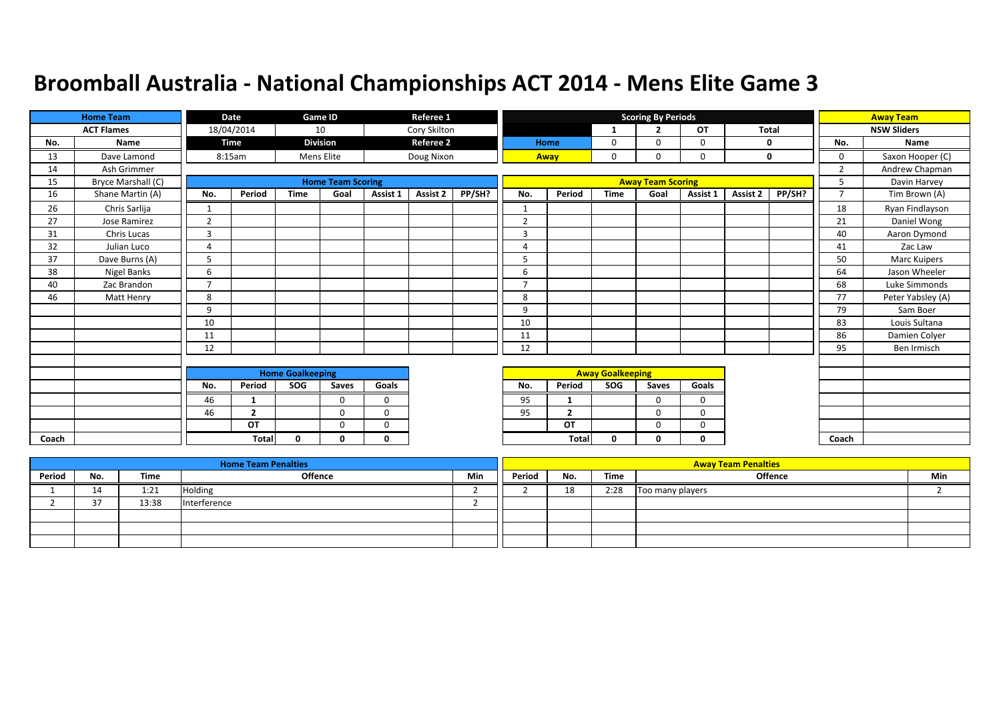|       | <b>Home Team</b>   |                | Date           |                         | Game ID                  |             | Referee 1        |        |                          |                |                         | <b>Scoring By Periods</b> |             |          |              |                | <b>Away Team</b>   |
|-------|--------------------|----------------|----------------|-------------------------|--------------------------|-------------|------------------|--------|--------------------------|----------------|-------------------------|---------------------------|-------------|----------|--------------|----------------|--------------------|
|       | <b>ACT Flames</b>  |                | 18/04/2014     |                         | 10                       |             | Cory Skilton     |        |                          |                | -1                      | <b>D</b>                  | OT          |          | <b>Total</b> |                | <b>NSW Sliders</b> |
| No.   | Name               |                | Time           |                         | <b>Division</b>          |             | <b>Referee 2</b> |        |                          | <b>Home</b>    | 0                       | $\Omega$                  | 0           |          | 0            | No.            | Name               |
| 13    | Dave Lamond        |                | 8:15am         |                         | Mens Elite               |             | Doug Nixon       |        |                          | Away           | 0                       | 0                         | 0           |          | 0            | $\mathbf 0$    | Saxon Hooper (C)   |
| 14    | Ash Grimmer        |                |                |                         |                          |             |                  |        |                          |                |                         |                           |             |          |              | $\overline{2}$ | Andrew Chapman     |
| 15    | Bryce Marshall (C) |                |                |                         | <b>Home Team Scoring</b> |             |                  |        |                          |                |                         | <b>Away Team Scoring</b>  |             |          |              | 5              | Davin Harvey       |
| 16    | Shane Martin (A)   | No.            | Period         | <b>Time</b>             | Goal                     | Assist 1    | Assist 2         | PP/SH? | No.                      | Period         | <b>Time</b>             | Goal                      | Assist 1    | Assist 2 | PP/SH?       | $\overline{7}$ | Tim Brown (A)      |
| 26    | Chris Sarlija      |                |                |                         |                          |             |                  |        | $\mathbf{1}$             |                |                         |                           |             |          |              | 18             | Ryan Findlayson    |
| 27    | Jose Ramirez       | $\overline{2}$ |                |                         |                          |             |                  |        | $\overline{2}$           |                |                         |                           |             |          |              | 21             | Daniel Wong        |
| 31    | Chris Lucas        | $\overline{3}$ |                |                         |                          |             |                  |        | 3                        |                |                         |                           |             |          |              | 40             | Aaron Dymond       |
| 32    | Julian Luco        | $\overline{4}$ |                |                         |                          |             |                  |        | 4                        |                |                         |                           |             |          |              | 41             | Zac Law            |
| 37    | Dave Burns (A)     | 5              |                |                         |                          |             |                  |        | 5                        |                |                         |                           |             |          |              | 50             | Marc Kuipers       |
| 38    | Nigel Banks        | 6              |                |                         |                          |             |                  |        | 6                        |                |                         |                           |             |          |              | 64             | Jason Wheeler      |
| 40    | Zac Brandon        | $\overline{ }$ |                |                         |                          |             |                  |        | $\overline{\phantom{a}}$ |                |                         |                           |             |          |              | 68             | Luke Simmonds      |
| 46    | Matt Henry         | 8              |                |                         |                          |             |                  |        | 8                        |                |                         |                           |             |          |              | 77             | Peter Yabsley (A)  |
|       |                    | 9              |                |                         |                          |             |                  |        | 9                        |                |                         |                           |             |          |              | 79             | Sam Boer           |
|       |                    | 10             |                |                         |                          |             |                  |        | 10                       |                |                         |                           |             |          |              | 83             | Louis Sultana      |
|       |                    | 11             |                |                         |                          |             |                  |        | 11                       |                |                         |                           |             |          |              | 86             | Damien Colyer      |
|       |                    | 12             |                |                         |                          |             |                  |        | 12                       |                |                         |                           |             |          |              | 95             | Ben Irmisch        |
|       |                    |                |                |                         |                          |             |                  |        |                          |                |                         |                           |             |          |              |                |                    |
|       |                    |                |                | <b>Home Goalkeeping</b> |                          |             |                  |        |                          |                | <b>Away Goalkeeping</b> |                           |             |          |              |                |                    |
|       |                    | No.            | Period         | SOG                     | Saves                    | Goals       |                  |        | No.                      | Period         | SOG                     | Saves                     | Goals       |          |              |                |                    |
|       |                    | 46             | 1              |                         | $\Omega$                 | $\mathbf 0$ |                  |        | 95                       | -1             |                         | 0                         | 0           |          |              |                |                    |
|       |                    | 46             | $\overline{2}$ |                         | $\Omega$                 | $\mathbf 0$ |                  |        | 95                       | $\overline{2}$ |                         | $\Omega$                  | $\mathbf 0$ |          |              |                |                    |
|       |                    |                | OT             |                         | $\Omega$                 | $\Omega$    |                  |        |                          | OT             |                         | 0                         | 0           |          |              |                |                    |
| Coach |                    |                | <b>Total</b>   | 0                       | 0                        | $\mathbf 0$ |                  |        |                          | Total          | 0                       | 0                         | 0           |          |              | Coach          |                    |

|        |     |             | <b>Home Team Penalties</b> |     |        |     |      | <b>Away Team Penalties</b> |     |
|--------|-----|-------------|----------------------------|-----|--------|-----|------|----------------------------|-----|
| Period | No. | <b>Time</b> | <b>Offence</b>             | Min | Period | No. | Time | <b>Offence</b>             | Min |
|        | ᅩ   | 1:21        | <b>Holding</b>             |     |        | 18  | 2:28 | Too many players           |     |
|        |     | 13:38       | Interference               |     |        |     |      |                            |     |
|        |     |             |                            |     |        |     |      |                            |     |
|        |     |             |                            |     |        |     |      |                            |     |
|        |     |             |                            |     |        |     |      |                            |     |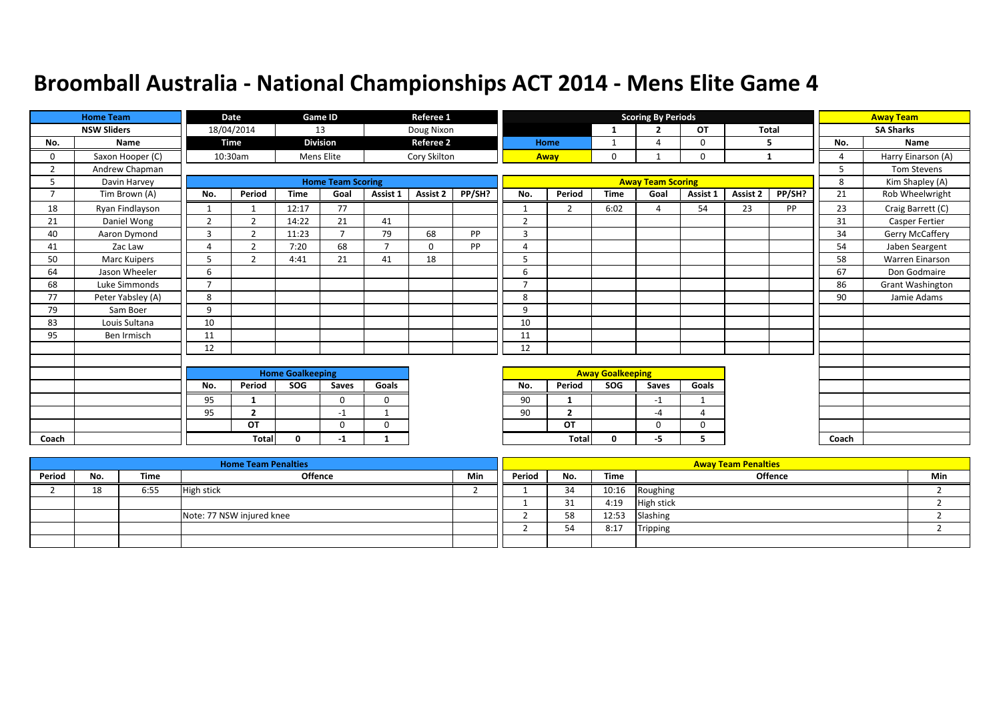|                | <b>Home Team</b>   |                | <b>Date</b>    |                         | <b>Game ID</b>           |                          | Referee 1        |        |                |                |                         | <b>Scoring By Periods</b> |              |          |              |                 | <b>Away Team</b>        |
|----------------|--------------------|----------------|----------------|-------------------------|--------------------------|--------------------------|------------------|--------|----------------|----------------|-------------------------|---------------------------|--------------|----------|--------------|-----------------|-------------------------|
|                | <b>NSW Sliders</b> |                | 18/04/2014     |                         | 13                       |                          | Doug Nixon       |        |                |                | -1                      | $\overline{2}$            | <b>OT</b>    |          | <b>Total</b> |                 | <b>SA Sharks</b>        |
| No.            | Name               |                | <b>Time</b>    |                         | <b>Division</b>          |                          | <b>Referee 2</b> |        | Home           |                | 1                       | $\boldsymbol{\Lambda}$    | $\mathbf 0$  | 5        |              | No.             | Name                    |
| 0              | Saxon Hooper (C)   |                | 10:30am        |                         | Mens Elite               |                          | Cory Skilton     |        | Away           |                | 0                       |                           | 0            | 1        |              | Δ               | Harry Einarson (A)      |
| 2              | Andrew Chapman     |                |                |                         |                          |                          |                  |        |                |                |                         |                           |              |          |              | $5\overline{2}$ | Tom Stevens             |
| כ              | Davin Harvey       |                |                |                         | <b>Home Team Scoring</b> |                          |                  |        |                |                |                         | <b>Away Team Scoring</b>  |              |          |              | 8               | Kim Shapley (A)         |
| $\overline{7}$ | Tim Brown (A)      | No.            | Period         | <b>Time</b>             | Goal                     | Assist 1                 | <b>Assist 2</b>  | PP/SH? | No.            | Period         | <b>Time</b>             | Goal                      | Assist 1     | Assist 2 | PP/SH?       | 21              | Rob Wheelwright         |
| 18             | Ryan Findlayson    | $\mathbf{1}$   | $\mathbf{1}$   | 12:17                   | 77                       |                          |                  |        |                | $\overline{2}$ | 6:02                    | $\Delta$                  | 54           | 23       | PP           | 23              | Craig Barrett (C)       |
| 21             | Daniel Wong        | 2              | $\overline{2}$ | 14:22                   | 21                       | 41                       |                  |        | $\overline{2}$ |                |                         |                           |              |          |              | 31              | Casper Fertier          |
| 40             | Aaron Dymond       | 3              | $\mathcal{D}$  | 11:23                   |                          | 79                       | 68               | PP     | $\overline{3}$ |                |                         |                           |              |          |              | 34              | Gerry McCaffery         |
| 41             | Zac Law            | 4              | $\mathcal{D}$  | 7:20                    | 68                       | $\overline{\phantom{a}}$ | $\Omega$         | PP     | $\overline{4}$ |                |                         |                           |              |          |              | 54              | Jaben Seargent          |
| 50             | Marc Kuipers       | 5              | $\mathcal{P}$  | 4:41                    | 21                       | 41                       | 18               |        | 5              |                |                         |                           |              |          |              | 58              | Warren Einarson         |
| 64             | Jason Wheeler      | 6              |                |                         |                          |                          |                  |        | 6              |                |                         |                           |              |          |              | 67              | Don Godmaire            |
| 68             | Luke Simmonds      | $\overline{7}$ |                |                         |                          |                          |                  |        | $\overline{7}$ |                |                         |                           |              |          |              | 86              | <b>Grant Washington</b> |
| 77             | Peter Yabsley (A)  | 8              |                |                         |                          |                          |                  |        | 8              |                |                         |                           |              |          |              | 90              | Jamie Adams             |
| 79             | Sam Boer           | 9              |                |                         |                          |                          |                  |        | 9              |                |                         |                           |              |          |              |                 |                         |
| 83             | Louis Sultana      | 10             |                |                         |                          |                          |                  |        | 10             |                |                         |                           |              |          |              |                 |                         |
| 95             | Ben Irmisch        | 11             |                |                         |                          |                          |                  |        | 11             |                |                         |                           |              |          |              |                 |                         |
|                |                    | 12             |                |                         |                          |                          |                  |        | 12             |                |                         |                           |              |          |              |                 |                         |
|                |                    |                |                |                         |                          |                          |                  |        |                |                |                         |                           |              |          |              |                 |                         |
|                |                    |                |                | <b>Home Goalkeeping</b> |                          |                          |                  |        |                |                | <b>Away Goalkeeping</b> |                           |              |          |              |                 |                         |
|                |                    | No.            | Period         | SOG                     | Saves                    | Goals                    |                  |        | No.            | Period         | SOG                     | Saves                     | Goals        |          |              |                 |                         |
|                |                    | 95             | $\mathbf{1}$   |                         | $\Omega$                 | 0                        |                  |        | 90             | $\mathbf{1}$   |                         | $-1$                      | $\mathbf{1}$ |          |              |                 |                         |
|                |                    | 95             | $\overline{2}$ |                         | $-1$                     | $\mathbf{1}$             |                  |        | 90             | $\overline{2}$ |                         | $-4$                      | 4            |          |              |                 |                         |
|                |                    |                | OT             |                         | $\Omega$                 | 0                        |                  |        |                | OT             |                         | $\mathbf 0$               | $\mathbf 0$  |          |              |                 |                         |
| Coach          |                    |                | <b>Total</b>   | $\mathbf{0}$            | -1                       | $\mathbf{1}$             |                  |        |                | Total          | $\mathbf{0}$            | -5                        | 5.           |          |              | Coach           |                         |

|        |     |      | <b>Home Team Penalties</b> |     |        |          |       | <b>Away Team Penalties</b> |     |
|--------|-----|------|----------------------------|-----|--------|----------|-------|----------------------------|-----|
| Period | No. | Time | <b>Offence</b>             | Min | Period | No.      | Time  | <b>Offence</b>             | Min |
|        | 18  | 6:55 | <b>High stick</b>          |     |        | 34       | 10:16 | Roughing                   |     |
|        |     |      |                            |     |        | 21<br>ᇰᆂ | 4:19  | <b>High stick</b>          |     |
|        |     |      | Note: 77 NSW injured knee  |     |        | 58       | 12:53 | Slashing                   |     |
|        |     |      |                            |     |        | 54       | 8:17  | Tripping                   |     |
|        |     |      |                            |     |        |          |       |                            |     |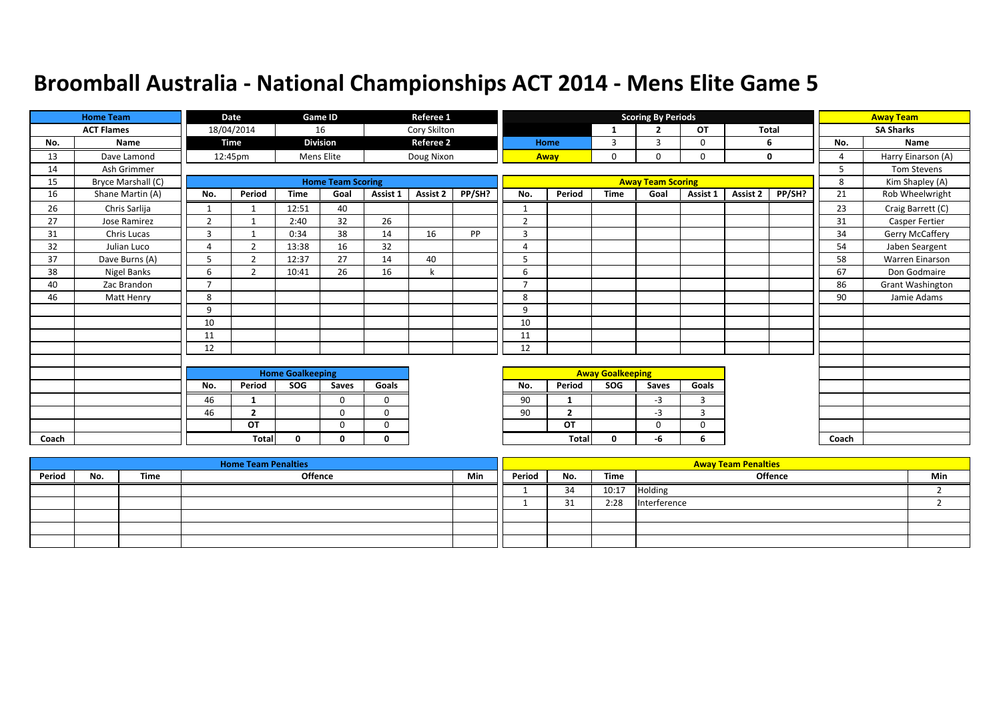|       | <b>Home Team</b>   |                          | Date           |                         | Game ID                  |             | Referee 1        |        |                          |                |                         | <b>Scoring By Periods</b> |                |              |        |                | <b>Away Team</b>        |
|-------|--------------------|--------------------------|----------------|-------------------------|--------------------------|-------------|------------------|--------|--------------------------|----------------|-------------------------|---------------------------|----------------|--------------|--------|----------------|-------------------------|
|       | <b>ACT Flames</b>  |                          | 18/04/2014     |                         | 16                       |             | Cory Skilton     |        |                          |                | -1                      | <b>D</b>                  | OT             | <b>Total</b> |        |                | <b>SA Sharks</b>        |
| No.   | Name               |                          | Time           |                         | <b>Division</b>          |             | <b>Referee 2</b> |        |                          | Home           | 3                       | 3                         | 0              |              | 6      | No.            | Name                    |
| 13    | Dave Lamond        |                          | 12:45pm        |                         | Mens Elite               |             | Doug Nixon       |        |                          | Away           | 0                       | 0                         | 0              |              | 0      | $\overline{a}$ | Harry Einarson (A)      |
| 14    | Ash Grimmer        |                          |                |                         |                          |             |                  |        |                          |                |                         |                           |                |              |        | 5              | <b>Tom Stevens</b>      |
| 15    | Bryce Marshall (C) |                          |                |                         | <b>Home Team Scoring</b> |             |                  |        |                          |                |                         | <b>Away Team Scoring</b>  |                |              |        | 8              | Kim Shapley (A)         |
| 16    | Shane Martin (A)   | No.                      | Period         | <b>Time</b>             | Goal                     | Assist 1    | Assist 2         | PP/SH? | No.                      | Period         | <b>Time</b>             | Goal                      | Assist 1       | Assist 2     | PP/SH? | 21             | Rob Wheelwright         |
| 26    | Chris Sarlija      |                          |                | 12:51                   | 40                       |             |                  |        | $\mathbf{1}$             |                |                         |                           |                |              |        | 23             | Craig Barrett (C)       |
| 27    | Jose Ramirez       | $\overline{2}$           |                | 2:40                    | 32                       | 26          |                  |        | $\overline{2}$           |                |                         |                           |                |              |        | 31             | <b>Casper Fertier</b>   |
| 31    | Chris Lucas        | $\overline{3}$           |                | 0:34                    | 38                       | 14          | 16               | PP     | $\overline{3}$           |                |                         |                           |                |              |        | 34             | Gerry McCaffery         |
| 32    | Julian Luco        | $\overline{4}$           | $\overline{2}$ | 13:38                   | 16                       | 32          |                  |        | 4                        |                |                         |                           |                |              |        | 54             | Jaben Seargent          |
| 37    | Dave Burns (A)     | 5                        | $\overline{2}$ | 12:37                   | 27                       | 14          | 40               |        | 5                        |                |                         |                           |                |              |        | 58             | Warren Einarson         |
| 38    | Nigel Banks        | 6                        | $\overline{2}$ | 10:41                   | 26                       | 16          | k                |        | 6                        |                |                         |                           |                |              |        | 67             | Don Godmaire            |
| 40    | Zac Brandon        | $\overline{\phantom{a}}$ |                |                         |                          |             |                  |        | $\overline{\phantom{a}}$ |                |                         |                           |                |              |        | 86             | <b>Grant Washington</b> |
| 46    | Matt Henry         | 8                        |                |                         |                          |             |                  |        | 8                        |                |                         |                           |                |              |        | 90             | Jamie Adams             |
|       |                    | 9                        |                |                         |                          |             |                  |        | 9                        |                |                         |                           |                |              |        |                |                         |
|       |                    | 10                       |                |                         |                          |             |                  |        | 10                       |                |                         |                           |                |              |        |                |                         |
|       |                    | 11                       |                |                         |                          |             |                  |        | 11                       |                |                         |                           |                |              |        |                |                         |
|       |                    | 12                       |                |                         |                          |             |                  |        | 12                       |                |                         |                           |                |              |        |                |                         |
|       |                    |                          |                |                         |                          |             |                  |        |                          |                |                         |                           |                |              |        |                |                         |
|       |                    |                          |                | <b>Home Goalkeeping</b> |                          |             |                  |        |                          |                | <b>Away Goalkeeping</b> |                           |                |              |        |                |                         |
|       |                    | No.                      | Period         | SOG                     | Saves                    | Goals       |                  |        | No.                      | Period         | SOG                     | Saves                     | Goals          |              |        |                |                         |
|       |                    | 46                       | $\mathbf{1}$   |                         | $\Omega$                 | $\mathbf 0$ |                  |        | 90                       | 1              |                         | $-3$                      | $\overline{3}$ |              |        |                |                         |
|       |                    | 46                       | $\overline{2}$ |                         | $\Omega$                 | $\mathbf 0$ |                  |        | 90                       | $\overline{2}$ |                         | $-3$                      | 3              |              |        |                |                         |
|       |                    |                          | OT             |                         | $\Omega$                 | $\Omega$    |                  |        |                          | OT             |                         | $\Omega$                  | $\Omega$       |              |        |                |                         |
| Coach |                    |                          | <b>Total</b>   | <sup>0</sup>            | <sup>n</sup>             | $\Omega$    |                  |        |                          | <b>Total</b>   | 0                       | -6                        | 6              |              |        | Coach          |                         |

|        |     |      | <b>Home Team Penalties</b> |     |        |     |       | <b>Away Team Penalties</b> |     |
|--------|-----|------|----------------------------|-----|--------|-----|-------|----------------------------|-----|
| Period | No. | Time | <b>Offence</b>             | Min | Period | No. | Time  | <b>Offence</b>             | Min |
|        |     |      |                            |     |        | 34  | 10:17 | Holding                    |     |
|        |     |      |                            |     |        | 31  | 2:28  | Interference               |     |
|        |     |      |                            |     |        |     |       |                            |     |
|        |     |      |                            |     |        |     |       |                            |     |
|        |     |      |                            |     |        |     |       |                            |     |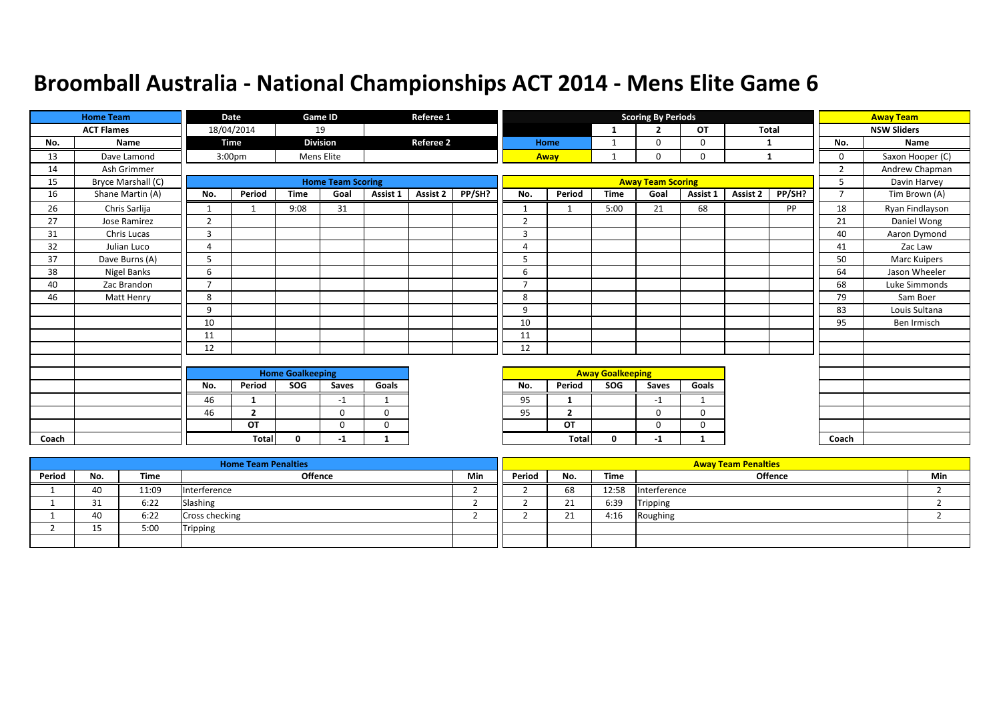|       | <b>Home Team</b>   |                | Date               |                         | Game ID                  |             | Referee 1        |        |                          |                |                         | <b>Scoring By Periods</b> |             |              |        |                | <b>Away Team</b>   |
|-------|--------------------|----------------|--------------------|-------------------------|--------------------------|-------------|------------------|--------|--------------------------|----------------|-------------------------|---------------------------|-------------|--------------|--------|----------------|--------------------|
|       | <b>ACT Flames</b>  |                | 18/04/2014         |                         | 19                       |             |                  |        |                          |                | -1                      | $\overline{2}$            | OT          | <b>Total</b> |        |                | <b>NSW Sliders</b> |
| No.   | Name               |                | Time               |                         | <b>Division</b>          |             | <b>Referee 2</b> |        |                          | Home           | 1                       | $\Omega$                  | 0           | 1            |        | No.            | Name               |
| 13    | Dave Lamond        |                | 3:00 <sub>pm</sub> |                         | Mens Elite               |             |                  |        |                          | Away           | $\mathbf{1}$            | 0                         | 0           | 1            |        | 0              | Saxon Hooper (C)   |
| 14    | Ash Grimmer        |                |                    |                         |                          |             |                  |        |                          |                |                         |                           |             |              |        | $\overline{2}$ | Andrew Chapman     |
| 15    | Bryce Marshall (C) |                |                    |                         | <b>Home Team Scoring</b> |             |                  |        |                          |                |                         | <b>Away Team Scoring</b>  |             |              |        | 5              | Davin Harvey       |
| 16    | Shane Martin (A)   | No.            | Period             | <b>Time</b>             | Goal                     | Assist 1    | <b>Assist 2</b>  | PP/SH? | No.                      | Period         | <b>Time</b>             | Goal                      | Assist 1    | Assist 2     | PP/SH? | $\overline{7}$ | Tim Brown (A)      |
| 26    | Chris Sarlija      | $\mathbf{1}$   |                    | 9:08                    | 31                       |             |                  |        | $\mathbf{1}$             | -1             | 5:00                    | 21                        | 68          |              | PP     | 18             | Ryan Findlayson    |
| 27    | Jose Ramirez       | $\overline{2}$ |                    |                         |                          |             |                  |        | $\overline{2}$           |                |                         |                           |             |              |        | 21             | Daniel Wong        |
| 31    | Chris Lucas        | $\overline{3}$ |                    |                         |                          |             |                  |        | $\overline{3}$           |                |                         |                           |             |              |        | 40             | Aaron Dymond       |
| 32    | Julian Luco        | $\overline{4}$ |                    |                         |                          |             |                  |        | 4                        |                |                         |                           |             |              |        | 41             | Zac Law            |
| 37    | Dave Burns (A)     | 5              |                    |                         |                          |             |                  |        | 5                        |                |                         |                           |             |              |        | 50             | Marc Kuipers       |
| 38    | Nigel Banks        | 6              |                    |                         |                          |             |                  |        | 6                        |                |                         |                           |             |              |        | 64             | Jason Wheeler      |
| 40    | Zac Brandon        | $\overline{ }$ |                    |                         |                          |             |                  |        | $\overline{\phantom{a}}$ |                |                         |                           |             |              |        | 68             | Luke Simmonds      |
| 46    | Matt Henry         | 8              |                    |                         |                          |             |                  |        | 8                        |                |                         |                           |             |              |        | 79             | Sam Boer           |
|       |                    | 9              |                    |                         |                          |             |                  |        | 9                        |                |                         |                           |             |              |        | 83             | Louis Sultana      |
|       |                    | 10             |                    |                         |                          |             |                  |        | 10                       |                |                         |                           |             |              |        | 95             | Ben Irmisch        |
|       |                    | 11             |                    |                         |                          |             |                  |        | 11                       |                |                         |                           |             |              |        |                |                    |
|       |                    | 12             |                    |                         |                          |             |                  |        | 12                       |                |                         |                           |             |              |        |                |                    |
|       |                    |                |                    |                         |                          |             |                  |        |                          |                |                         |                           |             |              |        |                |                    |
|       |                    |                |                    | <b>Home Goalkeeping</b> |                          |             |                  |        |                          |                | <b>Away Goalkeeping</b> |                           |             |              |        |                |                    |
|       |                    | No.            | Period             | SOG                     | Saves                    | Goals       |                  |        | No.                      | Period         | SOG                     | Saves                     | Goals       |              |        |                |                    |
|       |                    | 46             | 1                  |                         | $-1$                     | -1          |                  |        | 95                       | 1              |                         | $-1$                      | -1          |              |        |                |                    |
|       |                    | 46             | $\overline{2}$     |                         | $\mathbf 0$              | $\mathbf 0$ |                  |        | 95                       | $\overline{2}$ |                         | $\Omega$                  | $\Omega$    |              |        |                |                    |
|       |                    |                | OT                 |                         | $\mathbf 0$              | $\mathbf 0$ |                  |        |                          | OT             |                         | 0                         | 0           |              |        |                |                    |
| Coach |                    |                | Total              | $\Omega$                | -1                       | 1           |                  |        |                          | <b>Total</b>   | 0                       | $-1$                      | $\mathbf 1$ |              |        | Coach          |                    |

|        |               |       | <b>Home Team Penalties</b> |            |        |                       |       | <b>Away Team Penalties</b> |     |
|--------|---------------|-------|----------------------------|------------|--------|-----------------------|-------|----------------------------|-----|
| Period | No.           | Time  | <b>Offence</b>             | <b>Min</b> | Period | No.                   | Time  | <b>Offence</b>             | Min |
|        | 40            | 11:09 | Interference               |            |        | 68                    | 12:58 | Interference               |     |
|        | $\sim$<br>ـ د | 6:22  | Slashing                   |            |        | <b>01</b><br><u>_</u> | 6:39  | Tripping                   |     |
|        | 40            | 6:22  | Cross checking             |            |        | าง<br>-4              | 4:16  | Roughing                   |     |
|        | 1 C<br>ᅩ      | 5:00  | Tripping                   |            |        |                       |       |                            |     |
|        |               |       |                            |            |        |                       |       |                            |     |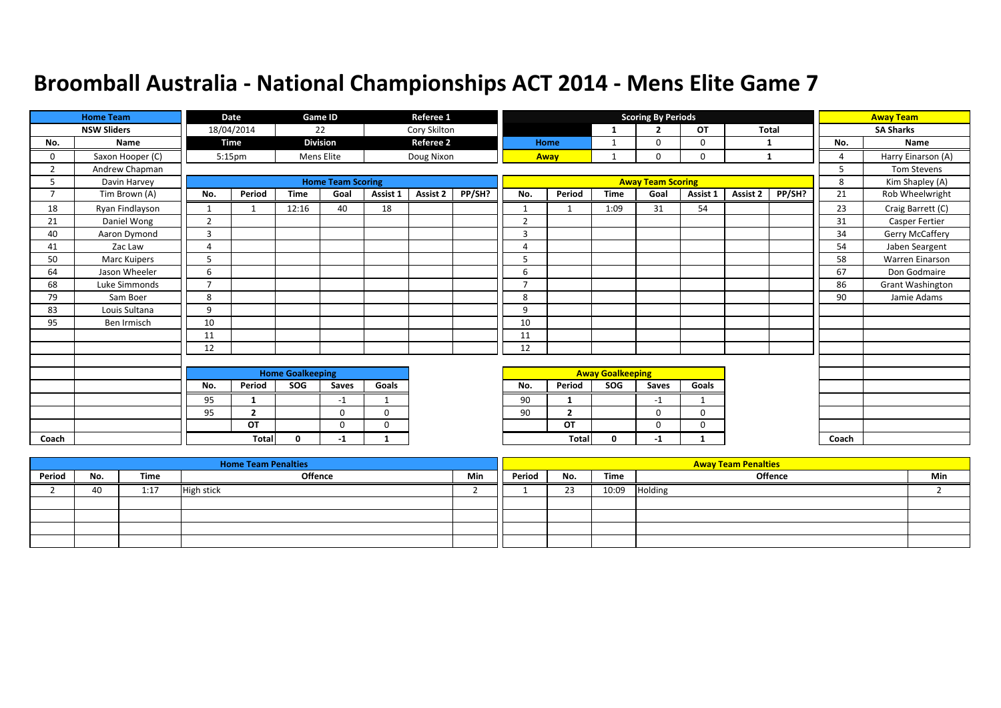|                | <b>Home Team</b>   |                | Date               |                         | Game ID                  |              | Referee 1        |        |                |                |                         | <b>Scoring By Periods</b> |           |              |        |       | <b>Away Team</b>   |
|----------------|--------------------|----------------|--------------------|-------------------------|--------------------------|--------------|------------------|--------|----------------|----------------|-------------------------|---------------------------|-----------|--------------|--------|-------|--------------------|
|                | <b>NSW Sliders</b> |                | 18/04/2014         |                         | 22                       |              | Cory Skilton     |        |                |                | 1                       | $\overline{2}$            | <b>OT</b> | <b>Total</b> |        |       | <b>SA Sharks</b>   |
| No.            | Name               |                | Time               |                         | <b>Division</b>          |              | <b>Referee 2</b> |        |                | Home           | 1                       | $\Omega$                  | 0         | -1           |        | No.   | Name               |
| 0              | Saxon Hooper (C)   |                | 5:15 <sub>pm</sub> |                         | Mens Elite               |              | Doug Nixon       |        |                | Away           | $\mathbf{1}$            | $\Omega$                  | 0         | 1            |        | Δ     | Harry Einarson (A) |
| 2              | Andrew Chapman     |                |                    |                         |                          |              |                  |        |                |                |                         |                           |           |              |        | 5     | <b>Tom Stevens</b> |
| 5              | Davin Harvey       |                |                    |                         | <b>Home Team Scoring</b> |              |                  |        |                |                |                         | <b>Away Team Scoring</b>  |           |              |        | 8     | Kim Shapley (A)    |
| $\overline{7}$ | Tim Brown (A)      | No.            | Period             | <b>Time</b>             | Goal                     | Assist 1     | <b>Assist 2</b>  | PP/SH? | No.            | Period         | <b>Time</b>             | Goal                      | Assist 1  | Assist 2     | PP/SH? | 21    | Rob Wheelwright    |
| 18             | Ryan Findlayson    |                |                    | 12:16                   | 40                       | 18           |                  |        | $\mathbf{1}$   | $\mathbf{1}$   | 1:09                    | 31                        | 54        |              |        | 23    | Craig Barrett (C)  |
| 21             | Daniel Wong        | $\overline{2}$ |                    |                         |                          |              |                  |        | $\overline{2}$ |                |                         |                           |           |              |        | 31    | Casper Fertier     |
| 40             | Aaron Dymond       | 3              |                    |                         |                          |              |                  |        | 3              |                |                         |                           |           |              |        | 34    | Gerry McCaffery    |
| 41             | Zac Law            | 4              |                    |                         |                          |              |                  |        | $\overline{A}$ |                |                         |                           |           |              |        | 54    | Jaben Seargent     |
| 50             | Marc Kuipers       | 5              |                    |                         |                          |              |                  |        | 5              |                |                         |                           |           |              |        | 58    | Warren Einarson    |
| 64             | Jason Wheeler      | 6              |                    |                         |                          |              |                  |        | 6              |                |                         |                           |           |              |        | 67    | Don Godmaire       |
| 68             | Luke Simmonds      | $\overline{ }$ |                    |                         |                          |              |                  |        | $\overline{ }$ |                |                         |                           |           |              |        | 86    | Grant Washington   |
| 79             | Sam Boer           | 8              |                    |                         |                          |              |                  |        | 8              |                |                         |                           |           |              |        | 90    | Jamie Adams        |
| 83             | Louis Sultana      | 9              |                    |                         |                          |              |                  |        | 9              |                |                         |                           |           |              |        |       |                    |
| 95             | Ben Irmisch        | 10             |                    |                         |                          |              |                  |        | 10             |                |                         |                           |           |              |        |       |                    |
|                |                    | 11             |                    |                         |                          |              |                  |        | 11             |                |                         |                           |           |              |        |       |                    |
|                |                    | 12             |                    |                         |                          |              |                  |        | 12             |                |                         |                           |           |              |        |       |                    |
|                |                    |                |                    |                         |                          |              |                  |        |                |                |                         |                           |           |              |        |       |                    |
|                |                    |                |                    | <b>Home Goalkeeping</b> |                          |              |                  |        |                |                | <b>Away Goalkeeping</b> |                           |           |              |        |       |                    |
|                |                    | No.            | Period             | SOG                     | Saves                    | Goals        |                  |        | No.            | Period         | SOG                     | Saves                     | Goals     |              |        |       |                    |
|                |                    | 95             | 1                  |                         | $-1$                     | $\mathbf{1}$ |                  |        | 90             | 1              |                         | $-1$                      | 1         |              |        |       |                    |
|                |                    | 95             | $\overline{2}$     |                         | 0                        | $\mathbf 0$  |                  |        | 90             | $\overline{2}$ |                         | 0                         | 0         |              |        |       |                    |
|                |                    |                | OT                 |                         | $\Omega$                 | $\Omega$     |                  |        |                | OT             |                         | $\Omega$                  | 0         |              |        |       |                    |
| Coach          |                    |                | <b>Total</b>       | $\Omega$                | -1                       | 1            |                  |        |                | Total          | 0                       | $-1$                      |           |              |        | Coach |                    |

|        |     |      | <b>Home Team Penalties</b> |     |        |          |       | <b>Away Team Penalties</b> |     |
|--------|-----|------|----------------------------|-----|--------|----------|-------|----------------------------|-----|
| Period | No. | Time | <b>Offence</b>             | Min | Period | No.      | Time  | <b>Offence</b>             | Min |
|        | 40  | 1:17 | <b>High stick</b>          |     |        | วว<br>رے | 10:09 | Holding                    |     |
|        |     |      |                            |     |        |          |       |                            |     |
|        |     |      |                            |     |        |          |       |                            |     |
|        |     |      |                            |     |        |          |       |                            |     |
|        |     |      |                            |     |        |          |       |                            |     |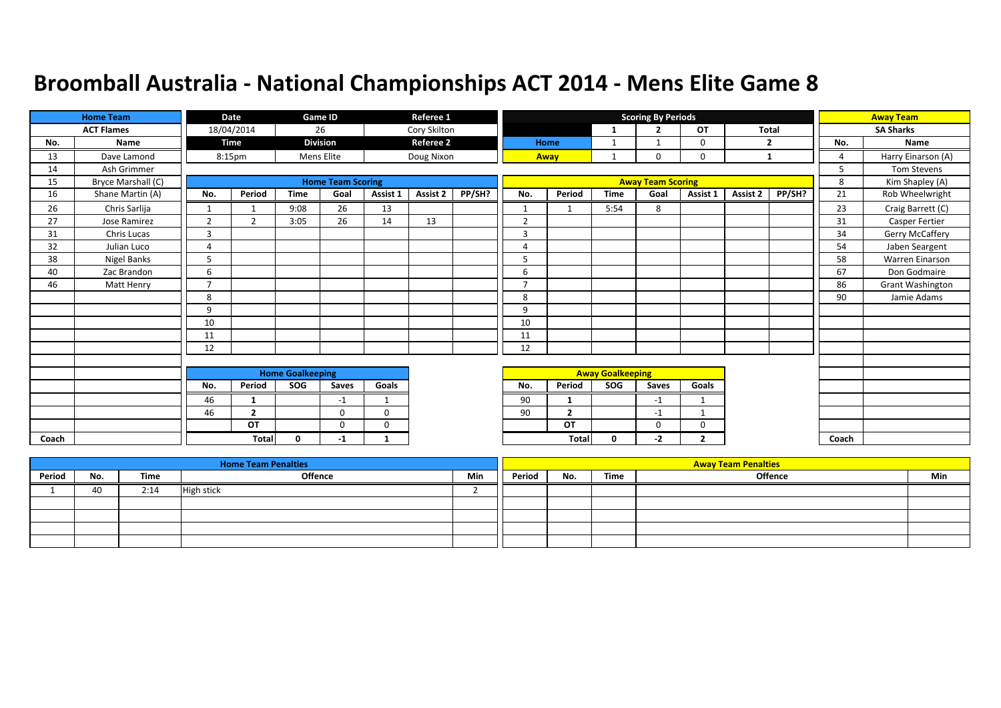|       | <b>Home Team</b>   |                         | Date           |              | Game ID                  |              | Referee 1        |        |                          |                |              | <b>Scoring By Periods</b> |                |          |              |       | <b>Away Team</b>   |
|-------|--------------------|-------------------------|----------------|--------------|--------------------------|--------------|------------------|--------|--------------------------|----------------|--------------|---------------------------|----------------|----------|--------------|-------|--------------------|
|       | <b>ACT Flames</b>  |                         | 18/04/2014     |              | 26                       |              | Cory Skilton     |        |                          |                | 1            | $\overline{2}$            | OT             |          | <b>Total</b> |       | <b>SA Sharks</b>   |
| No.   | Name               |                         | <b>Time</b>    |              | <b>Division</b>          |              | <b>Referee 2</b> |        |                          | Home           | 1            |                           | $\mathbf 0$    |          | 2            | No.   | Name               |
| 13    | Dave Lamond        |                         | 8:15pm         |              | Mens Elite               |              | Doug Nixon       |        |                          | Away           | $\mathbf{1}$ | $\mathbf 0$               | $\mathbf 0$    |          | 1            | 4     | Harry Einarson (A) |
| 14    | Ash Grimmer        |                         |                |              |                          |              |                  |        |                          |                |              |                           |                |          |              | 5     | Tom Stevens        |
| 15    | Bryce Marshall (C) |                         |                |              | <b>Home Team Scoring</b> |              |                  |        |                          |                |              | <b>Away Team Scoring</b>  |                |          |              | 8     | Kim Shapley (A)    |
| 16    | Shane Martin (A)   | No.                     | Period         | <b>Time</b>  | Goal                     | Assist 1     | Assist 2         | PP/SH? | No.                      | Period         | <b>Time</b>  | Goal                      | Assist 1       | Assist 2 | PP/SH?       | 21    | Rob Wheelwright    |
| 26    | Chris Sarlija      | $\mathbf{1}$            | $\mathbf{1}$   | 9:08         | 26                       | 13           |                  |        | $\mathbf{1}$             | 1              | 5:54         | 8                         |                |          |              | 23    | Craig Barrett (C)  |
| 27    | Jose Ramirez       | $\overline{2}$          | $\overline{2}$ | 3:05         | 26                       | 14           | 13               |        | $\overline{2}$           |                |              |                           |                |          |              | 31    | Casper Fertier     |
| 31    | Chris Lucas        | 3                       |                |              |                          |              |                  |        | $\overline{3}$           |                |              |                           |                |          |              | 34    | Gerry McCaffery    |
| 32    | Julian Luco        | 4                       |                |              |                          |              |                  |        | $\overline{A}$           |                |              |                           |                |          |              | 54    | Jaben Seargent     |
| 38    | Nigel Banks        | 5                       |                |              |                          |              |                  |        | 5                        |                |              |                           |                |          |              | 58    | Warren Einarson    |
| 40    | Zac Brandon        | 6                       |                |              |                          |              |                  |        | 6                        |                |              |                           |                |          |              | 67    | Don Godmaire       |
| 46    | Matt Henry         | $\overline{ }$          |                |              |                          |              |                  |        | $\overline{\phantom{a}}$ |                |              |                           |                |          |              | 86    | Grant Washington   |
|       |                    | 8                       |                |              |                          |              |                  |        | 8                        |                |              |                           |                |          |              | 90    | Jamie Adams        |
|       |                    | 9                       |                |              |                          |              |                  |        | 9                        |                |              |                           |                |          |              |       |                    |
|       |                    | 10                      |                |              |                          |              |                  |        | 10                       |                |              |                           |                |          |              |       |                    |
|       |                    | 11                      |                |              |                          |              |                  |        | 11                       |                |              |                           |                |          |              |       |                    |
|       |                    | 12                      |                |              |                          |              |                  |        | 12                       |                |              |                           |                |          |              |       |                    |
|       |                    |                         |                |              |                          |              |                  |        |                          |                |              |                           |                |          |              |       |                    |
|       |                    | <b>Home Goalkeeping</b> |                |              |                          |              |                  |        | <b>Away Goalkeeping</b>  |                |              |                           |                |          |              |       |                    |
|       |                    | No.                     | Period         | <b>SOG</b>   | Saves                    | Goals        |                  |        | No.                      | Period         | SOG          | <b>Saves</b>              | Goals          |          |              |       |                    |
|       |                    | 46                      | $\mathbf{1}$   |              | $-1$                     | $\mathbf{1}$ |                  |        | 90                       | 1              |              | $-1$                      | 1              |          |              |       |                    |
|       |                    | 46                      | $\overline{2}$ |              | $\mathbf 0$              | 0            |                  |        | 90                       | $\overline{2}$ |              | $-1$                      | 1              |          |              |       |                    |
|       |                    |                         | OT             |              | $\mathbf 0$              | 0            |                  |        |                          | OT             |              | $\Omega$                  | $\mathbf 0$    |          |              |       |                    |
| Coach |                    |                         | <b>Total</b>   | $\mathbf{0}$ | $-1$                     | 1            |                  |        |                          | <b>Total</b>   | $\mathbf 0$  | $-2$                      | $\overline{2}$ |          |              | Coach |                    |

|        |     |      | <b>Home Team Penalties</b> |     |        |     |      | <b>Away Team Penalties</b> |     |
|--------|-----|------|----------------------------|-----|--------|-----|------|----------------------------|-----|
| Period | No. | Time | <b>Offence</b>             | Min | Period | No. | Time | Offence                    | Min |
|        | 40  | 2:14 | High stick                 |     |        |     |      |                            |     |
|        |     |      |                            |     |        |     |      |                            |     |
|        |     |      |                            |     |        |     |      |                            |     |
|        |     |      |                            |     |        |     |      |                            |     |
|        |     |      |                            |     |        |     |      |                            |     |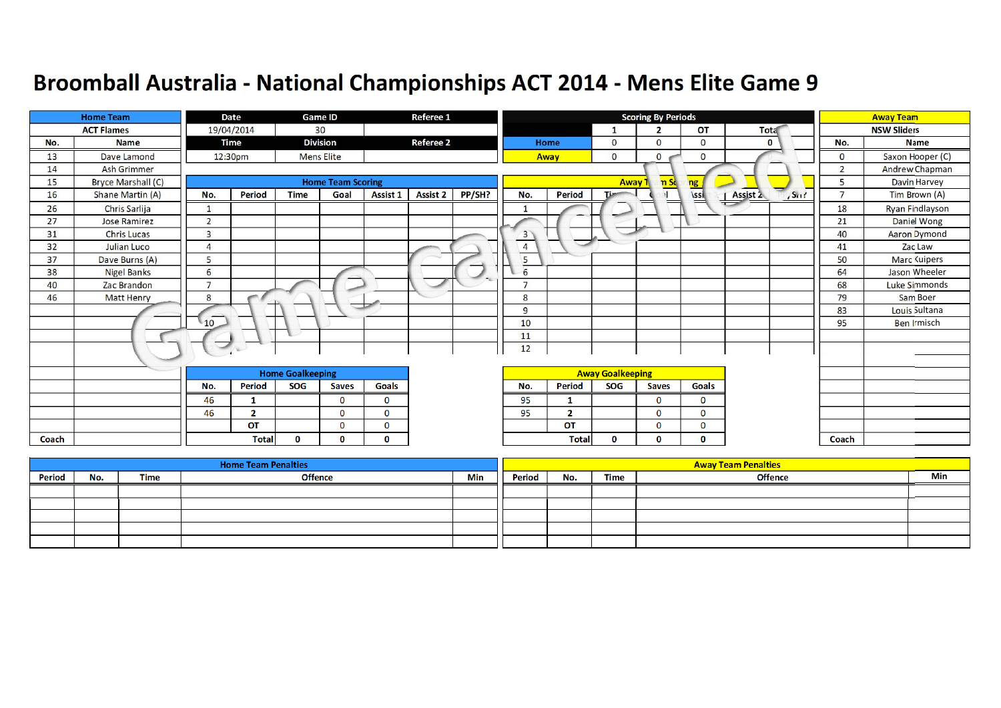|       | <b>Home Team</b>          |                | Date          |                         | <b>Game ID</b>           |                 | Referee 1        |        |                |               |                         | <b>Scoring By Periods</b> |                |                             |                | <b>Away Team</b>     |
|-------|---------------------------|----------------|---------------|-------------------------|--------------------------|-----------------|------------------|--------|----------------|---------------|-------------------------|---------------------------|----------------|-----------------------------|----------------|----------------------|
|       | <b>ACT Flames</b>         |                | 19/04/2014    |                         | 30                       |                 |                  |        |                |               | $\mathbf{1}$            | $\overline{2}$            | <b>OT</b>      | Tota                        |                | <b>NSW Sliders</b>   |
| No.   | <b>Name</b>               |                | Time          |                         | <b>Division</b>          |                 | <b>Referee 2</b> |        |                | Home          | $\mathbf{O}$            | $\Omega$                  | $\overline{0}$ | $\bf{0}$                    | No.            | <b>Name</b>          |
| 13    | Dave Lamond               |                | 12:30pm       |                         | <b>Mens Elite</b>        |                 |                  |        |                | Away          | $\mathbf 0$             | $\mathbf{O}$              | $\mathbf 0$    |                             | $\mathbf 0$    | Saxon Hooper (C)     |
| 14    | <b>Ash Grimmer</b>        |                |               |                         |                          |                 |                  |        |                |               |                         |                           |                |                             | $\overline{2}$ | Andrew Chapman       |
| 15    | <b>Bryce Marshall (C)</b> |                |               |                         | <b>Home Team Scoring</b> |                 |                  |        |                |               | Away 1                  | nS <sub>c</sub>           | ng             |                             | 5              | Davin Harvey         |
| 16    | Shane Martin (A)          | No.            | <b>Period</b> | <b>Time</b>             | Goal                     | <b>Assist 1</b> | <b>Assist 2</b>  | PP/SH? | No.            | <b>Period</b> | Times                   |                           | <b>\ssi</b>    | Assist 2<br>$\sqrt{S_{11}}$ | $\overline{7}$ | Tim Brown (A)        |
| 26    | Chris Sarlija             | $\mathbf{1}$   |               |                         |                          |                 |                  |        | 1              |               |                         |                           |                | $\mathbf{I}$                | 18             | Ryan Findlayson      |
| 27    | <b>Jose Ramirez</b>       | $\overline{2}$ |               |                         |                          |                 |                  |        |                |               |                         |                           |                |                             | 21             | Daniel Wong          |
| 31    | <b>Chris Lucas</b>        | $\overline{3}$ |               |                         |                          |                 |                  |        | $\overline{3}$ |               |                         |                           |                |                             | 40             | <b>Aaron Dymond</b>  |
| 32    | Julian Luco               | $\overline{4}$ |               |                         |                          |                 |                  |        | $\overline{4}$ |               |                         |                           |                |                             | 41             | Zac Law              |
| 37    | Dave Burns (A)            | 5              |               |                         |                          |                 |                  |        | 5              |               |                         |                           |                |                             | 50             | <b>Marc Kuipers</b>  |
| 38    | <b>Nigel Banks</b>        | 6              |               |                         |                          |                 |                  |        | $\sqrt{6}$     |               |                         |                           |                |                             | 64             | Jason Wheeler        |
| 40    | Zac Brandon               | $\overline{7}$ |               |                         |                          |                 |                  |        | $\overline{ }$ |               |                         |                           |                |                             | 68             | <b>Luke Simmonds</b> |
| 46    | <b>Matt Henry</b>         | 8              | $-$           |                         |                          |                 |                  |        | 8              |               |                         |                           |                |                             | 79             | Sam Boer             |
|       |                           |                |               |                         | $\sim$                   |                 |                  |        | 9              |               |                         |                           |                |                             | 83             | Louis Sultana        |
|       |                           | 10             |               |                         |                          |                 |                  |        | 10             |               |                         |                           |                |                             | 95             | <b>Ben Irmisch</b>   |
|       |                           |                |               |                         |                          |                 |                  |        | 11             |               |                         |                           |                |                             |                |                      |
|       |                           |                | -60           |                         |                          |                 |                  |        | 12             |               |                         |                           |                |                             |                |                      |
|       |                           |                |               |                         |                          |                 |                  |        |                |               |                         |                           |                |                             |                |                      |
|       |                           |                |               | <b>Home Goalkeeping</b> |                          |                 |                  |        |                |               | <b>Away Goalkeeping</b> |                           |                |                             |                |                      |
|       |                           | No.            | <b>Period</b> | <b>SOG</b>              | <b>Saves</b>             | Goals           |                  |        | No.            | <b>Period</b> | SOG                     | Saves                     | Goals          |                             |                |                      |
|       |                           | 46             | 1             |                         | $\Omega$                 | $\Omega$        |                  |        | 95             | -1            |                         | $\Omega$                  | $\mathbf 0$    |                             |                |                      |
|       |                           | 46             | $\mathbf{2}$  |                         | $\Omega$                 | $\Omega$        |                  |        | 95             | $\mathbf{2}$  |                         | $\Omega$                  | $\mathbf 0$    |                             |                |                      |
|       |                           |                | <b>OT</b>     |                         | $\Omega$                 | $\Omega$        |                  |        |                | <b>OT</b>     |                         | $\mathbf{O}$              | 0              |                             |                |                      |
| Coach |                           |                | <b>Total</b>  | $\bf{0}$                | n                        | $\mathbf{0}$    |                  |        |                | <b>Total</b>  | $\bf{0}$                | $\bf{0}$                  | 0              |                             | Coach          |                      |

|        |     |      | <b>Home Team Penalties</b> |     |        |     |      | <b>Away Team Penalties</b> |     |
|--------|-----|------|----------------------------|-----|--------|-----|------|----------------------------|-----|
| Period | No. | Time | <b>Offence</b>             | Min | Period | No. | Time | <b>Offence</b>             | Min |
|        |     |      |                            |     |        |     |      |                            |     |
|        |     |      |                            |     |        |     |      |                            |     |
|        |     |      |                            |     |        |     |      |                            |     |
|        |     |      |                            |     |        |     |      |                            |     |
|        |     |      |                            |     |        |     |      |                            |     |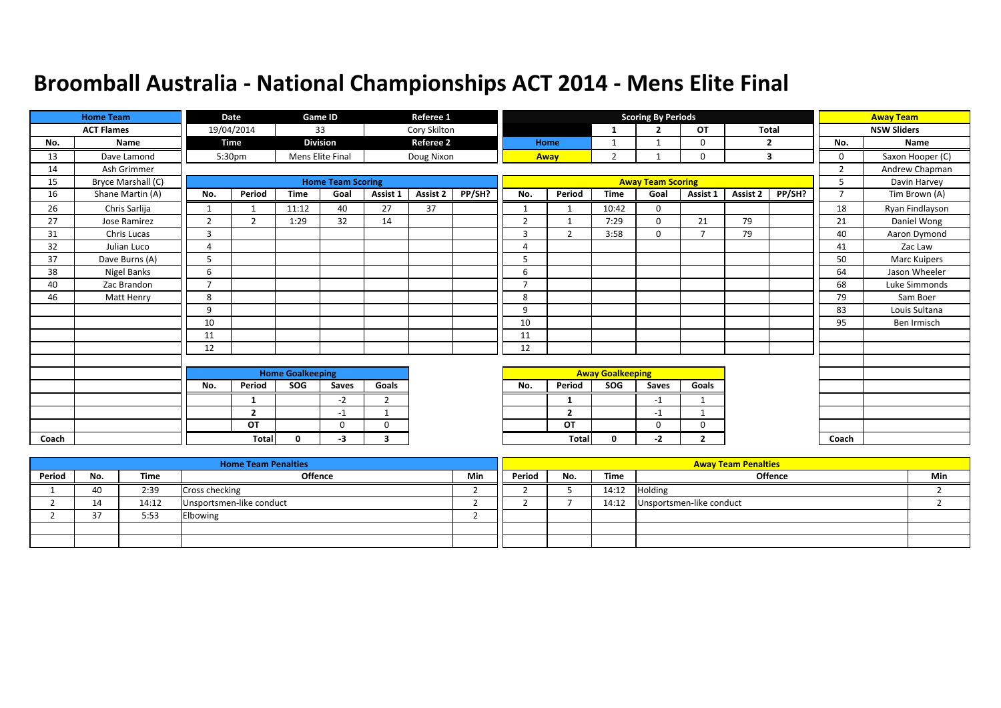|       | <b>Home Team</b>   |                         | Date               |              | Game ID                  |                | Referee 1        |        |                |                         |                | <b>Scoring By Periods</b> |                |              |        |                | <b>Away Team</b>   |
|-------|--------------------|-------------------------|--------------------|--------------|--------------------------|----------------|------------------|--------|----------------|-------------------------|----------------|---------------------------|----------------|--------------|--------|----------------|--------------------|
|       | <b>ACT Flames</b>  |                         | 19/04/2014         |              | 33                       |                | Cory Skilton     |        |                |                         | $\mathbf{1}$   | $\overline{2}$            | <b>OT</b>      | <b>Total</b> |        |                | <b>NSW Sliders</b> |
| No.   | Name               |                         | Time               |              | <b>Division</b>          |                | <b>Referee 2</b> |        |                | Home                    | 1              |                           | 0              |              | 2      | No.            | Name               |
| 13    | Dave Lamond        |                         | 5:30 <sub>pm</sub> |              | Mens Elite Final         |                | Doug Nixon       |        |                | Away                    | $\overline{2}$ |                           | $\Omega$       |              | 3      | $\mathbf 0$    | Saxon Hooper (C)   |
| 14    | Ash Grimmer        |                         |                    |              |                          |                |                  |        |                |                         |                |                           |                |              |        | $\overline{2}$ | Andrew Chapman     |
| 15    | Bryce Marshall (C) |                         |                    |              | <b>Home Team Scoring</b> |                |                  |        |                |                         |                | <b>Away Team Scoring</b>  |                |              |        | 5              | Davin Harvey       |
| 16    | Shane Martin (A)   | No.                     | Period             | <b>Time</b>  | Goal                     | Assist 1       | Assist 2         | PP/SH? | No.            | Period                  | <b>Time</b>    | Goal                      | Assist 1       | Assist 2     | PP/SH? | $\overline{7}$ | Tim Brown (A)      |
| 26    | Chris Sarlija      | $\mathbf{1}$            | 1                  | 11:12        | 40                       | 27             | 37               |        | $\mathbf{1}$   |                         | 10:42          | $\Omega$                  |                |              |        | 18             | Ryan Findlayson    |
| 27    | Jose Ramirez       | 2                       | $\overline{2}$     | 1:29         | 32                       | 14             |                  |        | $\overline{2}$ | $\mathbf{1}$            | 7:29           | $\mathbf 0$               | 21             | 79           |        | 21             | Daniel Wong        |
| 31    | Chris Lucas        | 3                       |                    |              |                          |                |                  |        | 3              | $\overline{2}$          | 3:58           | $\Omega$                  | $\overline{7}$ | 79           |        | 40             | Aaron Dymond       |
| 32    | Julian Luco        | 4                       |                    |              |                          |                |                  |        | $\overline{4}$ |                         |                |                           |                |              |        | 41             | Zac Law            |
| 37    | Dave Burns (A)     | 5                       |                    |              |                          |                |                  |        | 5              |                         |                |                           |                |              |        | 50             | Marc Kuipers       |
| 38    | Nigel Banks        | 6                       |                    |              |                          |                |                  |        | 6              |                         |                |                           |                |              |        | 64             | Jason Wheeler      |
| 40    | Zac Brandon        | $\overline{ }$          |                    |              |                          |                |                  |        | $\overline{7}$ |                         |                |                           |                |              |        | 68             | Luke Simmonds      |
| 46    | Matt Henry         | 8                       |                    |              |                          |                |                  |        | 8              |                         |                |                           |                |              |        | 79             | Sam Boer           |
|       |                    | 9                       |                    |              |                          |                |                  |        | 9              |                         |                |                           |                |              |        | 83             | Louis Sultana      |
|       |                    | 10                      |                    |              |                          |                |                  |        | 10             |                         |                |                           |                |              |        | 95             | Ben Irmisch        |
|       |                    | 11                      |                    |              |                          |                |                  |        | 11             |                         |                |                           |                |              |        |                |                    |
|       |                    | 12                      |                    |              |                          |                |                  |        | 12             |                         |                |                           |                |              |        |                |                    |
|       |                    |                         |                    |              |                          |                |                  |        |                |                         |                |                           |                |              |        |                |                    |
|       |                    | <b>Home Goalkeeping</b> |                    |              |                          |                |                  |        |                | <b>Away Goalkeeping</b> |                |                           |                |              |        |                |                    |
|       |                    | No.                     | Period             | SOG          | Saves                    | Goals          |                  |        | No.            | Period                  | SOG            | Saves                     | Goals          |              |        |                |                    |
|       |                    |                         | 1                  |              | $-2$                     | $\overline{2}$ |                  |        |                | -1                      |                | $-1$                      | $\mathbf{1}$   |              |        |                |                    |
|       |                    |                         | $\overline{2}$     |              | $-1$                     | $\mathbf{1}$   |                  |        |                | $\overline{2}$          |                | $-1$                      | $\mathbf{1}$   |              |        |                |                    |
|       |                    |                         | OT                 |              | $\Omega$                 | $\Omega$       |                  |        |                | OT                      |                | $\Omega$                  | $\Omega$       |              |        |                |                    |
| Coach |                    |                         | <b>Total</b>       | $\mathbf{0}$ | -3                       | 3              |                  |        |                | <b>Total</b>            | 0              | -2                        | $\mathbf{2}$   |              |        | Coach          |                    |

|        |        |       | <b>Home Team Penalties</b> |     |        |     |       | <b>Away Team Penalties</b> |     |
|--------|--------|-------|----------------------------|-----|--------|-----|-------|----------------------------|-----|
| Period | No.    | Time  | <b>Offence</b>             | Min | Period | No. | Time  | Offence                    | Min |
|        | 40     | 2:39  | Cross checking             |     |        |     | 14:12 | <b>Holding</b>             |     |
|        | 14     | 14:12 | Unsportsmen-like conduct   |     |        |     | 14:12 | Unsportsmen-like conduct   |     |
|        | $\sim$ | 5:53  | Elbowing                   |     |        |     |       |                            |     |
|        |        |       |                            |     |        |     |       |                            |     |
|        |        |       |                            |     |        |     |       |                            |     |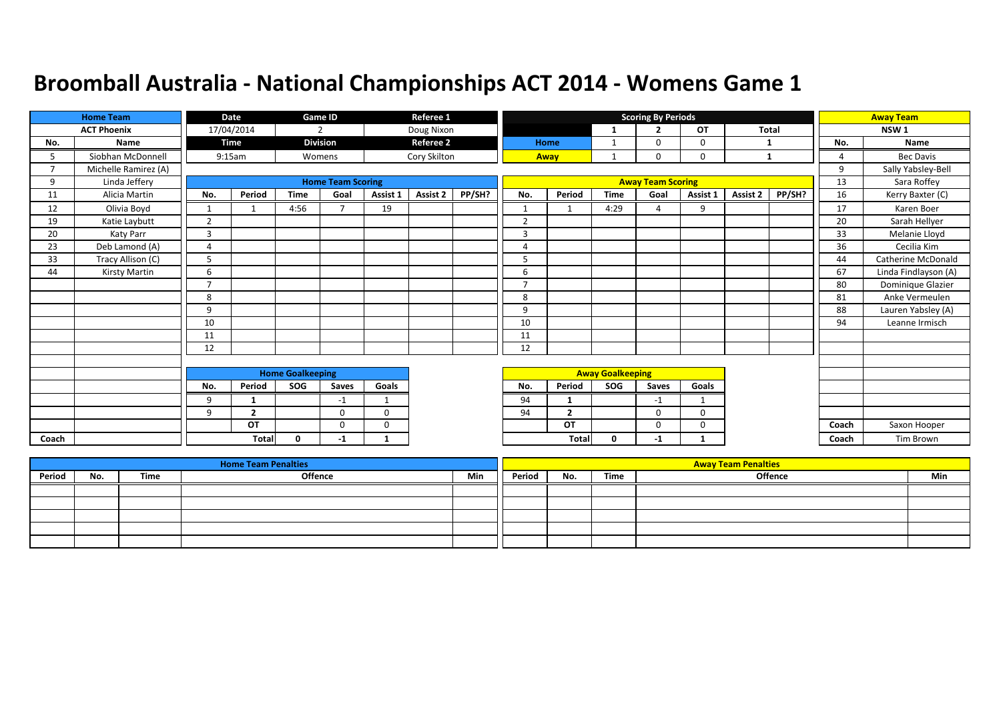|                          | <b>Home Team</b>     |                         | <b>Date</b>    |              | Game ID                  |              | Referee 1        |        |                |                         |      | <b>Scoring By Periods</b> |             |                 |        |                | <b>Away Team</b>     |
|--------------------------|----------------------|-------------------------|----------------|--------------|--------------------------|--------------|------------------|--------|----------------|-------------------------|------|---------------------------|-------------|-----------------|--------|----------------|----------------------|
|                          | <b>ACT Phoenix</b>   |                         | 17/04/2014     |              | $\overline{2}$           |              | Doug Nixon       |        |                |                         |      | ∍                         | OT          | <b>Total</b>    |        |                | NSW <sub>1</sub>     |
| No.                      | Name                 |                         | <b>Time</b>    |              | <b>Division</b>          |              | <b>Referee 2</b> |        |                | Home                    |      | $\Omega$                  | 0           | -1              |        | No.            | Name                 |
| 5.                       | Siobhan McDonnell    |                         | 9:15am         |              | Womens                   |              | Cory Skilton     |        |                | Away                    |      | $\Omega$                  | 0           | 1               |        | $\overline{A}$ | <b>Bec Davis</b>     |
| $\overline{\phantom{a}}$ | Michelle Ramirez (A) |                         |                |              |                          |              |                  |        |                |                         |      |                           |             |                 |        | 9              | Sally Yabsley-Bell   |
| 9                        | Linda Jeffery        |                         |                |              | <b>Home Team Scoring</b> |              |                  |        |                |                         |      | <b>Away Team Scoring</b>  |             |                 |        | 13             | Sara Roffey          |
| 11                       | Alicia Martin        | No.                     | Period         | <b>Time</b>  | Goal                     | Assist 1     | <b>Assist 2</b>  | PP/SH? | No.            | Period                  | Time | Goal                      | Assist 1    | <b>Assist 2</b> | PP/SH? | 16             | Kerry Baxter (C)     |
| 12                       | Olivia Boyd          | $\mathbf{1}$            |                | 4:56         | $\overline{7}$           | 19           |                  |        |                |                         | 4:29 | $\Delta$                  | 9           |                 |        | 17             | Karen Boer           |
| 19                       | Katie Laybutt        | $\overline{2}$          |                |              |                          |              |                  |        | $\overline{2}$ |                         |      |                           |             |                 |        | 20             | Sarah Hellyer        |
| 20                       | Katy Parr            | 3                       |                |              |                          |              |                  |        | $\overline{3}$ |                         |      |                           |             |                 |        | 33             | Melanie Lloyd        |
| 23                       | Deb Lamond (A)       | 4                       |                |              |                          |              |                  |        | 4              |                         |      |                           |             |                 |        | 36             | Cecilia Kim          |
| 33                       | Tracy Allison (C)    | 5                       |                |              |                          |              |                  |        | 5              |                         |      |                           |             |                 |        | 44             | Catherine McDonald   |
| 44                       | <b>Kirsty Martin</b> | 6                       |                |              |                          |              |                  |        | 6              |                         |      |                           |             |                 |        | 67             | Linda Findlayson (A) |
|                          |                      | $\overline{7}$          |                |              |                          |              |                  |        | ⇁              |                         |      |                           |             |                 |        | 80             | Dominique Glazier    |
|                          |                      | 8                       |                |              |                          |              |                  |        | 8              |                         |      |                           |             |                 |        | 81             | Anke Vermeulen       |
|                          |                      | 9                       |                |              |                          |              |                  |        | 9              |                         |      |                           |             |                 |        | 88             | Lauren Yabsley (A)   |
|                          |                      | 10                      |                |              |                          |              |                  |        | 10             |                         |      |                           |             |                 |        | 94             | Leanne Irmisch       |
|                          |                      | 11                      |                |              |                          |              |                  |        | 11             |                         |      |                           |             |                 |        |                |                      |
|                          |                      | 12                      |                |              |                          |              |                  |        | 12             |                         |      |                           |             |                 |        |                |                      |
|                          |                      |                         |                |              |                          |              |                  |        |                |                         |      |                           |             |                 |        |                |                      |
|                          |                      | <b>Home Goalkeeping</b> |                |              |                          |              |                  |        |                | <b>Away Goalkeeping</b> |      |                           |             |                 |        |                |                      |
|                          |                      | No.                     | Period         | SOG          | Saves                    | Goals        |                  |        | No.            | Period                  | SOG  | Saves                     | Goals       |                 |        |                |                      |
|                          |                      | 9                       | 1              |              | $-1$                     | $\mathbf{1}$ |                  |        | 94             |                         |      | $-1$                      |             |                 |        |                |                      |
|                          |                      | 9                       | $\overline{2}$ |              | 0                        | $\mathbf 0$  |                  |        | 94             | $\overline{2}$          |      | $\Omega$                  | 0           |                 |        |                |                      |
|                          |                      |                         | OT             |              | $\mathbf 0$              | $\mathbf 0$  |                  |        |                | OT                      |      | $\Omega$                  | $\mathbf 0$ |                 |        | Coach          | Saxon Hooper         |
| Coach                    |                      |                         | Total          | $\mathbf{0}$ | -1                       | $\mathbf{1}$ |                  |        |                | <b>Total</b>            | 0    | $-1$                      |             |                 |        | Coach          | Tim Brown            |

|        |     |      | <b>Home Team Penalties</b> |     |        |     |      | <b>Away Team Penalties</b> |     |
|--------|-----|------|----------------------------|-----|--------|-----|------|----------------------------|-----|
| Period | No. | Time | <b>Offence</b>             | Min | Period | No. | Time | <b>Offence</b>             | Min |
|        |     |      |                            |     |        |     |      |                            |     |
|        |     |      |                            |     |        |     |      |                            |     |
|        |     |      |                            |     |        |     |      |                            |     |
|        |     |      |                            |     |        |     |      |                            |     |
|        |     |      |                            |     |        |     |      |                            |     |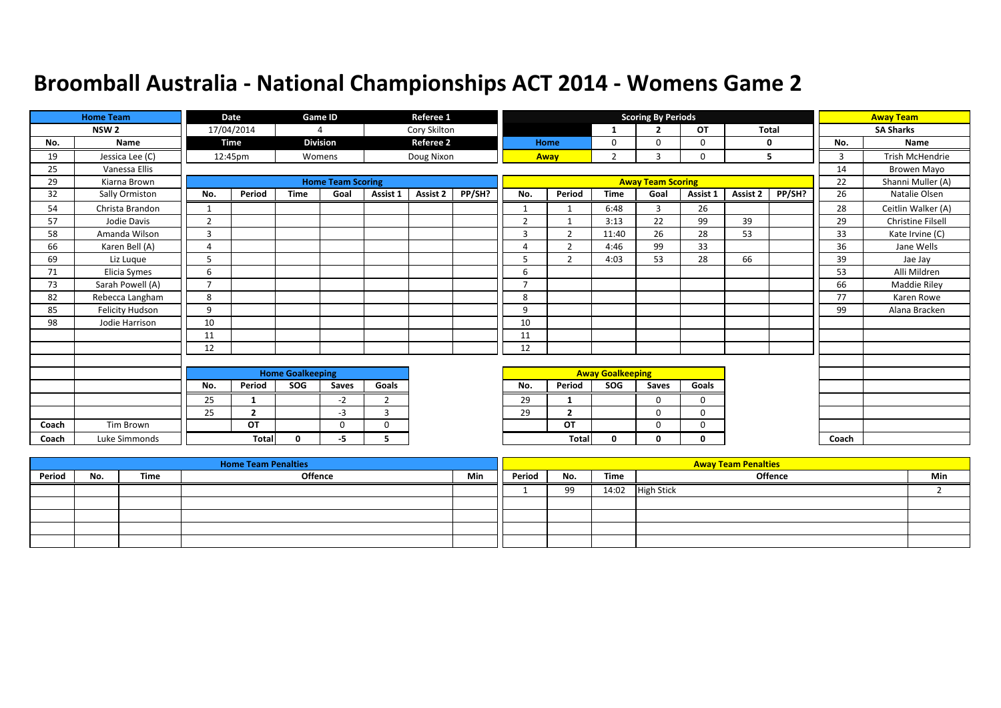|       | <b>Home Team</b>       |                | <b>Date</b>    |                         | Game ID                  |                | Referee 1        |        |                |                          |                         | <b>Scoring By Periods</b> |             |          |              |                | <b>Away Team</b>   |
|-------|------------------------|----------------|----------------|-------------------------|--------------------------|----------------|------------------|--------|----------------|--------------------------|-------------------------|---------------------------|-------------|----------|--------------|----------------|--------------------|
|       | NSW <sub>2</sub>       |                | 17/04/2014     |                         | 4                        |                | Cory Skilton     |        |                |                          | $\mathbf{1}$            | ∍                         | <b>OT</b>   |          | <b>Total</b> |                | <b>SA Sharks</b>   |
| No.   | Name                   |                | <b>Time</b>    |                         | <b>Division</b>          |                | <b>Referee 2</b> |        |                | Home                     | 0                       | $\Omega$                  | 0           |          | $\mathbf{0}$ | No.            | Name               |
| 19    | Jessica Lee (C)        |                | 12:45pm        |                         | Womens                   |                | Doug Nixon       |        |                | Away                     | $\overline{2}$          | 3                         | $\Omega$    |          | 5            | $\overline{3}$ | Trish McHendrie    |
| 25    | Vanessa Ellis          |                |                |                         |                          |                |                  |        |                |                          |                         |                           |             |          |              | 14             | Browen Mayo        |
| 29    | Kiarna Brown           |                |                |                         | <b>Home Team Scoring</b> |                |                  |        |                |                          |                         | <b>Away Team Scoring</b>  |             |          |              | 22             | Shanni Muller (A)  |
| 32    | Sally Ormiston         | No.            | Period         | <b>Time</b>             | Goal                     | Assist 1       | Assist 2         | PP/SH? | No.            | Period                   | <b>Time</b>             | Goal                      | Assist 1    | Assist 2 | PP/SH?       | 26             | Natalie Olsen      |
| 54    | Christa Brandon        |                |                |                         |                          |                |                  |        | $\mathbf{1}$   |                          | 6:48                    | 3                         | 26          |          |              | 28             | Ceitlin Walker (A) |
| 57    | Jodie Davis            | $\overline{2}$ |                |                         |                          |                |                  |        | $\overline{2}$ |                          | 3:13                    | 22                        | 99          | 39       |              | 29             | Christine Filsell  |
| 58    | Amanda Wilson          | 3              |                |                         |                          |                |                  |        | 3              | $\overline{\phantom{0}}$ | 11:40                   | 26                        | 28          | 53       |              | 33             | Kate Irvine (C)    |
| 66    | Karen Bell (A)         | $\overline{4}$ |                |                         |                          |                |                  |        | 4              | $\overline{2}$           | 4:46                    | 99                        | 33          |          |              | 36             | Jane Wells         |
| 69    | Liz Lugue              | 5              |                |                         |                          |                |                  |        | 5              | $\overline{2}$           | 4:03                    | 53                        | 28          | 66       |              | 39             | Jae Jay            |
| 71    | Elicia Symes           | 6              |                |                         |                          |                |                  |        | 6              |                          |                         |                           |             |          |              | 53             | Alli Mildren       |
| 73    | Sarah Powell (A)       | $\overline{7}$ |                |                         |                          |                |                  |        | $\overline{7}$ |                          |                         |                           |             |          |              | 66             | Maddie Riley       |
| 82    | Rebecca Langham        | 8              |                |                         |                          |                |                  |        | 8              |                          |                         |                           |             |          |              | 77             | Karen Rowe         |
| 85    | <b>Felicity Hudson</b> | 9              |                |                         |                          |                |                  |        | 9              |                          |                         |                           |             |          |              | 99             | Alana Bracken      |
| 98    | Jodie Harrison         | 10             |                |                         |                          |                |                  |        | 10             |                          |                         |                           |             |          |              |                |                    |
|       |                        | 11             |                |                         |                          |                |                  |        | 11             |                          |                         |                           |             |          |              |                |                    |
|       |                        | 12             |                |                         |                          |                |                  |        | 12             |                          |                         |                           |             |          |              |                |                    |
|       |                        |                |                |                         |                          |                |                  |        |                |                          |                         |                           |             |          |              |                |                    |
|       |                        |                |                | <b>Home Goalkeeping</b> |                          |                |                  |        |                |                          | <b>Away Goalkeeping</b> |                           |             |          |              |                |                    |
|       |                        | No.            | Period         | SOG                     | Saves                    | Goals          |                  |        | No.            | Period                   | SOG                     | Saves                     | Goals       |          |              |                |                    |
|       |                        | 25             | $\mathbf{1}$   |                         | -2                       | $\overline{2}$ |                  |        | 29             |                          |                         | $\Omega$                  | $\mathbf 0$ |          |              |                |                    |
|       |                        | 25             | $\overline{2}$ |                         | $-3$                     | 3              |                  |        | 29             | $\overline{2}$           |                         | $\mathbf 0$               | $\mathbf 0$ |          |              |                |                    |
| Coach | Tim Brown              |                | OT             |                         | $\Omega$                 | $\mathbf 0$    |                  |        |                | OT                       |                         | $\Omega$                  | 0           |          |              |                |                    |
| Coach | Luke Simmonds          |                | <b>Total</b>   | 0                       | -5                       | 5.             |                  |        |                | Total                    | $\mathbf{0}$            | U                         | 0           |          |              | Coach          |                    |

|        |     |      | <b>Home Team Penalties</b> |     |        |     |      | <b>Away Team Penalties</b> |     |
|--------|-----|------|----------------------------|-----|--------|-----|------|----------------------------|-----|
| Period | No. | Time | <b>Offence</b>             | Min | Period | No. | Time | Offence                    | Min |
|        |     |      |                            |     |        | 99  |      | 14:02 High Stick           |     |
|        |     |      |                            |     |        |     |      |                            |     |
|        |     |      |                            |     |        |     |      |                            |     |
|        |     |      |                            |     |        |     |      |                            |     |
|        |     |      |                            |     |        |     |      |                            |     |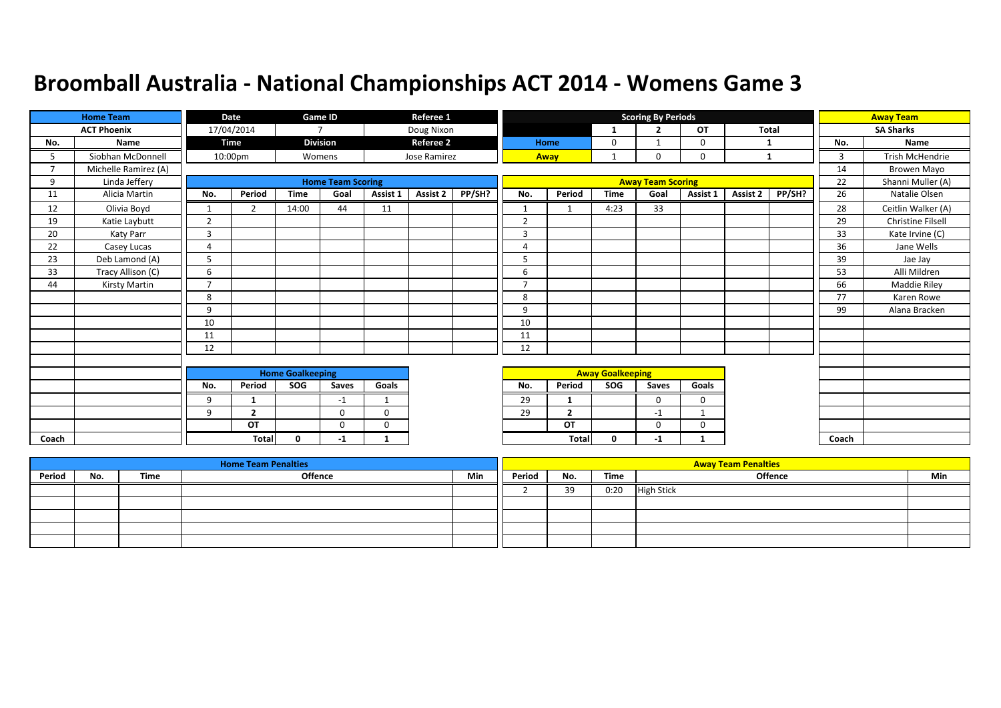|       | <b>Home Team</b>     |                | <b>Date</b>    |                         | Game ID                  |              | Referee 1        |        |                |                |                         | <b>Scoring By Periods</b> |             |              |        |       | <b>Away Team</b>         |
|-------|----------------------|----------------|----------------|-------------------------|--------------------------|--------------|------------------|--------|----------------|----------------|-------------------------|---------------------------|-------------|--------------|--------|-------|--------------------------|
|       | <b>ACT Phoenix</b>   |                | 17/04/2014     |                         | $\overline{7}$           |              | Doug Nixon       |        |                |                | -1                      | $\overline{2}$            | OT          | <b>Total</b> |        |       | <b>SA Sharks</b>         |
| No.   | Name                 |                | <b>Time</b>    |                         | <b>Division</b>          |              | <b>Referee 2</b> |        |                | Home           | 0                       |                           | 0           | 1            |        | No.   | Name                     |
| 5.    | Siobhan McDonnell    |                | 10:00pm        |                         | Womens                   |              | Jose Ramirez     |        |                | Away           |                         | $\Omega$                  | 0           | 1            |        | 3     | <b>Trish McHendrie</b>   |
|       | Michelle Ramirez (A) |                |                |                         |                          |              |                  |        |                |                |                         |                           |             |              |        | 14    | Browen Mayo              |
| 9     | Linda Jeffery        |                |                |                         | <b>Home Team Scoring</b> |              |                  |        |                |                |                         | <b>Away Team Scoring</b>  |             |              |        | 22    | Shanni Muller (A)        |
| 11    | Alicia Martin        | No.            | Period         | <b>Time</b>             | Goal                     | Assist 1     | <b>Assist 2</b>  | PP/SH? | No.            | Period         | <b>Time</b>             | Goal                      | Assist 1    | Assist 2     | PP/SH? | 26    | Natalie Olsen            |
| 12    | Olivia Boyd          | $\mathbf{1}$   | $\overline{2}$ | 14:00                   | 44                       | 11           |                  |        |                |                | 4:23                    | 33                        |             |              |        | 28    | Ceitlin Walker (A)       |
| 19    | Katie Laybutt        | $\overline{2}$ |                |                         |                          |              |                  |        | $\overline{2}$ |                |                         |                           |             |              |        | 29    | <b>Christine Filsell</b> |
| 20    | Katy Parr            | 3              |                |                         |                          |              |                  |        | $\overline{3}$ |                |                         |                           |             |              |        | 33    | Kate Irvine (C)          |
| 22    | Casey Lucas          | $\overline{4}$ |                |                         |                          |              |                  |        | 4              |                |                         |                           |             |              |        | 36    | Jane Wells               |
| 23    | Deb Lamond (A)       | 5              |                |                         |                          |              |                  |        | 5              |                |                         |                           |             |              |        | 39    | Jae Jay                  |
| 33    | Tracy Allison (C)    | 6              |                |                         |                          |              |                  |        | 6              |                |                         |                           |             |              |        | 53    | Alli Mildren             |
| 44    | Kirsty Martin        | $\overline{7}$ |                |                         |                          |              |                  |        | $\mathbf{z}$   |                |                         |                           |             |              |        | 66    | Maddie Riley             |
|       |                      | 8              |                |                         |                          |              |                  |        | 8              |                |                         |                           |             |              |        | 77    | Karen Rowe               |
|       |                      | 9              |                |                         |                          |              |                  |        | 9              |                |                         |                           |             |              |        | 99    | Alana Bracken            |
|       |                      | 10             |                |                         |                          |              |                  |        | 10             |                |                         |                           |             |              |        |       |                          |
|       |                      | 11             |                |                         |                          |              |                  |        | 11             |                |                         |                           |             |              |        |       |                          |
|       |                      | 12             |                |                         |                          |              |                  |        | 12             |                |                         |                           |             |              |        |       |                          |
|       |                      |                |                |                         |                          |              |                  |        |                |                |                         |                           |             |              |        |       |                          |
|       |                      |                |                | <b>Home Goalkeeping</b> |                          |              |                  |        |                |                | <b>Away Goalkeeping</b> |                           |             |              |        |       |                          |
|       |                      | No.            | Period         | SOG                     | Saves                    | Goals        |                  |        | No.            | Period         | <b>SOG</b>              | Saves                     | Goals       |              |        |       |                          |
|       |                      | 9              | $\mathbf{1}$   |                         | $-1$                     | $\mathbf{1}$ |                  |        | 29             |                |                         | $\Omega$                  | $\mathbf 0$ |              |        |       |                          |
|       |                      | 9              | $\overline{2}$ |                         | 0                        | 0            |                  |        | 29             | $\overline{2}$ |                         | $-1$                      |             |              |        |       |                          |
|       |                      |                | OT             |                         | 0                        | $\mathbf 0$  |                  |        |                | OT             |                         | $\mathbf 0$               | $\mathbf 0$ |              |        |       |                          |
| Coach |                      |                | Total          | $\mathbf{0}$            | $-1$                     | 1            |                  |        |                | <b>Total</b>   | $\mathbf{0}$            | $-1$                      |             |              |        | Coach |                          |

|        |     |      | <b>Home Team Penalties</b> |     |        |     |      | <b>Away Team Penalties</b> |     |
|--------|-----|------|----------------------------|-----|--------|-----|------|----------------------------|-----|
| Period | No. | Time | <b>Offence</b>             | Min | Period | No. | Time | <b>Offence</b>             | Min |
|        |     |      |                            |     |        | 39  | 0:20 | <b>High Stick</b>          |     |
|        |     |      |                            |     |        |     |      |                            |     |
|        |     |      |                            |     |        |     |      |                            |     |
|        |     |      |                            |     |        |     |      |                            |     |
|        |     |      |                            |     |        |     |      |                            |     |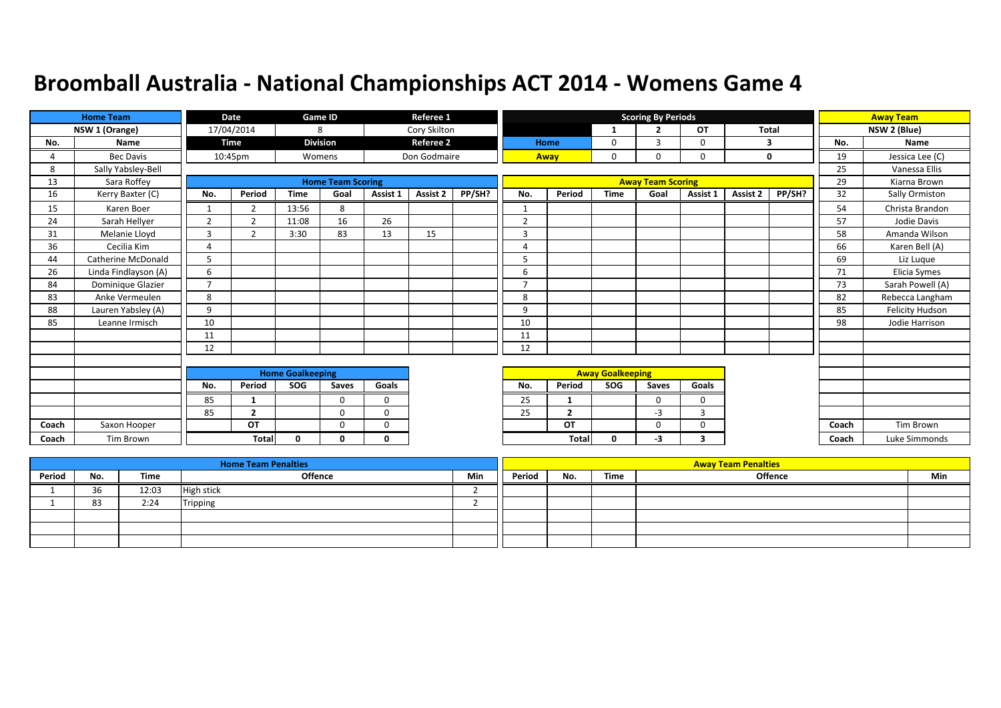|       | <b>Home Team</b>          |                | <b>Date</b>    |                         | Game ID                  |             | Referee 1        |        |                |                |                         | <b>Scoring By Periods</b> |             |          |        |       | <b>Away Team</b> |
|-------|---------------------------|----------------|----------------|-------------------------|--------------------------|-------------|------------------|--------|----------------|----------------|-------------------------|---------------------------|-------------|----------|--------|-------|------------------|
|       | NSW 1 (Orange)            |                | 17/04/2014     |                         | 8                        |             | Cory Skilton     |        |                |                | -1                      | $\overline{2}$            | <b>OT</b>   | Total    |        |       | NSW 2 (Blue)     |
| No.   | Name                      |                | <b>Time</b>    |                         | <b>Division</b>          |             | <b>Referee 2</b> |        |                | Home           | 0                       | 3                         | $\Omega$    | 3        |        | No.   | Name             |
|       | <b>Bec Davis</b>          |                | 10:45pm        |                         | Womens                   |             | Don Godmaire     |        |                | Away           | $\mathbf 0$             | 0                         | $\mathbf 0$ |          | 0      | 19    | Jessica Lee (C)  |
| 8     | Sally Yabsley-Bell        |                |                |                         |                          |             |                  |        |                |                |                         |                           |             |          |        | 25    | Vanessa Ellis    |
| 13    | Sara Roffey               |                |                |                         | <b>Home Team Scoring</b> |             |                  |        |                |                |                         | <b>Away Team Scoring</b>  |             |          |        | 29    | Kiarna Brown     |
| 16    | Kerry Baxter (C)          | No.            | Period         | <b>Time</b>             | Goal                     | Assist 1    | <b>Assist 2</b>  | PP/SH? | No.            | Period         | <b>Time</b>             | Goal                      | Assist 1    | Assist 2 | PP/SH? | 32    | Sally Ormiston   |
| 15    | Karen Boer                | $\mathbf{1}$   | $\overline{2}$ | 13:56                   | 8                        |             |                  |        | 1              |                |                         |                           |             |          |        | 54    | Christa Brandon  |
| 24    | Sarah Hellyer             | $\overline{2}$ | $\overline{2}$ | 11:08                   | 16                       | 26          |                  |        | $\overline{2}$ |                |                         |                           |             |          |        | 57    | Jodie Davis      |
| 31    | Melanie Lloyd             | 3              | 2              | 3:30                    | 83                       | 13          | 15               |        | 3              |                |                         |                           |             |          |        | 58    | Amanda Wilson    |
| 36    | Cecilia Kim               | 4              |                |                         |                          |             |                  |        | $\overline{a}$ |                |                         |                           |             |          |        | 66    | Karen Bell (A)   |
| 44    | <b>Catherine McDonald</b> | 5              |                |                         |                          |             |                  |        | 5              |                |                         |                           |             |          |        | 69    | Liz Lugue        |
| 26    | Linda Findlayson (A)      | 6              |                |                         |                          |             |                  |        | 6              |                |                         |                           |             |          |        | 71    | Elicia Symes     |
| 84    | Dominique Glazier         | $\overline{7}$ |                |                         |                          |             |                  |        | $\overline{7}$ |                |                         |                           |             |          |        | 73    | Sarah Powell (A) |
| 83    | Anke Vermeulen            | 8              |                |                         |                          |             |                  |        | 8              |                |                         |                           |             |          |        | 82    | Rebecca Langham  |
| 88    | Lauren Yabsley (A)        | 9              |                |                         |                          |             |                  |        | 9              |                |                         |                           |             |          |        | 85    | Felicity Hudson  |
| 85    | Leanne Irmisch            | 10             |                |                         |                          |             |                  |        | 10             |                |                         |                           |             |          |        | 98    | Jodie Harrison   |
|       |                           | 11             |                |                         |                          |             |                  |        | 11             |                |                         |                           |             |          |        |       |                  |
|       |                           | 12             |                |                         |                          |             |                  |        | 12             |                |                         |                           |             |          |        |       |                  |
|       |                           |                |                |                         |                          |             |                  |        |                |                |                         |                           |             |          |        |       |                  |
|       |                           |                |                | <b>Home Goalkeeping</b> |                          |             |                  |        |                |                | <b>Away Goalkeeping</b> |                           |             |          |        |       |                  |
|       |                           | No.            | Period         | SOG                     | Saves                    | Goals       |                  |        | No.            | Period         | SOG                     | Saves                     | Goals       |          |        |       |                  |
|       |                           | 85             | $\mathbf{1}$   |                         | $\Omega$                 | $\mathbf 0$ |                  |        | 25             | 1              |                         | 0                         | $\mathbf 0$ |          |        |       |                  |
|       |                           | 85             | $\overline{2}$ |                         | $\Omega$                 | $\Omega$    |                  |        | 25             | $\overline{2}$ |                         | $-3$                      | 3           |          |        |       |                  |
| Coach | Saxon Hooper              |                | OT             |                         | $\Omega$                 | $\Omega$    |                  |        |                | OT             |                         | 0                         | 0           |          |        | Coach | <b>Tim Brown</b> |
| Coach | <b>Tim Brown</b>          |                | Total          | $\mathbf{0}$            | 0                        | $\Omega$    |                  |        |                | Total          | 0                       | -3                        | 3           |          |        | Coach | Luke Simmonds    |

|        |     |       | <b>Home Team Penalties</b> |            |        |     |      | <b>Away Team Penalties</b> |     |
|--------|-----|-------|----------------------------|------------|--------|-----|------|----------------------------|-----|
| Period | No. | Time  | <b>Offence</b>             | <b>Min</b> | Period | No. | Time | <b>Offence</b>             | Min |
|        | 36  | 12:03 | High stick                 |            |        |     |      |                            |     |
|        | 83  | 2:24  | Tripping                   |            |        |     |      |                            |     |
|        |     |       |                            |            |        |     |      |                            |     |
|        |     |       |                            |            |        |     |      |                            |     |
|        |     |       |                            |            |        |     |      |                            |     |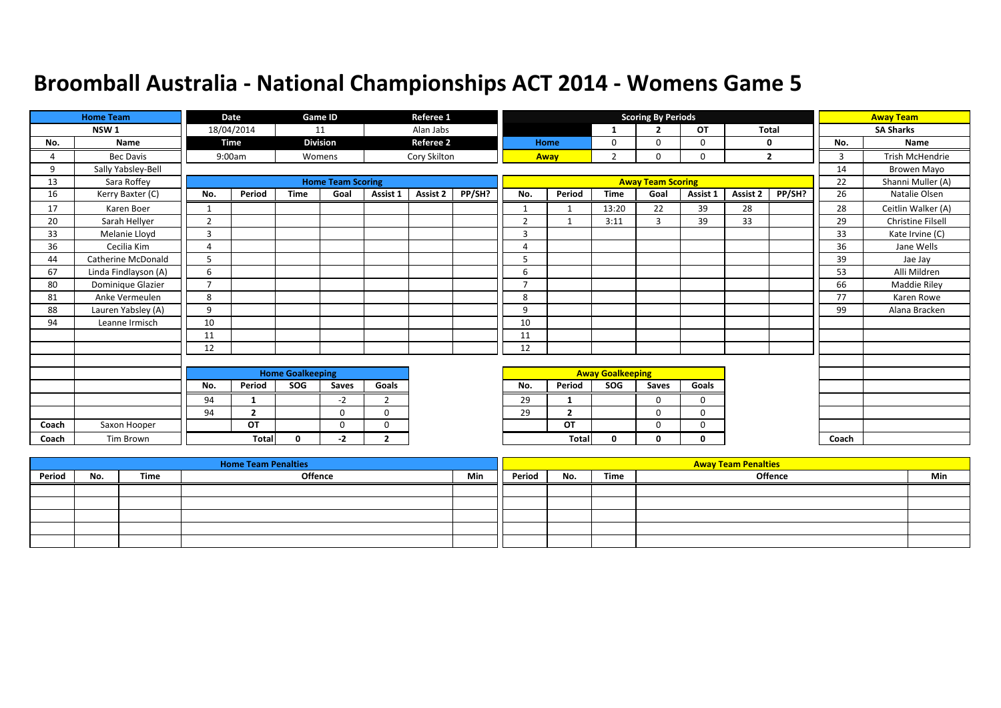|       | <b>Home Team</b>          |                | Date           |                         | Game ID                  |                | Referee 1        |        |                |                |                         | <b>Scoring By Periods</b> |          |          |                |       | <b>Away Team</b>         |
|-------|---------------------------|----------------|----------------|-------------------------|--------------------------|----------------|------------------|--------|----------------|----------------|-------------------------|---------------------------|----------|----------|----------------|-------|--------------------------|
|       | NSW <sub>1</sub>          |                | 18/04/2014     |                         | 11                       |                | Alan Jabs        |        |                |                | 1                       | $\overline{2}$            | OT       | Total    |                |       | <b>SA Sharks</b>         |
| No.   | Name                      |                | Time           |                         | <b>Division</b>          |                | <b>Referee 2</b> |        |                | Home           | 0                       | $\Omega$                  | 0        |          | 0              | No.   | Name                     |
| 4     | <b>Bec Davis</b>          |                | 9:00am         |                         | Womens                   |                | Cory Skilton     |        |                | Away           | 2                       | 0                         | 0        |          | $\overline{2}$ | 3     | Trish McHendrie          |
| 9     | Sally Yabsley-Bell        |                |                |                         |                          |                |                  |        |                |                |                         |                           |          |          |                | 14    | Browen Mayo              |
| 13    | Sara Roffey               |                |                |                         | <b>Home Team Scoring</b> |                |                  |        |                |                |                         | <b>Away Team Scoring</b>  |          |          |                | 22    | Shanni Muller (A)        |
| 16    | Kerry Baxter (C)          | No.            | Period         | <b>Time</b>             | Goal                     | Assist 1       | <b>Assist 2</b>  | PP/SH? | No.            | Period         | <b>Time</b>             | Goal                      | Assist 1 | Assist 2 | PP/SH?         | 26    | Natalie Olsen            |
| 17    | Karen Boer                | 1              |                |                         |                          |                |                  |        | $\mathbf{1}$   | $\overline{1}$ | 13:20                   | 22                        | 39       | 28       |                | 28    | Ceitlin Walker (A)       |
| 20    | Sarah Hellyer             | 2              |                |                         |                          |                |                  |        | $\overline{2}$ | $\mathbf{1}$   | 3:11                    | 3                         | 39       | 33       |                | 29    | <b>Christine Filsell</b> |
| 33    | Melanie Lloyd             | $\overline{3}$ |                |                         |                          |                |                  |        | $\overline{3}$ |                |                         |                           |          |          |                | 33    | Kate Irvine (C)          |
| 36    | Cecilia Kim               | $\overline{A}$ |                |                         |                          |                |                  |        | 4              |                |                         |                           |          |          |                | 36    | Jane Wells               |
| 44    | <b>Catherine McDonald</b> | 5              |                |                         |                          |                |                  |        | 5              |                |                         |                           |          |          |                | 39    | Jae Jay                  |
| 67    | Linda Findlayson (A)      | 6              |                |                         |                          |                |                  |        | 6              |                |                         |                           |          |          |                | 53    | Alli Mildren             |
| 80    | Dominique Glazier         | $\overline{7}$ |                |                         |                          |                |                  |        | 7              |                |                         |                           |          |          |                | 66    | <b>Maddie Riley</b>      |
| 81    | Anke Vermeulen            | 8              |                |                         |                          |                |                  |        | 8              |                |                         |                           |          |          |                | 77    | Karen Rowe               |
| 88    | Lauren Yabsley (A)        | 9              |                |                         |                          |                |                  |        | 9              |                |                         |                           |          |          |                | 99    | Alana Bracken            |
| 94    | Leanne Irmisch            | 10             |                |                         |                          |                |                  |        | 10             |                |                         |                           |          |          |                |       |                          |
|       |                           | 11             |                |                         |                          |                |                  |        | 11             |                |                         |                           |          |          |                |       |                          |
|       |                           | 12             |                |                         |                          |                |                  |        | 12             |                |                         |                           |          |          |                |       |                          |
|       |                           |                |                |                         |                          |                |                  |        |                |                |                         |                           |          |          |                |       |                          |
|       |                           |                |                | <b>Home Goalkeeping</b> |                          |                |                  |        |                |                | <b>Away Goalkeeping</b> |                           |          |          |                |       |                          |
|       |                           | No.            | Period         | SOG                     | Saves                    | Goals          |                  |        | No.            | Period         | <b>SOG</b>              | Saves                     | Goals    |          |                |       |                          |
|       |                           | 94             |                |                         | $-2$                     | $\overline{2}$ |                  |        | 29             | -1             |                         | $\Omega$                  | $\Omega$ |          |                |       |                          |
|       |                           | 94             | $\overline{2}$ |                         | $\mathbf{0}$             | $\mathbf 0$    |                  |        | 29             | $\overline{2}$ |                         | $\Omega$                  | 0        |          |                |       |                          |
| Coach | Saxon Hooper              |                | OT             |                         | $\mathbf 0$              | $\mathbf 0$    |                  |        |                | OT             |                         | $\Omega$                  | 0        |          |                |       |                          |
| Coach | Tim Brown                 |                | <b>Total</b>   | 0                       | -2                       | $\overline{2}$ |                  |        |                | Total          | $\mathbf{0}$            | 0                         | 0        |          |                | Coach |                          |

|        |     |      | <b>Home Team Penalties</b> |     |        |     |      | <b>Away Team Penalties</b> |     |
|--------|-----|------|----------------------------|-----|--------|-----|------|----------------------------|-----|
| Period | No. | Time | Offence                    | Min | Period | No. | Time | <b>Offence</b>             | Min |
|        |     |      |                            |     |        |     |      |                            |     |
|        |     |      |                            |     |        |     |      |                            |     |
|        |     |      |                            |     |        |     |      |                            |     |
|        |     |      |                            |     |        |     |      |                            |     |
|        |     |      |                            |     |        |     |      |                            |     |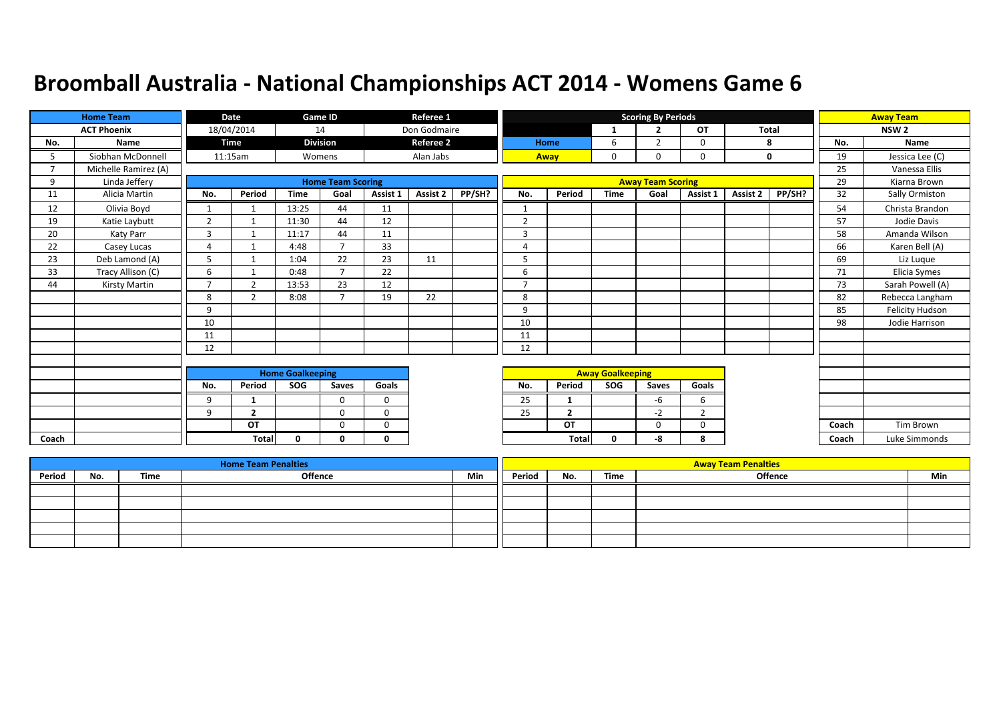|       | <b>Home Team</b>     |                         | Date           |             | Game ID                  |             | Referee 1        |        |                         |                |             | <b>Scoring By Periods</b> |                |              |        |       | <b>Away Team</b> |
|-------|----------------------|-------------------------|----------------|-------------|--------------------------|-------------|------------------|--------|-------------------------|----------------|-------------|---------------------------|----------------|--------------|--------|-------|------------------|
|       | <b>ACT Phoenix</b>   |                         | 18/04/2014     |             | 14                       |             | Don Godmaire     |        |                         |                |             | $\overline{2}$            | <b>OT</b>      | <b>Total</b> |        |       | NSW <sub>2</sub> |
| No.   | Name                 |                         | <b>Time</b>    |             | <b>Division</b>          |             | <b>Referee 2</b> |        |                         | Home           | 6           | $\overline{2}$            | 0              |              | 8      | No.   | Name             |
|       | Siobhan McDonnell    |                         | 11:15am        |             | Womens                   |             | Alan Jabs        |        |                         | Away           | $\mathbf 0$ | $\Omega$                  | $\Omega$       |              | 0      | 19    | Jessica Lee (C)  |
|       | Michelle Ramirez (A) |                         |                |             |                          |             |                  |        |                         |                |             |                           |                |              |        | 25    | Vanessa Ellis    |
| 9     | Linda Jeffery        |                         |                |             | <b>Home Team Scoring</b> |             |                  |        |                         |                |             | <b>Away Team Scoring</b>  |                |              |        | 29    | Kiarna Brown     |
| 11    | Alicia Martin        | No.                     | Period         | <b>Time</b> | Goal                     | Assist 1    | <b>Assist 2</b>  | PP/SH? | No.                     | Period         | <b>Time</b> | Goal                      | Assist 1       | Assist 2     | PP/SH? | 32    | Sally Ormiston   |
| 12    | Olivia Boyd          | $\mathbf{1}$            | $\mathbf 1$    | 13:25       | 44                       | 11          |                  |        |                         |                |             |                           |                |              |        | 54    | Christa Brandon  |
| 19    | Katie Laybutt        | $\overline{2}$          | $\mathbf{1}$   | 11:30       | 44                       | 12          |                  |        | $\overline{2}$          |                |             |                           |                |              |        | 57    | Jodie Davis      |
| 20    | Katy Parr            | 3                       |                | 11:17       | 44                       | 11          |                  |        | 3                       |                |             |                           |                |              |        | 58    | Amanda Wilson    |
| 22    | Casey Lucas          | $\overline{4}$          |                | 4:48        | $\overline{\phantom{a}}$ | 33          |                  |        | $\overline{4}$          |                |             |                           |                |              |        | 66    | Karen Bell (A)   |
| 23    | Deb Lamond (A)       | 5                       |                | 1:04        | 22                       | 23          | 11               |        | 5                       |                |             |                           |                |              |        | 69    | Liz Lugue        |
| 33    | Tracy Allison (C)    | 6                       |                | 0:48        | $\overline{\phantom{a}}$ | 22          |                  |        | 6                       |                |             |                           |                |              |        | 71    | Elicia Symes     |
| 44    | Kirsty Martin        | $\overline{7}$          | $\overline{2}$ | 13:53       | 23                       | 12          |                  |        | $\overline{7}$          |                |             |                           |                |              |        | 73    | Sarah Powell (A) |
|       |                      | 8                       | $\overline{2}$ | 8:08        | $\overline{7}$           | 19          | 22               |        | 8                       |                |             |                           |                |              |        | 82    | Rebecca Langham  |
|       |                      | 9                       |                |             |                          |             |                  |        | 9                       |                |             |                           |                |              |        | 85    | Felicity Hudson  |
|       |                      | 10                      |                |             |                          |             |                  |        | 10                      |                |             |                           |                |              |        | 98    | Jodie Harrison   |
|       |                      | 11                      |                |             |                          |             |                  |        | 11                      |                |             |                           |                |              |        |       |                  |
|       |                      | 12                      |                |             |                          |             |                  |        | 12                      |                |             |                           |                |              |        |       |                  |
|       |                      |                         |                |             |                          |             |                  |        |                         |                |             |                           |                |              |        |       |                  |
|       |                      | <b>Home Goalkeeping</b> |                |             |                          |             |                  |        | <b>Away Goalkeeping</b> |                |             |                           |                |              |        |       |                  |
|       |                      | No.                     | Period         | <b>SOG</b>  | Saves                    | Goals       |                  |        | No.                     | Period         | <b>SOG</b>  | Saves                     | Goals          |              |        |       |                  |
|       |                      | 9                       | -1             |             | 0                        | $\mathbf 0$ |                  |        | 25                      |                |             | -6                        | 6              |              |        |       |                  |
|       |                      | 9                       | $\mathbf{2}$   |             | $\Omega$                 | $\Omega$    |                  |        | 25                      | $\overline{2}$ |             | $-2$                      | $\overline{2}$ |              |        |       |                  |
|       |                      |                         | OT             |             | 0                        | 0           |                  |        |                         | OT             |             | $\Omega$                  | 0              |              |        | Coach | Tim Brown        |
| Coach |                      |                         | Total          | 0           | 0                        | 0           |                  |        |                         | <b>Total</b>   | 0           | -8                        | 8              |              |        | Coach | Luke Simmonds    |

|        |     |      | <b>Home Team Penalties</b> |     |        |     |      | <b>Away Team Penalties</b> |     |
|--------|-----|------|----------------------------|-----|--------|-----|------|----------------------------|-----|
| Period | No. | Time | Offence                    | Min | Period | No. | Time | Offence                    | Min |
|        |     |      |                            |     |        |     |      |                            |     |
|        |     |      |                            |     |        |     |      |                            |     |
|        |     |      |                            |     |        |     |      |                            |     |
|        |     |      |                            |     |        |     |      |                            |     |
|        |     |      |                            |     |        |     |      |                            |     |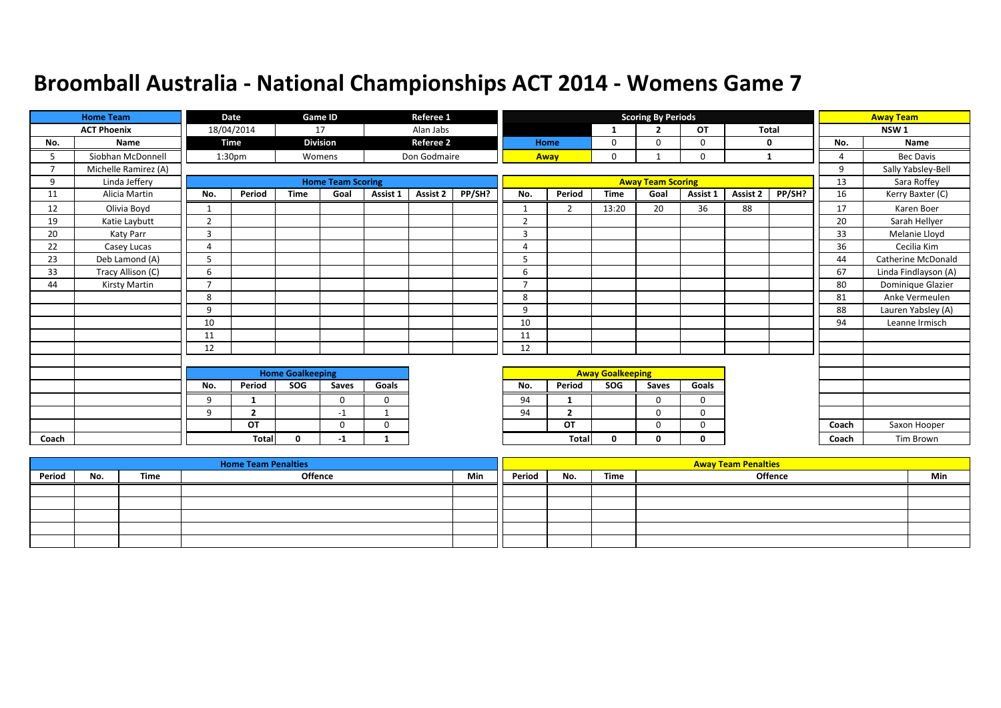|       | <b>Home Team</b>     |                | Date               |                         | Game ID                  |              | Referee 1        |        |                |                |                         | <b>Scoring By Periods</b> |             |              |        |              | <b>Away Team</b>     |
|-------|----------------------|----------------|--------------------|-------------------------|--------------------------|--------------|------------------|--------|----------------|----------------|-------------------------|---------------------------|-------------|--------------|--------|--------------|----------------------|
|       | <b>ACT Phoenix</b>   |                | 18/04/2014         |                         | 17                       |              | Alan Jabs        |        |                |                | -1                      | $\overline{2}$            | OT          | <b>Total</b> |        |              | NSW <sub>1</sub>     |
| No.   | Name                 |                | <b>Time</b>        |                         | <b>Division</b>          |              | <b>Referee 2</b> |        |                | Home           | 0                       | $\Omega$                  | $\mathbf 0$ |              | 0      | No.          | Name                 |
| 5     | Siobhan McDonnell    |                | 1:30 <sub>pm</sub> |                         | Womens                   |              | Don Godmaire     |        |                | Away           | $\mathbf 0$             |                           | $\mathbf 0$ | 1            |        | Δ            | <b>Bec Davis</b>     |
|       | Michelle Ramirez (A) |                |                    |                         |                          |              |                  |        |                |                |                         |                           |             |              |        | $\mathsf{q}$ | Sally Yabsley-Bell   |
| q     | Linda Jeffery        |                |                    |                         | <b>Home Team Scoring</b> |              |                  |        |                |                |                         | <b>Away Team Scoring</b>  |             |              |        | 13           | Sara Roffey          |
| 11    | Alicia Martin        | No.            | Period             | <b>Time</b>             | Goal                     | Assist 1     | <b>Assist 2</b>  | PP/SH? | No.            | Period         | <b>Time</b>             | Goal                      | Assist 1    | Assist 2     | PP/SH? | 16           | Kerry Baxter (C)     |
| 12    | Olivia Boyd          | $\mathbf{1}$   |                    |                         |                          |              |                  |        |                | $\overline{2}$ | 13:20                   | 20                        | 36          | 88           |        | 17           | Karen Boer           |
| 19    | Katie Laybutt        | $\overline{2}$ |                    |                         |                          |              |                  |        | 2              |                |                         |                           |             |              |        | 20           | Sarah Hellyer        |
| 20    | Katy Parr            | $\overline{3}$ |                    |                         |                          |              |                  |        | 3              |                |                         |                           |             |              |        | 33           | Melanie Lloyd        |
| 22    | Casey Lucas          | 4              |                    |                         |                          |              |                  |        | $\overline{4}$ |                |                         |                           |             |              |        | 36           | Cecilia Kim          |
| 23    | Deb Lamond (A)       | 5              |                    |                         |                          |              |                  |        | 5              |                |                         |                           |             |              |        | 44           | Catherine McDonald   |
| 33    | Tracy Allison (C)    | 6              |                    |                         |                          |              |                  |        | 6              |                |                         |                           |             |              |        | 67           | Linda Findlayson (A) |
| 44    | <b>Kirsty Martin</b> | $\overline{7}$ |                    |                         |                          |              |                  |        | $\overline{7}$ |                |                         |                           |             |              |        | 80           | Dominique Glazier    |
|       |                      | 8              |                    |                         |                          |              |                  |        | 8              |                |                         |                           |             |              |        | 81           | Anke Vermeulen       |
|       |                      | 9              |                    |                         |                          |              |                  |        | 9              |                |                         |                           |             |              |        | 88           | Lauren Yabsley (A)   |
|       |                      | 10             |                    |                         |                          |              |                  |        | 10             |                |                         |                           |             |              |        | 94           | Leanne Irmisch       |
|       |                      | 11             |                    |                         |                          |              |                  |        | 11             |                |                         |                           |             |              |        |              |                      |
|       |                      | 12             |                    |                         |                          |              |                  |        | 12             |                |                         |                           |             |              |        |              |                      |
|       |                      |                |                    |                         |                          |              |                  |        |                |                |                         |                           |             |              |        |              |                      |
|       |                      |                |                    | <b>Home Goalkeeping</b> |                          |              |                  |        |                |                | <b>Away Goalkeeping</b> |                           |             |              |        |              |                      |
|       |                      | No.            | Period             | SOG                     | Saves                    | Goals        |                  |        | No.            | Period         | SOG                     | Saves                     | Goals       |              |        |              |                      |
|       |                      | 9              | 1                  |                         | $\mathbf{0}$             | $\mathbf 0$  |                  |        | 94             | -1             |                         | $\mathbf 0$               | $\mathbf 0$ |              |        |              |                      |
|       |                      | 9              | $\overline{2}$     |                         | $-1$                     | $\mathbf{1}$ |                  |        | 94             | $\overline{2}$ |                         | $\Omega$                  | $\Omega$    |              |        |              |                      |
|       |                      |                | OT                 |                         | $\Omega$                 | 0            |                  |        |                | OT             |                         | $\Omega$                  | 0           |              |        | Coach        | Saxon Hooper         |
| Coach |                      |                | <b>Total</b>       | 0                       | -1                       | -1           |                  |        |                | <b>Total</b>   | 0                       | 0                         | 0           |              |        | Coach        | Tim Brown            |

|        |     |      | <b>Home Team Penalties</b> |     |        |     |      | <b>Away Team Penalties</b> |     |
|--------|-----|------|----------------------------|-----|--------|-----|------|----------------------------|-----|
| Period | No. | Time | <b>Offence</b>             | Min | Period | No. | Time | <b>Offence</b>             | Min |
|        |     |      |                            |     |        |     |      |                            |     |
|        |     |      |                            |     |        |     |      |                            |     |
|        |     |      |                            |     |        |     |      |                            |     |
|        |     |      |                            |     |        |     |      |                            |     |
|        |     |      |                            |     |        |     |      |                            |     |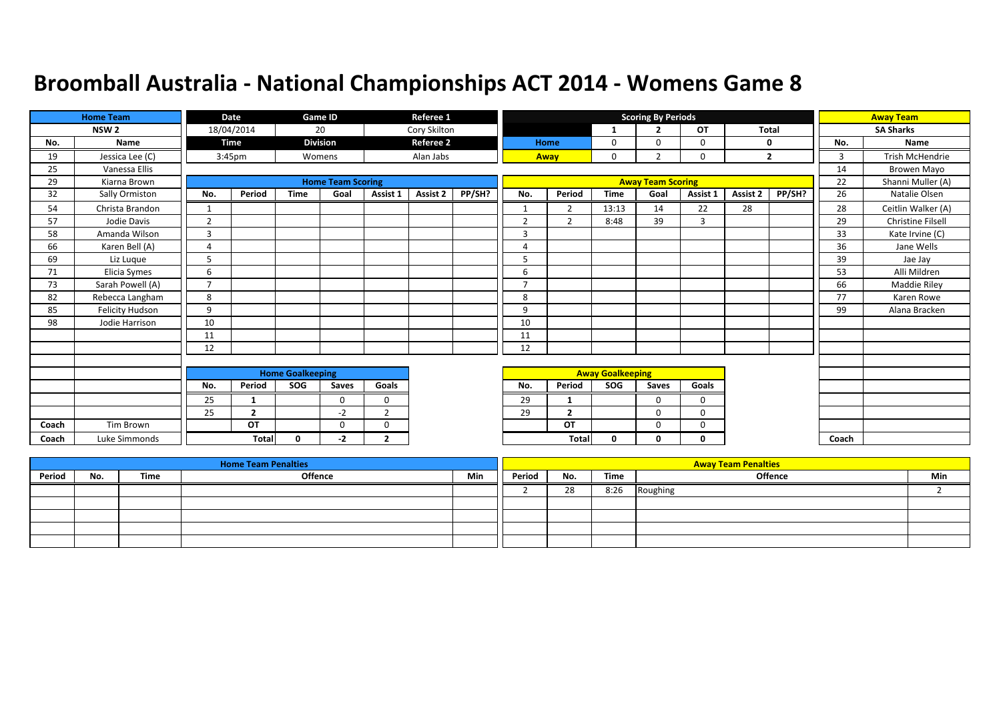|       | <b>Home Team</b>       |                | Date               |                         | Game ID                  |                | Referee 1        |        |                |                |                         | <b>Scoring By Periods</b> |             |              |                |       | <b>Away Team</b>   |
|-------|------------------------|----------------|--------------------|-------------------------|--------------------------|----------------|------------------|--------|----------------|----------------|-------------------------|---------------------------|-------------|--------------|----------------|-------|--------------------|
|       | NSW <sub>2</sub>       |                | 18/04/2014         |                         | 20                       |                | Cory Skilton     |        |                |                | 1                       | $\overline{2}$            | <b>OT</b>   | <b>Total</b> |                |       | <b>SA Sharks</b>   |
| No.   | Name                   |                | Time               |                         | <b>Division</b>          |                | <b>Referee 2</b> |        |                | Home           | 0                       | 0                         | 0           | $\mathbf 0$  |                | No.   | Name               |
| 19    | Jessica Lee (C)        |                | 3:45 <sub>pm</sub> |                         | Womens                   |                | Alan Jabs        |        |                | Away           | 0                       | $\overline{2}$            | 0           |              | $\overline{2}$ | 3     | Trish McHendrie    |
| 25    | Vanessa Ellis          |                |                    |                         |                          |                |                  |        |                |                |                         |                           |             |              |                | 14    | Browen Mayo        |
| 29    | Kiarna Brown           |                |                    |                         | <b>Home Team Scoring</b> |                |                  |        |                |                |                         | <b>Away Team Scoring</b>  |             |              |                | 22    | Shanni Muller (A)  |
| 32    | Sally Ormiston         | No.            | Period             | <b>Time</b>             | Goal                     | Assist 1       | <b>Assist 2</b>  | PP/SH? | No.            | Period         | <b>Time</b>             | Goal                      | Assist 1    | Assist 2     | PP/SH?         | 26    | Natalie Olsen      |
| 54    | Christa Brandon        |                |                    |                         |                          |                |                  |        | $\mathbf{1}$   | $\overline{2}$ | 13:13                   | 14                        | 22          | 28           |                | 28    | Ceitlin Walker (A) |
| 57    | Jodie Davis            | 2              |                    |                         |                          |                |                  |        | $\overline{2}$ | $\overline{2}$ | 8:48                    | 39                        | 3           |              |                | 29    | Christine Filsell  |
| 58    | Amanda Wilson          | 3              |                    |                         |                          |                |                  |        | 3              |                |                         |                           |             |              |                | 33    | Kate Irvine (C)    |
| 66    | Karen Bell (A)         | 4              |                    |                         |                          |                |                  |        | $\overline{a}$ |                |                         |                           |             |              |                | 36    | Jane Wells         |
| 69    | Liz Luque              | 5              |                    |                         |                          |                |                  |        | 5              |                |                         |                           |             |              |                | 39    | Jae Jay            |
| 71    | Elicia Symes           | 6              |                    |                         |                          |                |                  |        | 6              |                |                         |                           |             |              |                | 53    | Alli Mildren       |
| 73    | Sarah Powell (A)       | $\overline{7}$ |                    |                         |                          |                |                  |        | $\overline{7}$ |                |                         |                           |             |              |                | 66    | Maddie Riley       |
| 82    | Rebecca Langham        | 8              |                    |                         |                          |                |                  |        | 8              |                |                         |                           |             |              |                | 77    | Karen Rowe         |
| 85    | <b>Felicity Hudson</b> | 9              |                    |                         |                          |                |                  |        | 9              |                |                         |                           |             |              |                | 99    | Alana Bracken      |
| 98    | Jodie Harrison         | 10             |                    |                         |                          |                |                  |        | 10             |                |                         |                           |             |              |                |       |                    |
|       |                        | 11             |                    |                         |                          |                |                  |        | 11             |                |                         |                           |             |              |                |       |                    |
|       |                        | 12             |                    |                         |                          |                |                  |        | 12             |                |                         |                           |             |              |                |       |                    |
|       |                        |                |                    |                         |                          |                |                  |        |                |                |                         |                           |             |              |                |       |                    |
|       |                        |                |                    | <b>Home Goalkeeping</b> |                          |                |                  |        |                |                | <b>Away Goalkeeping</b> |                           |             |              |                |       |                    |
|       |                        | No.            | Period             | SOG                     | Saves                    | Goals          |                  |        | No.            | Period         | SOG                     | Saves                     | Goals       |              |                |       |                    |
|       |                        | 25             | -1                 |                         | $\Omega$                 | $\mathbf 0$    |                  |        | 29             | -1             |                         | $\Omega$                  | $\Omega$    |              |                |       |                    |
|       |                        | 25             | $\overline{2}$     |                         | $-2$                     | $\overline{2}$ |                  |        | 29             | $\overline{2}$ |                         | $\mathbf 0$               | $\mathbf 0$ |              |                |       |                    |
| Coach | Tim Brown              |                | OT                 |                         | $\Omega$                 | $\mathbf 0$    |                  |        |                | OT             |                         | $\Omega$                  | 0           |              |                |       |                    |
| Coach | Luke Simmonds          |                | <b>Total</b>       | $\mathbf{0}$            | -2                       | $\overline{2}$ |                  |        |                | Total          | $\mathbf{0}$            | U                         | 0           |              |                | Coach |                    |

|        |     |      | <b>Home Team Penalties</b> |     |        |     |      | <b>Away Team Penalties</b> |     |
|--------|-----|------|----------------------------|-----|--------|-----|------|----------------------------|-----|
| Period | No. | Time | Offence                    | Min | Period | No. | Time | <b>Offence</b>             | Min |
|        |     |      |                            |     |        | 28  | 8:26 | Roughing                   |     |
|        |     |      |                            |     |        |     |      |                            |     |
|        |     |      |                            |     |        |     |      |                            |     |
|        |     |      |                            |     |        |     |      |                            |     |
|        |     |      |                            |     |        |     |      |                            |     |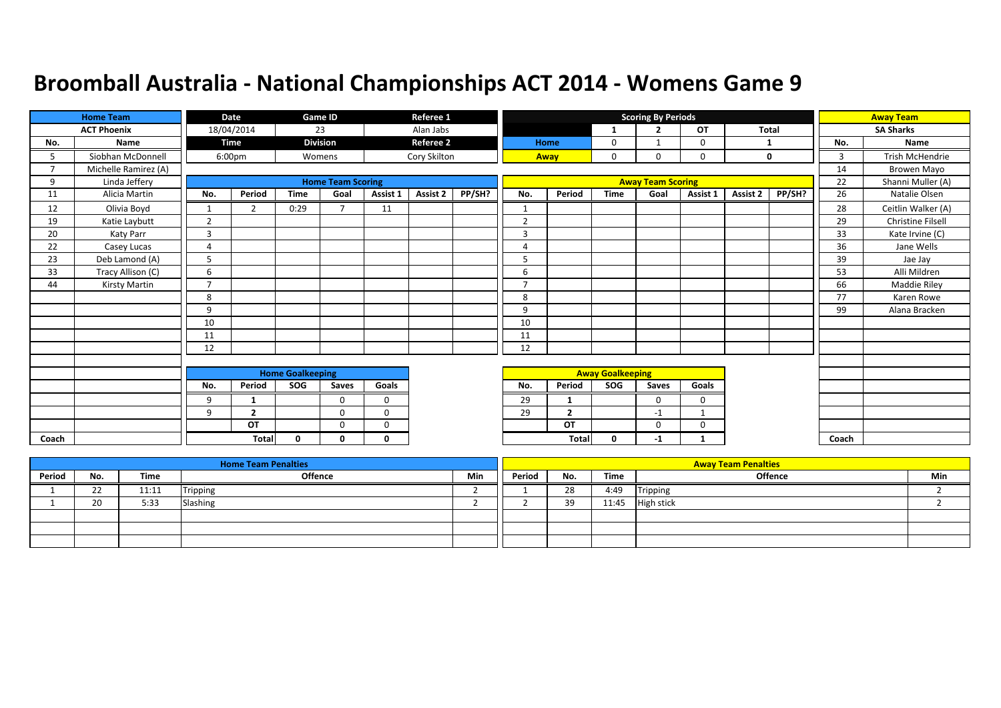|       | <b>Home Team</b>     |                | <b>Date</b>    |                         | Game ID                  |             | Referee 1        |        |                |                |                         | <b>Scoring By Periods</b> |             |                 |        |       | <b>Away Team</b>    |
|-------|----------------------|----------------|----------------|-------------------------|--------------------------|-------------|------------------|--------|----------------|----------------|-------------------------|---------------------------|-------------|-----------------|--------|-------|---------------------|
|       | <b>ACT Phoenix</b>   |                | 18/04/2014     |                         | 23                       |             | Alan Jabs        |        |                |                | -1                      | $\overline{2}$            | OT          | <b>Total</b>    |        |       | <b>SA Sharks</b>    |
| No.   | Name                 |                | <b>Time</b>    |                         | <b>Division</b>          |             | <b>Referee 2</b> |        |                | Home           | 0                       |                           | 0           | 1               |        | No.   | Name                |
| 5.    | Siobhan McDonnell    |                | 6:00pm         |                         | Womens                   |             | Cory Skilton     |        | Away           |                | 0                       | $\Omega$                  | 0           |                 | 0      | 3     | Trish McHendrie     |
|       | Michelle Ramirez (A) |                |                |                         |                          |             |                  |        |                |                |                         |                           |             |                 |        | 14    | Browen Mayo         |
| 9     | Linda Jeffery        |                |                |                         | <b>Home Team Scoring</b> |             |                  |        |                |                |                         | <b>Away Team Scoring</b>  |             |                 |        | 22    | Shanni Muller (A)   |
| 11    | Alicia Martin        | No.            | Period         | <b>Time</b>             | Goal                     | Assist 1    | <b>Assist 2</b>  | PP/SH? | No.            | Period         | <b>Time</b>             | Goal                      | Assist 1    | <b>Assist 2</b> | PP/SH? | 26    | Natalie Olsen       |
| 12    | Olivia Boyd          | $\mathbf{1}$   | $\overline{2}$ | 0:29                    | $\overline{7}$           | 11          |                  |        | $\mathbf{1}$   |                |                         |                           |             |                 |        | 28    | Ceitlin Walker (A)  |
| 19    | Katie Laybutt        | $\overline{2}$ |                |                         |                          |             |                  |        | $\overline{2}$ |                |                         |                           |             |                 |        | 29    | Christine Filsell   |
| 20    | Katy Parr            | 3              |                |                         |                          |             |                  |        | 3              |                |                         |                           |             |                 |        | 33    | Kate Irvine (C)     |
| 22    | Casey Lucas          | 4              |                |                         |                          |             |                  |        | $\overline{4}$ |                |                         |                           |             |                 |        | 36    | Jane Wells          |
| 23    | Deb Lamond (A)       | 5              |                |                         |                          |             |                  |        | 5              |                |                         |                           |             |                 |        | 39    | Jae Jay             |
| 33    | Tracy Allison (C)    | 6              |                |                         |                          |             |                  |        | 6              |                |                         |                           |             |                 |        | 53    | Alli Mildren        |
| 44    | Kirsty Martin        | $\overline{7}$ |                |                         |                          |             |                  |        | $\overline{ }$ |                |                         |                           |             |                 |        | 66    | <b>Maddie Riley</b> |
|       |                      | 8              |                |                         |                          |             |                  |        | 8              |                |                         |                           |             |                 |        | 77    | Karen Rowe          |
|       |                      | 9              |                |                         |                          |             |                  |        | 9              |                |                         |                           |             |                 |        | 99    | Alana Bracken       |
|       |                      | 10             |                |                         |                          |             |                  |        | 10             |                |                         |                           |             |                 |        |       |                     |
|       |                      | 11             |                |                         |                          |             |                  |        | 11             |                |                         |                           |             |                 |        |       |                     |
|       |                      | 12             |                |                         |                          |             |                  |        | 12             |                |                         |                           |             |                 |        |       |                     |
|       |                      |                |                |                         |                          |             |                  |        |                |                |                         |                           |             |                 |        |       |                     |
|       |                      |                |                | <b>Home Goalkeeping</b> |                          |             |                  |        |                |                | <b>Away Goalkeeping</b> |                           |             |                 |        |       |                     |
|       |                      | No.            | Period         | SOG                     | Saves                    | Goals       |                  |        | No.            | Period         | <b>SOG</b>              | Saves                     | Goals       |                 |        |       |                     |
|       |                      | 9              | 1              |                         | 0                        | $\mathbf 0$ |                  |        | 29             | -1             |                         | $\mathbf 0$               | $\mathbf 0$ |                 |        |       |                     |
|       |                      | 9              | $\overline{2}$ |                         | 0                        | 0           |                  |        | 29             | $\overline{2}$ |                         | $-1$                      |             |                 |        |       |                     |
|       |                      |                | OT             |                         | 0                        | 0           |                  |        |                | OT             |                         | $\Omega$                  | 0           |                 |        |       |                     |
| Coach |                      |                | Total          | 0                       | 0                        | 0           |                  |        |                | <b>Total</b>   | 0                       | $-1$                      |             |                 |        | Coach |                     |

|        |                    |       | <b>Home Team Penalties</b> |     |        |     |       | <b>Away Team Penalties</b> |     |
|--------|--------------------|-------|----------------------------|-----|--------|-----|-------|----------------------------|-----|
| Period | No.                | Time  | Offence                    | Min | Period | No. | Time  | <b>Offence</b>             | Min |
|        | $\mathbf{a}$<br>22 | 11:11 | Tripping                   |     |        | 28  | 4:49  | Tripping                   |     |
|        | 20                 | 5:33  | Slashing                   |     |        | 39  | 11:45 | <b>High stick</b>          |     |
|        |                    |       |                            |     |        |     |       |                            |     |
|        |                    |       |                            |     |        |     |       |                            |     |
|        |                    |       |                            |     |        |     |       |                            |     |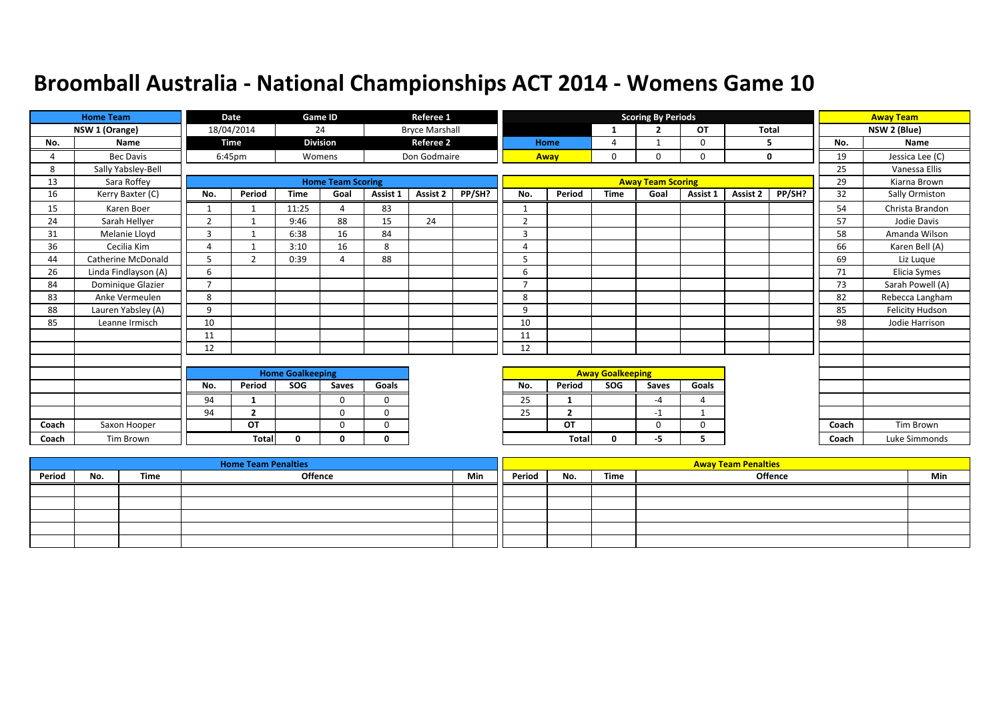|       | <b>Home Team</b>          |                | <b>Date</b>    |                         | Game ID                  |              | Referee 1             |        |                |                |                         | <b>Scoring By Periods</b> |              |          |        |       | <b>Away Team</b>       |
|-------|---------------------------|----------------|----------------|-------------------------|--------------------------|--------------|-----------------------|--------|----------------|----------------|-------------------------|---------------------------|--------------|----------|--------|-------|------------------------|
|       | NSW 1 (Orange)            |                | 18/04/2014     |                         | 24                       |              | <b>Bryce Marshall</b> |        |                |                | -1                      | $\overline{2}$            | <b>OT</b>    | Total    |        |       | NSW 2 (Blue)           |
| No.   | Name                      |                | <b>Time</b>    |                         | <b>Division</b>          |              | <b>Referee 2</b>      |        |                | Home           | 4                       |                           | 0            | 5        |        | No.   | Name                   |
|       | <b>Bec Davis</b>          |                | 6:45pm         |                         | Womens                   |              | Don Godmaire          |        |                | Away           | 0                       | $\Omega$                  | 0            |          | 0      | 19    | Jessica Lee (C)        |
| 8     | Sally Yabsley-Bell        |                |                |                         |                          |              |                       |        |                |                |                         |                           |              |          |        | 25    | Vanessa Ellis          |
| 13    | Sara Roffey               |                |                |                         | <b>Home Team Scoring</b> |              |                       |        |                |                |                         | <b>Away Team Scoring</b>  |              |          |        | 29    | Kiarna Brown           |
| 16    | Kerry Baxter (C)          | No.            | Period         | <b>Time</b>             | Goal                     | Assist 1     | <b>Assist 2</b>       | PP/SH? | No.            | Period         | <b>Time</b>             | Goal                      | Assist 1     | Assist 2 | PP/SH? | 32    | Sally Ormiston         |
| 15    | Karen Boer                | $\mathbf{1}$   |                | 11:25                   | $\Lambda$                | 83           |                       |        | $\mathbf{1}$   |                |                         |                           |              |          |        | 54    | Christa Brandon        |
| 24    | Sarah Hellyer             | 2              |                | 9:46                    | 88                       | 15           | 24                    |        | $\overline{2}$ |                |                         |                           |              |          |        | 57    | Jodie Davis            |
| 31    | Melanie Lloyd             | 3              |                | 6:38                    | 16                       | 84           |                       |        | 3              |                |                         |                           |              |          |        | 58    | Amanda Wilson          |
| 36    | Cecilia Kim               | 4              |                | 3:10                    | 16                       | 8            |                       |        | 4              |                |                         |                           |              |          |        | 66    | Karen Bell (A)         |
| 44    | <b>Catherine McDonald</b> | 5              | $\mathcal{P}$  | 0:39                    |                          | 88           |                       |        | 5              |                |                         |                           |              |          |        | 69    | Liz Luque              |
| 26    | Linda Findlayson (A)      | 6              |                |                         |                          |              |                       |        | 6              |                |                         |                           |              |          |        | 71    | Elicia Symes           |
| 84    | Dominique Glazier         | $\overline{7}$ |                |                         |                          |              |                       |        | 7              |                |                         |                           |              |          |        | 73    | Sarah Powell (A)       |
| 83    | Anke Vermeulen            | 8              |                |                         |                          |              |                       |        | 8              |                |                         |                           |              |          |        | 82    | Rebecca Langham        |
| 88    | Lauren Yabsley (A)        | 9              |                |                         |                          |              |                       |        | 9              |                |                         |                           |              |          |        | 85    | <b>Felicity Hudson</b> |
| 85    | Leanne Irmisch            | 10             |                |                         |                          |              |                       |        | 10             |                |                         |                           |              |          |        | 98    | Jodie Harrison         |
|       |                           | 11             |                |                         |                          |              |                       |        | 11             |                |                         |                           |              |          |        |       |                        |
|       |                           | 12             |                |                         |                          |              |                       |        | 12             |                |                         |                           |              |          |        |       |                        |
|       |                           |                |                |                         |                          |              |                       |        |                |                |                         |                           |              |          |        |       |                        |
|       |                           |                |                | <b>Home Goalkeeping</b> |                          |              |                       |        |                |                | <b>Away Goalkeeping</b> |                           |              |          |        |       |                        |
|       |                           | No.            | Period         | SOG                     | Saves                    | Goals        |                       |        | No.            | Period         | SOG                     | Saves                     | Goals        |          |        |       |                        |
|       |                           | 94             | 1              |                         | $\Omega$                 | $\mathbf 0$  |                       |        | 25             |                |                         | $-4$                      | 4            |          |        |       |                        |
|       |                           | 94             | $\overline{2}$ |                         | $\Omega$                 | $\mathbf 0$  |                       |        | 25             | $\overline{2}$ |                         | $-1$                      | $\mathbf{1}$ |          |        |       |                        |
| Coach | Saxon Hooper              |                | OT             |                         | $\Omega$                 | $\Omega$     |                       |        |                | OT             |                         | $\Omega$                  | $\Omega$     |          |        | Coach | Tim Brown              |
| Coach | Tim Brown                 |                | <b>Total</b>   | 0                       | <sup>0</sup>             | $\mathbf{0}$ |                       |        |                | Total          | $\mathbf{0}$            | -5                        | 5.           |          |        | Coach | Luke Simmonds          |

|        |     |      | <b>Home Team Penalties</b> |     |        |     |      | <b>Away Team Penalties</b> |     |
|--------|-----|------|----------------------------|-----|--------|-----|------|----------------------------|-----|
| Period | No. | Time | <b>Offence</b>             | Min | Period | No. | Time | <b>Offence</b>             | Min |
|        |     |      |                            |     |        |     |      |                            |     |
|        |     |      |                            |     |        |     |      |                            |     |
|        |     |      |                            |     |        |     |      |                            |     |
|        |     |      |                            |     |        |     |      |                            |     |
|        |     |      |                            |     |        |     |      |                            |     |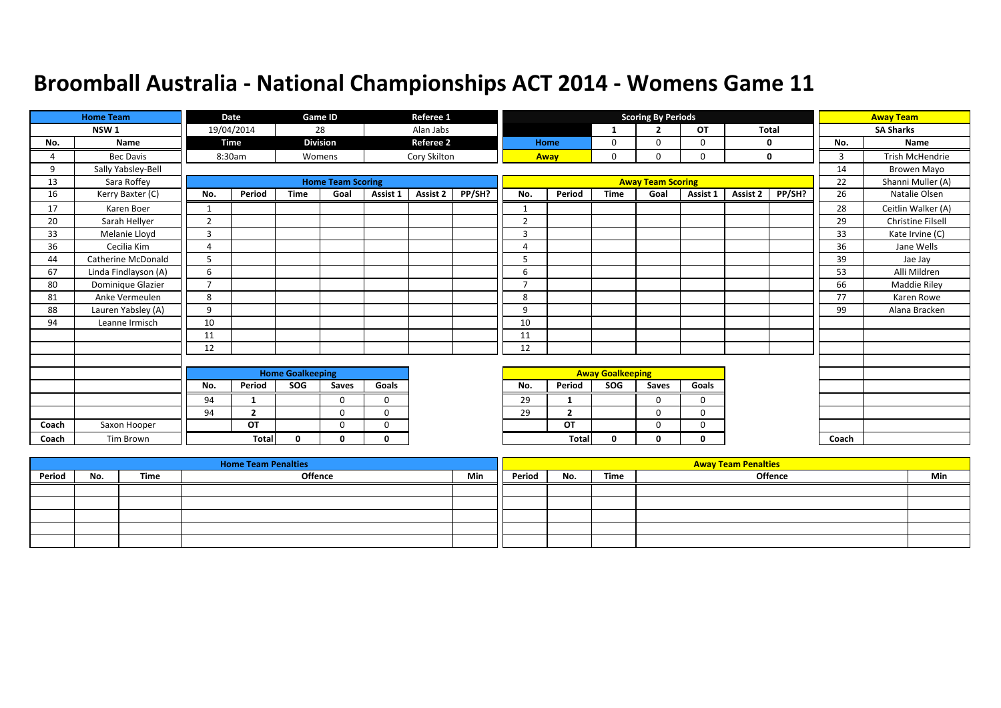|       | <b>Home Team</b>     |                | Date           |                         | Game ID                  |             | Referee 1        |        |                |                |                         | <b>Scoring By Periods</b> |             |              |        |       | <b>Away Team</b>         |
|-------|----------------------|----------------|----------------|-------------------------|--------------------------|-------------|------------------|--------|----------------|----------------|-------------------------|---------------------------|-------------|--------------|--------|-------|--------------------------|
|       | NSW <sub>1</sub>     |                | 19/04/2014     |                         | 28                       |             | Alan Jabs        |        |                |                | $\mathbf{1}$            | <u>ີ</u>                  | OT          | <b>Total</b> |        |       | <b>SA Sharks</b>         |
| No.   | Name                 |                | Time           |                         | <b>Division</b>          |             | <b>Referee 2</b> |        |                | <b>Home</b>    | 0                       | $\Omega$                  | 0           |              | 0      | No.   | Name                     |
| 4     | <b>Bec Davis</b>     |                | 8:30am         |                         | Womens                   |             | Cory Skilton     |        |                | Away           | 0                       | 0                         | 0           |              | 0      | 3     | Trish McHendrie          |
| 9     | Sally Yabsley-Bell   |                |                |                         |                          |             |                  |        |                |                |                         |                           |             |              |        | 14    | Browen Mayo              |
| 13    | Sara Roffey          |                |                |                         | <b>Home Team Scoring</b> |             |                  |        |                |                |                         | <b>Away Team Scoring</b>  |             |              |        | 22    | Shanni Muller (A)        |
| 16    | Kerry Baxter (C)     | No.            | Period         | <b>Time</b>             | Goal                     | Assist 1    | Assist 2         | PP/SH? | No.            | Period         | <b>Time</b>             | Goal                      | Assist 1    | Assist 2     | PP/SH? | 26    | Natalie Olsen            |
| 17    | Karen Boer           | 1              |                |                         |                          |             |                  |        | 1              |                |                         |                           |             |              |        | 28    | Ceitlin Walker (A)       |
| 20    | Sarah Hellyer        | 2              |                |                         |                          |             |                  |        | $\overline{2}$ |                |                         |                           |             |              |        | 29    | <b>Christine Filsell</b> |
| 33    | Melanie Lloyd        | $\overline{3}$ |                |                         |                          |             |                  |        | $\overline{3}$ |                |                         |                           |             |              |        | 33    | Kate Irvine (C)          |
| 36    | Cecilia Kim          | $\overline{4}$ |                |                         |                          |             |                  |        | 4              |                |                         |                           |             |              |        | 36    | Jane Wells               |
| 44    | Catherine McDonald   | 5              |                |                         |                          |             |                  |        | 5              |                |                         |                           |             |              |        | 39    | Jae Jay                  |
| 67    | Linda Findlayson (A) | 6              |                |                         |                          |             |                  |        | 6              |                |                         |                           |             |              |        | 53    | Alli Mildren             |
| 80    | Dominique Glazier    | $\overline{7}$ |                |                         |                          |             |                  |        | 7              |                |                         |                           |             |              |        | 66    | <b>Maddie Riley</b>      |
| 81    | Anke Vermeulen       | 8              |                |                         |                          |             |                  |        | 8              |                |                         |                           |             |              |        | 77    | Karen Rowe               |
| 88    | Lauren Yabsley (A)   | 9              |                |                         |                          |             |                  |        | 9              |                |                         |                           |             |              |        | 99    | Alana Bracken            |
| 94    | Leanne Irmisch       | 10             |                |                         |                          |             |                  |        | 10             |                |                         |                           |             |              |        |       |                          |
|       |                      | 11             |                |                         |                          |             |                  |        | 11             |                |                         |                           |             |              |        |       |                          |
|       |                      | 12             |                |                         |                          |             |                  |        | 12             |                |                         |                           |             |              |        |       |                          |
|       |                      |                |                |                         |                          |             |                  |        |                |                |                         |                           |             |              |        |       |                          |
|       |                      |                |                | <b>Home Goalkeeping</b> |                          |             |                  |        |                |                | <b>Away Goalkeeping</b> |                           |             |              |        |       |                          |
|       |                      | No.            | Period         | SOG                     | Saves                    | Goals       |                  |        | No.            | Period         | <b>SOG</b>              | Saves                     | Goals       |              |        |       |                          |
|       |                      | 94             |                |                         | $\Omega$                 | $\mathbf 0$ |                  |        | 29             | -1             |                         | 0                         | 0           |              |        |       |                          |
|       |                      | 94             | $\overline{2}$ |                         | $\Omega$                 | $\Omega$    |                  |        | 29             | $\overline{2}$ |                         | $\Omega$                  | $\mathbf 0$ |              |        |       |                          |
| Coach | Saxon Hooper         |                | OT             |                         | $\Omega$                 | $\Omega$    |                  |        |                | OT             |                         | $\Omega$                  | 0           |              |        |       |                          |
| Coach | Tim Brown            |                | <b>Total</b>   | $\Omega$                | n                        | $\Omega$    |                  |        |                | Total          | $\mathbf{0}$            | 0                         | 0           |              |        | Coach |                          |

|        |     |      | <b>Home Team Penalties</b> |     |        |     |      | <b>Away Team Penalties</b> |     |
|--------|-----|------|----------------------------|-----|--------|-----|------|----------------------------|-----|
| Period | No. | Time | Offence                    | Min | Period | No. | Time | Offence                    | Min |
|        |     |      |                            |     |        |     |      |                            |     |
|        |     |      |                            |     |        |     |      |                            |     |
|        |     |      |                            |     |        |     |      |                            |     |
|        |     |      |                            |     |        |     |      |                            |     |
|        |     |      |                            |     |        |     |      |                            |     |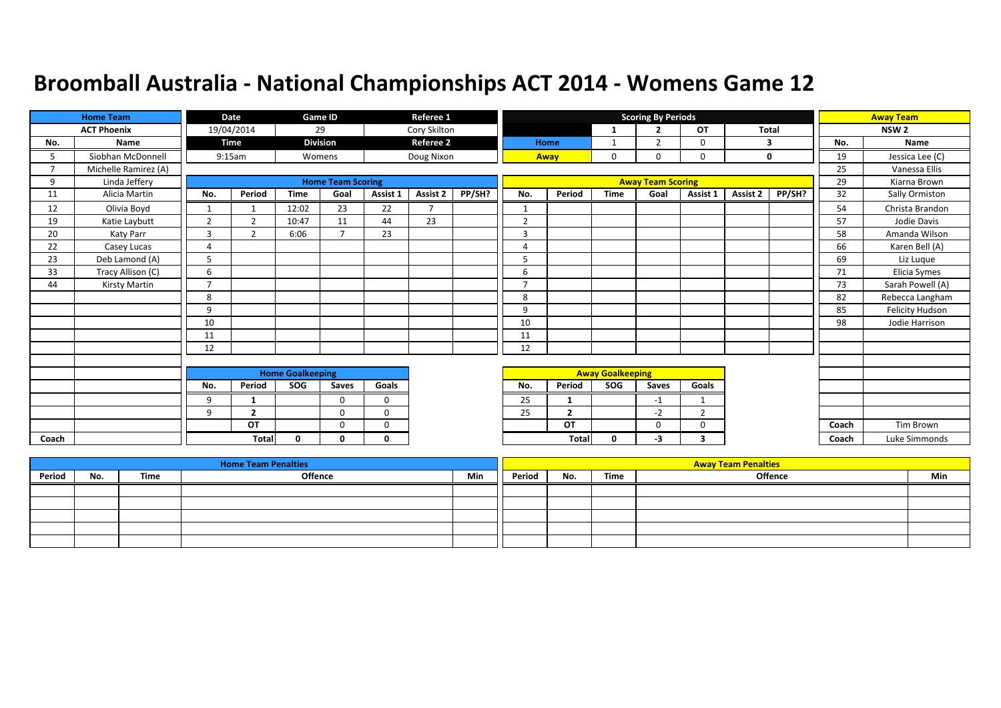|       | <b>Home Team</b>     |                         | Date           |              | <b>Game ID</b>           |          | Referee 1                |        |                         |                |             | <b>Scoring By Periods</b> |           |          |              |       | <b>Away Team</b> |
|-------|----------------------|-------------------------|----------------|--------------|--------------------------|----------|--------------------------|--------|-------------------------|----------------|-------------|---------------------------|-----------|----------|--------------|-------|------------------|
|       | <b>ACT Phoenix</b>   |                         | 19/04/2014     |              | 29                       |          | Cory Skilton             |        |                         |                | 1           | $\overline{2}$            | <b>OT</b> |          | <b>Total</b> |       | NSW <sub>2</sub> |
| No.   | Name                 |                         | <b>Time</b>    |              | <b>Division</b>          |          | <b>Referee 2</b>         |        |                         | Home           |             | $\overline{2}$            | 0         |          | 3            | No.   | <b>Name</b>      |
| 5     | Siobhan McDonnell    |                         | 9:15am         |              | Womens                   |          | Doug Nixon               |        |                         | Away           | 0           |                           | 0         |          | 0            | 19    | Jessica Lee (C)  |
|       | Michelle Ramirez (A) |                         |                |              |                          |          |                          |        |                         |                |             |                           |           |          |              | 25    | Vanessa Ellis    |
| 9     | Linda Jeffery        |                         |                |              | <b>Home Team Scoring</b> |          |                          |        |                         |                |             | <b>Away Team Scoring</b>  |           |          |              | 29    | Kiarna Brown     |
| 11    | Alicia Martin        | No.                     | Period         | <b>Time</b>  | Goal                     | Assist 1 | Assist 2                 | PP/SH? | No.                     | Period         | <b>Time</b> | Goal                      | Assist 1  | Assist 2 | PP/SH?       | 32    | Sally Ormiston   |
| 12    | Olivia Boyd          | 1                       |                | 12:02        | 23                       | 22       | $\overline{\phantom{a}}$ |        |                         |                |             |                           |           |          |              | 54    | Christa Brandon  |
| 19    | Katie Laybutt        | $\overline{2}$          | $\overline{2}$ | 10:47        | 11                       | 44       | 23                       |        | $\overline{2}$          |                |             |                           |           |          |              | 57    | Jodie Davis      |
| 20    | Katy Parr            | 3                       | ຳ              | 6:06         | $\overline{ }$           | 23       |                          |        | 3                       |                |             |                           |           |          |              | 58    | Amanda Wilson    |
| 22    | Casey Lucas          | 4                       |                |              |                          |          |                          |        | $\Delta$                |                |             |                           |           |          |              | 66    | Karen Bell (A)   |
| 23    | Deb Lamond (A)       | 5                       |                |              |                          |          |                          |        | 5                       |                |             |                           |           |          |              | 69    | Liz Luque        |
| 33    | Tracy Allison (C)    | 6                       |                |              |                          |          |                          |        | 6                       |                |             |                           |           |          |              | 71    | Elicia Symes     |
| 44    | Kirsty Martin        | $\overline{7}$          |                |              |                          |          |                          |        | $\overline{7}$          |                |             |                           |           |          |              | 73    | Sarah Powell (A) |
|       |                      | 8                       |                |              |                          |          |                          |        | 8                       |                |             |                           |           |          |              | 82    | Rebecca Langham  |
|       |                      | 9                       |                |              |                          |          |                          |        | 9                       |                |             |                           |           |          |              | 85    | Felicity Hudson  |
|       |                      | 10                      |                |              |                          |          |                          |        | 10                      |                |             |                           |           |          |              | 98    | Jodie Harrison   |
|       |                      | 11                      |                |              |                          |          |                          |        | 11                      |                |             |                           |           |          |              |       |                  |
|       |                      | 12                      |                |              |                          |          |                          |        | 12                      |                |             |                           |           |          |              |       |                  |
|       |                      |                         |                |              |                          |          |                          |        |                         |                |             |                           |           |          |              |       |                  |
|       |                      | <b>Home Goalkeeping</b> |                |              |                          |          |                          |        | <b>Away Goalkeeping</b> |                |             |                           |           |          |              |       |                  |
|       |                      | No.                     | Period         | SOG          | Saves                    | Goals    |                          |        | No.                     | Period         | SOG         | Saves                     | Goals     |          |              |       |                  |
|       |                      | 9                       | -1             |              | $\Omega$                 | 0        |                          |        | 25                      | $\mathbf{1}$   |             | $-1$                      |           |          |              |       |                  |
|       |                      | 9                       | $\overline{2}$ |              | $\Omega$                 | $\Omega$ |                          |        | 25                      | $\overline{2}$ |             | $-2$                      | 2         |          |              |       |                  |
|       |                      |                         | OT             |              | 0                        | 0        |                          |        |                         | OT             |             | $\Omega$                  | 0         |          |              | Coach | <b>Tim Brown</b> |
| Coach |                      |                         | <b>Total</b>   | $\mathbf{0}$ | 0                        | 0        |                          |        |                         | <b>Total</b>   | 0           | -3                        | 3         |          |              | Coach | Luke Simmonds    |

|        |     |      | <b>Home Team Penalties</b> |     |        |     |      | <b>Away Team Penalties</b> |     |
|--------|-----|------|----------------------------|-----|--------|-----|------|----------------------------|-----|
| Period | No. | Time | <b>Offence</b>             | Min | Period | No. | Time | <b>Offence</b>             | Min |
|        |     |      |                            |     |        |     |      |                            |     |
|        |     |      |                            |     |        |     |      |                            |     |
|        |     |      |                            |     |        |     |      |                            |     |
|        |     |      |                            |     |        |     |      |                            |     |
|        |     |      |                            |     |        |     |      |                            |     |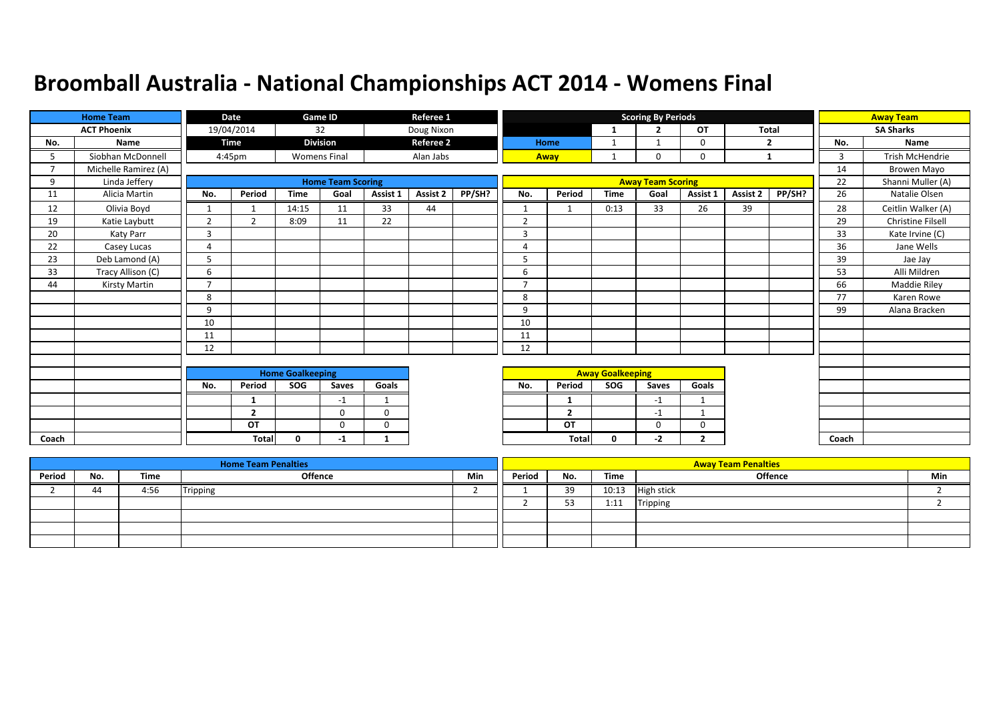|       | <b>Home Team</b>     |                         | Date               |              | Game ID                  |              | Referee 1        |        |                |                         |             | <b>Scoring By Periods</b> |                |              |        |       | <b>Away Team</b>       |
|-------|----------------------|-------------------------|--------------------|--------------|--------------------------|--------------|------------------|--------|----------------|-------------------------|-------------|---------------------------|----------------|--------------|--------|-------|------------------------|
|       | <b>ACT Phoenix</b>   |                         | 19/04/2014         |              | 32                       |              | Doug Nixon       |        |                |                         | -1          | $\overline{2}$            | OT             | <b>Total</b> |        |       | <b>SA Sharks</b>       |
| No.   | Name                 |                         | <b>Time</b>        |              | <b>Division</b>          |              | <b>Referee 2</b> |        |                | Home                    | 1           | $\overline{\mathbf{1}}$   | 0              |              | 2      | No.   | Name                   |
| 5.    | Siobhan McDonnell    |                         | 4:45 <sub>pm</sub> |              | <b>Womens Final</b>      |              | Alan Jabs        |        |                | Away                    | 1           | $\Omega$                  | 0              |              | 1      | 3     | <b>Trish McHendrie</b> |
|       | Michelle Ramirez (A) |                         |                    |              |                          |              |                  |        |                |                         |             |                           |                |              |        | 14    | Browen Mayo            |
| 9     | Linda Jeffery        |                         |                    |              | <b>Home Team Scoring</b> |              |                  |        |                |                         |             | <b>Away Team Scoring</b>  |                |              |        | 22    | Shanni Muller (A)      |
| 11    | Alicia Martin        | No.                     | Period             | <b>Time</b>  | Goal                     | Assist 1     | Assist 2         | PP/SH? | No.            | Period                  | <b>Time</b> | Goal                      | Assist 1       | Assist 2     | PP/SH? | 26    | Natalie Olsen          |
| 12    | Olivia Boyd          | $\mathbf{1}$            | $\overline{1}$     | 14:15        | 11                       | 33           | 44               |        | $\mathbf{1}$   | $\overline{1}$          | 0:13        | 33                        | 26             | 39           |        | 28    | Ceitlin Walker (A)     |
| 19    | Katie Laybutt        | 2                       | $\overline{2}$     | 8:09         | 11                       | 22           |                  |        | $\overline{2}$ |                         |             |                           |                |              |        | 29    | Christine Filsell      |
| 20    | Katy Parr            | 3                       |                    |              |                          |              |                  |        | 3              |                         |             |                           |                |              |        | 33    | Kate Irvine (C)        |
| 22    | Casey Lucas          | $\overline{4}$          |                    |              |                          |              |                  |        | $\overline{4}$ |                         |             |                           |                |              |        | 36    | Jane Wells             |
| 23    | Deb Lamond (A)       | 5                       |                    |              |                          |              |                  |        | 5              |                         |             |                           |                |              |        | 39    | Jae Jay                |
| 33    | Tracy Allison (C)    | 6                       |                    |              |                          |              |                  |        | 6              |                         |             |                           |                |              |        | 53    | Alli Mildren           |
| 44    | Kirsty Martin        | $\overline{7}$          |                    |              |                          |              |                  |        | $\overline{7}$ |                         |             |                           |                |              |        | 66    | Maddie Riley           |
|       |                      | 8                       |                    |              |                          |              |                  |        | 8              |                         |             |                           |                |              |        | 77    | Karen Rowe             |
|       |                      | 9                       |                    |              |                          |              |                  |        | 9              |                         |             |                           |                |              |        | 99    | Alana Bracken          |
|       |                      | 10                      |                    |              |                          |              |                  |        | 10             |                         |             |                           |                |              |        |       |                        |
|       |                      | 11                      |                    |              |                          |              |                  |        | 11             |                         |             |                           |                |              |        |       |                        |
|       |                      | 12                      |                    |              |                          |              |                  |        | 12             |                         |             |                           |                |              |        |       |                        |
|       |                      |                         |                    |              |                          |              |                  |        |                |                         |             |                           |                |              |        |       |                        |
|       |                      | <b>Home Goalkeeping</b> |                    |              |                          |              |                  |        |                | <b>Away Goalkeeping</b> |             |                           |                |              |        |       |                        |
|       |                      | No.                     | Period             | SOG          | Saves                    | Goals        |                  |        | No.            | Period                  | <b>SOG</b>  | Saves                     | Goals          |              |        |       |                        |
|       |                      |                         | 1                  |              | $-1$                     | $\mathbf{1}$ |                  |        |                | $\mathbf{1}$            |             | $-1$                      | $\mathbf{1}$   |              |        |       |                        |
|       |                      |                         | $\overline{2}$     |              | 0                        | $\mathbf 0$  |                  |        |                | $\overline{2}$          |             | $-1$                      | $\mathbf{1}$   |              |        |       |                        |
|       |                      |                         | OT                 |              | $\Omega$                 | $\mathbf 0$  |                  |        |                | OT                      |             | 0                         | 0              |              |        |       |                        |
| Coach |                      |                         | <b>Total</b>       | $\mathbf{0}$ | -1                       | $\mathbf{1}$ |                  |        |                | Total                   | 0           | -2                        | $\overline{2}$ |              |        | Coach |                        |

|        |     |      | <b>Home Team Penalties</b> |     |        |            |       | <b>Away Team Penalties</b> |     |
|--------|-----|------|----------------------------|-----|--------|------------|-------|----------------------------|-----|
| Period | No. | Time | Offence                    | Min | Period | No.        | Time  | Offence                    | Min |
|        | 44  | 4:56 | Tripping                   |     |        | 39         | 10:13 | <b>High stick</b>          |     |
|        |     |      |                            |     |        | r o<br>ر ر | 1:11  | <b>Tripping</b>            |     |
|        |     |      |                            |     |        |            |       |                            |     |
|        |     |      |                            |     |        |            |       |                            |     |
|        |     |      |                            |     |        |            |       |                            |     |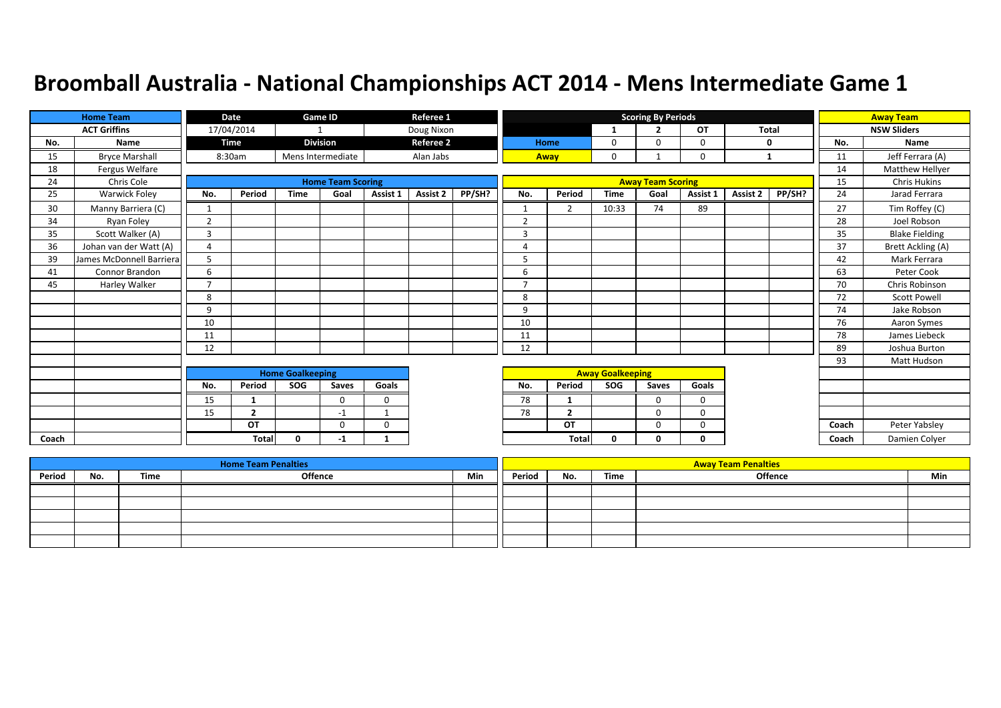|       | <b>Home Team</b>         |                | Date           |                         | Game ID                  |              | Referee 1        |        |                |                |                         | <b>Scoring By Periods</b> |              |                 |        |       | <b>Away Team</b>         |
|-------|--------------------------|----------------|----------------|-------------------------|--------------------------|--------------|------------------|--------|----------------|----------------|-------------------------|---------------------------|--------------|-----------------|--------|-------|--------------------------|
|       | <b>ACT Griffins</b>      |                | 17/04/2014     | $\mathbf{1}$            |                          |              | Doug Nixon       |        |                |                | 1                       | ຳ                         | OT           | <b>Total</b>    |        |       | <b>NSW Sliders</b>       |
| No.   | Name                     |                | <b>Time</b>    |                         | <b>Division</b>          |              | <b>Referee 2</b> |        |                | Home           | $\mathbf 0$             | $\Omega$                  | $\mathbf 0$  | 0               |        | No.   | Name                     |
| 15    | <b>Bryce Marshall</b>    |                | 8:30am         |                         | Mens Intermediate        |              | Alan Jabs        |        |                | Away           | $\mathbf 0$             |                           | $\mathbf 0$  | 1               |        | 11    | Jeff Ferrara (A)         |
| 18    | Fergus Welfare           |                |                |                         |                          |              |                  |        |                |                |                         |                           |              |                 |        | 14    | Matthew Hellyer          |
| 24    | Chris Cole               |                |                |                         | <b>Home Team Scoring</b> |              |                  |        |                |                |                         | <b>Away Team Scoring</b>  |              |                 |        | 15    | <b>Chris Hukins</b>      |
| 25    | Warwick Foley            | No.            | Period         | <b>Time</b>             | Goal                     | Assist 1     | Assist 2         | PP/SH? | No.            | Period         | <b>Time</b>             | Goal                      | Assist 1     | <b>Assist 2</b> | PP/SH? | 24    | Jarad Ferrara            |
| 30    | Manny Barriera (C)       | 1              |                |                         |                          |              |                  |        | $\mathbf{1}$   | $\overline{2}$ | 10:33                   | 74                        | 89           |                 |        | 27    | Tim Roffey (C)           |
| 34    | Ryan Foley               | $\overline{2}$ |                |                         |                          |              |                  |        | $\overline{2}$ |                |                         |                           |              |                 |        | 28    | Joel Robson              |
| 35    | Scott Walker (A)         | 3              |                |                         |                          |              |                  |        | $\overline{3}$ |                |                         |                           |              |                 |        | 35    | <b>Blake Fielding</b>    |
| 36    | Johan van der Watt (A)   | 4              |                |                         |                          |              |                  |        | $\overline{A}$ |                |                         |                           |              |                 |        | 37    | <b>Brett Ackling (A)</b> |
| 39    | James McDonnell Barriera | 5              |                |                         |                          |              |                  |        | 5              |                |                         |                           |              |                 |        | 42    | Mark Ferrara             |
| 41    | Connor Brandon           | 6              |                |                         |                          |              |                  |        | 6              |                |                         |                           |              |                 |        | 63    | Peter Cook               |
| 45    | Harley Walker            | $\overline{7}$ |                |                         |                          |              |                  |        | $\overline{7}$ |                |                         |                           |              |                 |        | 70    | Chris Robinson           |
|       |                          | 8              |                |                         |                          |              |                  |        | 8              |                |                         |                           |              |                 |        | 72    | <b>Scott Powell</b>      |
|       |                          | 9              |                |                         |                          |              |                  |        | 9              |                |                         |                           |              |                 |        | 74    | Jake Robson              |
|       |                          | 10             |                |                         |                          |              |                  |        | 10             |                |                         |                           |              |                 |        | 76    | Aaron Symes              |
|       |                          | 11             |                |                         |                          |              |                  |        | 11             |                |                         |                           |              |                 |        | 78    | James Liebeck            |
|       |                          | 12             |                |                         |                          |              |                  |        | 12             |                |                         |                           |              |                 |        | 89    | Joshua Burton            |
|       |                          |                |                |                         |                          |              |                  |        |                |                |                         |                           |              |                 |        | 93    | Matt Hudson              |
|       |                          |                |                | <b>Home Goalkeeping</b> |                          |              |                  |        |                |                | <b>Away Goalkeeping</b> |                           |              |                 |        |       |                          |
|       |                          | No.            | Period         | <b>SOG</b>              | Saves                    | Goals        |                  |        | No.            | Period         | SOG                     | Saves                     | Goals        |                 |        |       |                          |
|       |                          | 15             | 1              |                         | $\mathbf 0$              | 0            |                  |        | 78             | 1              |                         | $\Omega$                  | $\mathbf 0$  |                 |        |       |                          |
|       |                          | 15             | $\overline{2}$ |                         | $-1$                     | $\mathbf{1}$ |                  |        | 78             | $\overline{2}$ |                         | $\Omega$                  | $\Omega$     |                 |        |       |                          |
|       |                          |                | OT             |                         | $\Omega$                 | 0            |                  |        |                | OT             |                         | $\Omega$                  | $\mathbf 0$  |                 |        | Coach | Peter Yabsley            |
| Coach |                          |                | <b>Total</b>   | 0                       | -1                       | -1           |                  |        |                | Total          | $\mathbf 0$             | $\mathbf{0}$              | $\mathbf{0}$ |                 |        | Coach | Damien Colyer            |

|        |     |      | <b>Home Team Penalties</b> |     |        |     |      | <b>Away Team Penalties</b> |     |
|--------|-----|------|----------------------------|-----|--------|-----|------|----------------------------|-----|
| Period | No. | Time | Offence                    | Min | Period | No. | Time | Offence                    | Min |
|        |     |      |                            |     |        |     |      |                            |     |
|        |     |      |                            |     |        |     |      |                            |     |
|        |     |      |                            |     |        |     |      |                            |     |
|        |     |      |                            |     |        |     |      |                            |     |
|        |     |      |                            |     |        |     |      |                            |     |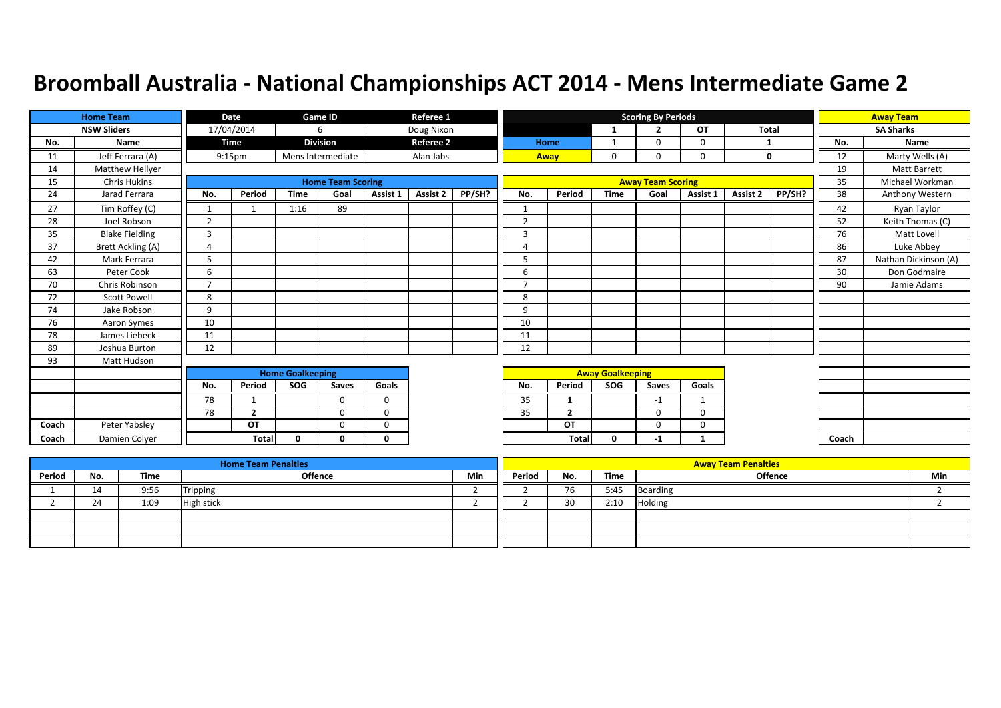|       | <b>Home Team</b>      |                | Date               |                         | Game ID                  |             | Referee 1        |        |                |                |                         | <b>Scoring By Periods</b> |             |          |              |       | <b>Away Team</b>     |
|-------|-----------------------|----------------|--------------------|-------------------------|--------------------------|-------------|------------------|--------|----------------|----------------|-------------------------|---------------------------|-------------|----------|--------------|-------|----------------------|
|       | <b>NSW Sliders</b>    |                | 17/04/2014         |                         | 6                        |             | Doug Nixon       |        |                |                | 1                       | $\overline{2}$            | OT          |          | <b>Total</b> |       | <b>SA Sharks</b>     |
| No.   | Name                  |                | <b>Time</b>        |                         | <b>Division</b>          |             | <b>Referee 2</b> |        |                | Home           | $\mathbf{1}$            | $\Omega$                  | $\mathbf 0$ |          | 1            | No.   | Name                 |
| 11    | Jeff Ferrara (A)      |                | 9:15 <sub>pm</sub> |                         | Mens Intermediate        |             | Alan Jabs        |        |                | Away           | $\mathbf 0$             | $\mathbf 0$               | $\mathbf 0$ |          | $\mathbf 0$  | 12    | Marty Wells (A)      |
| 14    | Matthew Hellyer       |                |                    |                         |                          |             |                  |        |                |                |                         |                           |             |          |              | 19    | Matt Barrett         |
| 15    | <b>Chris Hukins</b>   |                |                    |                         | <b>Home Team Scoring</b> |             |                  |        |                |                |                         | <b>Away Team Scoring</b>  |             |          |              | 35    | Michael Workman      |
| 24    | Jarad Ferrara         | No.            | Period             | <b>Time</b>             | Goal                     | Assist 1    | <b>Assist 2</b>  | PP/SH? | No.            | Period         | <b>Time</b>             | Goal                      | Assist 1    | Assist 2 | PP/SH?       | 38    | Anthony Western      |
| 27    | Tim Roffey (C)        |                |                    | 1:16                    | 89                       |             |                  |        |                |                |                         |                           |             |          |              | 42    | Ryan Taylor          |
| 28    | Joel Robson           | $\overline{2}$ |                    |                         |                          |             |                  |        | $\overline{2}$ |                |                         |                           |             |          |              | 52    | Keith Thomas (C)     |
| 35    | <b>Blake Fielding</b> | 3              |                    |                         |                          |             |                  |        | 3              |                |                         |                           |             |          |              | 76    | Matt Lovell          |
| 37    | Brett Ackling (A)     | 4              |                    |                         |                          |             |                  |        | $\overline{4}$ |                |                         |                           |             |          |              | 86    | Luke Abbey           |
| 42    | Mark Ferrara          | 5              |                    |                         |                          |             |                  |        | 5              |                |                         |                           |             |          |              | 87    | Nathan Dickinson (A) |
| 63    | Peter Cook            | 6              |                    |                         |                          |             |                  |        | 6              |                |                         |                           |             |          |              | 30    | Don Godmaire         |
| 70    | Chris Robinson        | $\overline{7}$ |                    |                         |                          |             |                  |        | $\overline{7}$ |                |                         |                           |             |          |              | 90    | Jamie Adams          |
| 72    | <b>Scott Powell</b>   | 8              |                    |                         |                          |             |                  |        | 8              |                |                         |                           |             |          |              |       |                      |
| 74    | Jake Robson           | 9              |                    |                         |                          |             |                  |        | 9              |                |                         |                           |             |          |              |       |                      |
| 76    | Aaron Symes           | 10             |                    |                         |                          |             |                  |        | 10             |                |                         |                           |             |          |              |       |                      |
| 78    | James Liebeck         | 11             |                    |                         |                          |             |                  |        | 11             |                |                         |                           |             |          |              |       |                      |
| 89    | Joshua Burton         | 12             |                    |                         |                          |             |                  |        | 12             |                |                         |                           |             |          |              |       |                      |
| 93    | Matt Hudson           |                |                    |                         |                          |             |                  |        |                |                |                         |                           |             |          |              |       |                      |
|       |                       |                |                    | <b>Home Goalkeeping</b> |                          |             |                  |        |                |                | <b>Away Goalkeeping</b> |                           |             |          |              |       |                      |
|       |                       | No.            | Period             | SOG                     | Saves                    | Goals       |                  |        | No.            | Period         | <b>SOG</b>              | <b>Saves</b>              | Goals       |          |              |       |                      |
|       |                       | 78             | 1                  |                         | $\Omega$                 | $\mathbf 0$ |                  |        | 35             | 1              |                         | $-1$                      | 1           |          |              |       |                      |
|       |                       | 78             | $\overline{2}$     |                         | $\Omega$                 | $\Omega$    |                  |        | 35             | $\overline{2}$ |                         | $\Omega$                  | $\Omega$    |          |              |       |                      |
| Coach | Peter Yabsley         |                | OT                 |                         | $\Omega$                 | $\Omega$    |                  |        |                | OT             |                         | $\Omega$                  | $\mathbf 0$ |          |              |       |                      |
| Coach | Damien Colyer         |                | <b>Total</b>       | 0                       | 0                        | 0           |                  |        |                | <b>Total</b>   | $\mathbf 0$             | $-1$                      | $\mathbf 1$ |          |              | Coach |                      |

|        |     |      | <b>Home Team Penalties</b> |     |        |     |      | <b>Away Team Penalties</b> |     |
|--------|-----|------|----------------------------|-----|--------|-----|------|----------------------------|-----|
| Period | No. | Time | Offence                    | Min | Period | No. | Time | <b>Offence</b>             | Min |
|        | 14  | 9:56 | Tripping                   |     |        | 76  | 5:45 | <b>Boarding</b>            |     |
|        | 24  | 1:09 | <b>High stick</b>          |     |        | 30  | 2:10 | Holding                    |     |
|        |     |      |                            |     |        |     |      |                            |     |
|        |     |      |                            |     |        |     |      |                            |     |
|        |     |      |                            |     |        |     |      |                            |     |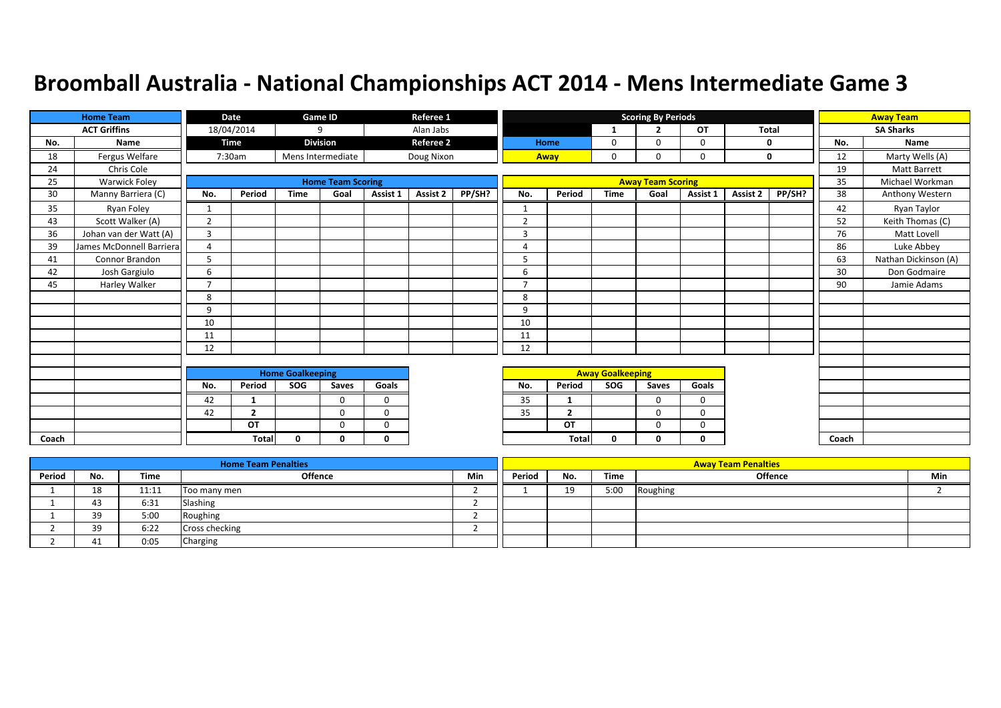|       | <b>Home Team</b>         |                | Date           |                         | Game ID                  |             | Referee 1        |        |                |                |                         | <b>Scoring By Periods</b> |             |              |        |       | <b>Away Team</b>     |
|-------|--------------------------|----------------|----------------|-------------------------|--------------------------|-------------|------------------|--------|----------------|----------------|-------------------------|---------------------------|-------------|--------------|--------|-------|----------------------|
|       | <b>ACT Griffins</b>      |                | 18/04/2014     |                         | 9                        |             | Alan Jabs        |        |                |                |                         | $\overline{2}$            | OT          | <b>Total</b> |        |       | <b>SA Sharks</b>     |
| No.   | Name                     |                | <b>Time</b>    |                         | <b>Division</b>          |             | <b>Referee 2</b> |        |                | Home           | 0                       | $\Omega$                  | $\mathbf 0$ | 0            |        | No.   | Name                 |
| 18    | Fergus Welfare           |                | 7:30am         |                         | Mens Intermediate        |             | Doug Nixon       |        |                | Away           | $\mathbf 0$             | $\Omega$                  | $\mathbf 0$ | $\mathbf 0$  |        | 12    | Marty Wells (A)      |
| 24    | Chris Cole               |                |                |                         |                          |             |                  |        |                |                |                         |                           |             |              |        | 19    | <b>Matt Barrett</b>  |
| 25    | Warwick Foley            |                |                |                         | <b>Home Team Scoring</b> |             |                  |        |                |                |                         | <b>Away Team Scoring</b>  |             |              |        | 35    | Michael Workman      |
| 30    | Manny Barriera (C)       | No.            | Period         | <b>Time</b>             | Goal                     | Assist 1    | <b>Assist 2</b>  | PP/SH? | No.            | Period         | <b>Time</b>             | Goal                      | Assist 1    | Assist 2     | PP/SH? | 38    | Anthony Western      |
| 35    | Ryan Foley               |                |                |                         |                          |             |                  |        |                |                |                         |                           |             |              |        | 42    | Ryan Taylor          |
| 43    | Scott Walker (A)         | $\overline{2}$ |                |                         |                          |             |                  |        | $\overline{2}$ |                |                         |                           |             |              |        | 52    | Keith Thomas (C)     |
| 36    | Johan van der Watt (A)   | 3              |                |                         |                          |             |                  |        | 3              |                |                         |                           |             |              |        | 76    | Matt Lovell          |
| 39    | James McDonnell Barriera | 4              |                |                         |                          |             |                  |        | $\Delta$       |                |                         |                           |             |              |        | 86    | Luke Abbey           |
| 41    | Connor Brandon           | 5              |                |                         |                          |             |                  |        | 5              |                |                         |                           |             |              |        | 63    | Nathan Dickinson (A) |
| 42    | Josh Gargiulo            | 6              |                |                         |                          |             |                  |        | 6              |                |                         |                           |             |              |        | 30    | Don Godmaire         |
| 45    | Harley Walker            | $\overline{7}$ |                |                         |                          |             |                  |        | $\overline{ }$ |                |                         |                           |             |              |        | 90    | Jamie Adams          |
|       |                          | 8              |                |                         |                          |             |                  |        | 8              |                |                         |                           |             |              |        |       |                      |
|       |                          | 9              |                |                         |                          |             |                  |        | 9              |                |                         |                           |             |              |        |       |                      |
|       |                          | 10             |                |                         |                          |             |                  |        | 10             |                |                         |                           |             |              |        |       |                      |
|       |                          | 11             |                |                         |                          |             |                  |        | 11             |                |                         |                           |             |              |        |       |                      |
|       |                          | 12             |                |                         |                          |             |                  |        | 12             |                |                         |                           |             |              |        |       |                      |
|       |                          |                |                |                         |                          |             |                  |        |                |                |                         |                           |             |              |        |       |                      |
|       |                          |                |                | <b>Home Goalkeeping</b> |                          |             |                  |        |                |                | <b>Away Goalkeeping</b> |                           |             |              |        |       |                      |
|       |                          | No.            | Period         | SOG                     | Saves                    | Goals       |                  |        | No.            | Period         | SOG                     | Saves                     | Goals       |              |        |       |                      |
|       |                          | 42             | 1              |                         | $\Omega$                 | $\mathbf 0$ |                  |        | 35             |                |                         | $\mathbf 0$               | $\mathbf 0$ |              |        |       |                      |
|       |                          | 42             | $\overline{2}$ |                         | $\Omega$                 | $\Omega$    |                  |        | 35             | $\overline{2}$ |                         | $\Omega$                  | $\Omega$    |              |        |       |                      |
|       |                          |                | OT             |                         | $\Omega$                 | $\Omega$    |                  |        |                | OT             |                         | $\Omega$                  | 0           |              |        |       |                      |
| Coach |                          |                | <b>Total</b>   | $\mathbf{0}$            | 0                        | 0           |                  |        |                | <b>Total</b>   | 0                       | 0                         | 0           |              |        | Coach |                      |

|        |     |       | <b>Home Team Penalties</b> |     |        |     |      | <b>Away Team Penalties</b> |     |
|--------|-----|-------|----------------------------|-----|--------|-----|------|----------------------------|-----|
| Period | No. | Time  | Offence                    | Min | Period | No. | Time | <b>Offence</b>             | Min |
|        | 18  | 11:11 | Too many men               |     |        | 10. | 5:00 | Roughing                   |     |
|        | 43  | 6:31  | Slashing                   |     |        |     |      |                            |     |
|        | 30  | 5:00  | Roughing                   |     |        |     |      |                            |     |
|        | 39  | 6:22  | <b>Cross checking</b>      |     |        |     |      |                            |     |
|        | 41  | 0:05  | Charging                   |     |        |     |      |                            |     |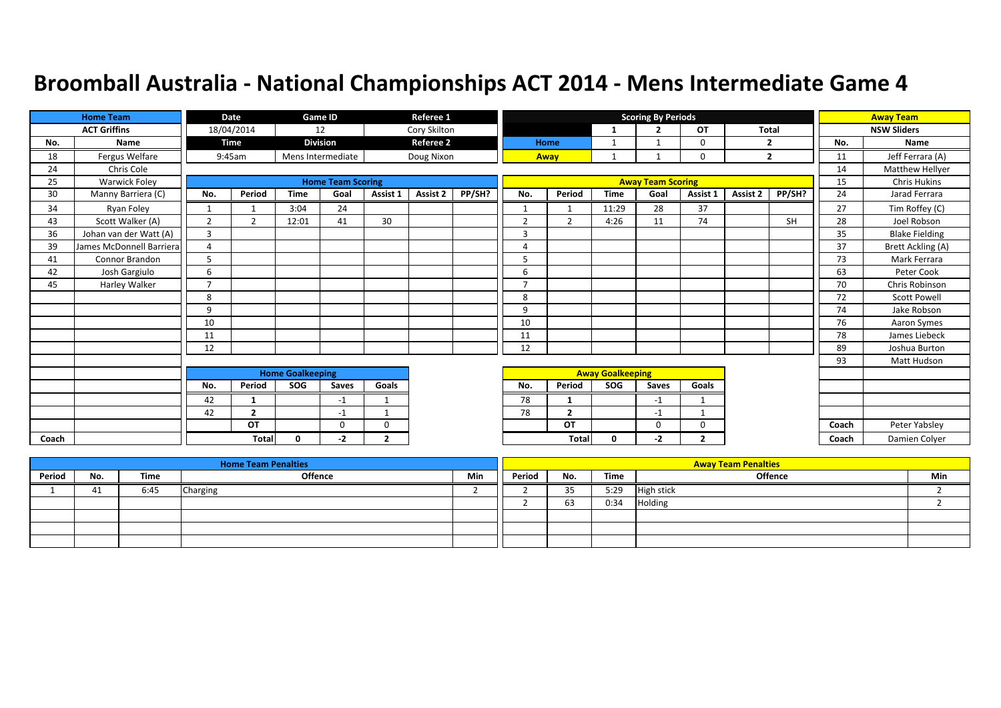|       | <b>Home Team</b>         |                | <b>Date</b>    |                         | Game ID                  |                | Referee 1        |        |                |                |                         | <b>Scoring By Periods</b> |                |              |                |       | <b>Away Team</b>      |
|-------|--------------------------|----------------|----------------|-------------------------|--------------------------|----------------|------------------|--------|----------------|----------------|-------------------------|---------------------------|----------------|--------------|----------------|-------|-----------------------|
|       | <b>ACT Griffins</b>      |                | 18/04/2014     |                         | 12                       |                | Cory Skilton     |        |                |                | -1                      | $\overline{2}$            | OT             | <b>Total</b> |                |       | <b>NSW Sliders</b>    |
| No.   | Name                     |                | Time           |                         | <b>Division</b>          |                | <b>Referee 2</b> |        |                | Home           |                         |                           | $\mathbf 0$    |              | $\overline{2}$ | No.   | Name                  |
| 18    | Fergus Welfare           |                | 9:45am         |                         | Mens Intermediate        |                | Doug Nixon       |        |                | Away           |                         |                           | $\mathbf 0$    |              | $\overline{2}$ | 11    | Jeff Ferrara (A)      |
| 24    | Chris Cole               |                |                |                         |                          |                |                  |        |                |                |                         |                           |                |              |                | 14    | Matthew Hellyer       |
| 25    | <b>Warwick Foley</b>     |                |                |                         | <b>Home Team Scoring</b> |                |                  |        |                |                |                         | <b>Away Team Scoring</b>  |                |              |                | 15    | <b>Chris Hukins</b>   |
| 30    | Manny Barriera (C)       | No.            | Period         | <b>Time</b>             | Goal                     | Assist 1       | Assist 2         | PP/SH? | No.            | Period         | <b>Time</b>             | Goal                      | Assist 1       | Assist 2     | PP/SH?         | 24    | Jarad Ferrara         |
| 34    | Ryan Foley               | $\mathbf{1}$   |                | 3:04                    | 24                       |                |                  |        |                |                | 11:29                   | 28                        | 37             |              |                | 27    | Tim Roffey (C)        |
| 43    | Scott Walker (A)         | $\overline{2}$ | $\overline{2}$ | 12:01                   | 41                       | 30             |                  |        | 2              | 2              | 4:26                    | 11                        | 74             |              | SH             | 28    | Joel Robson           |
| 36    | Johan van der Watt (A)   | 3              |                |                         |                          |                |                  |        | 3              |                |                         |                           |                |              |                | 35    | <b>Blake Fielding</b> |
| 39    | James McDonnell Barriera | 4              |                |                         |                          |                |                  |        | $\Delta$       |                |                         |                           |                |              |                | 37    | Brett Ackling (A)     |
| 41    | Connor Brandon           | 5              |                |                         |                          |                |                  |        | 5              |                |                         |                           |                |              |                | 73    | Mark Ferrara          |
| 42    | Josh Gargiulo            | 6              |                |                         |                          |                |                  |        | 6              |                |                         |                           |                |              |                | 63    | Peter Cook            |
| 45    | Harley Walker            | $\overline{7}$ |                |                         |                          |                |                  |        | $\overline{7}$ |                |                         |                           |                |              |                | 70    | Chris Robinson        |
|       |                          | 8              |                |                         |                          |                |                  |        | 8              |                |                         |                           |                |              |                | 72    | <b>Scott Powell</b>   |
|       |                          | 9              |                |                         |                          |                |                  |        | 9              |                |                         |                           |                |              |                | 74    | Jake Robson           |
|       |                          | 10             |                |                         |                          |                |                  |        | 10             |                |                         |                           |                |              |                | 76    | Aaron Symes           |
|       |                          | 11             |                |                         |                          |                |                  |        | 11             |                |                         |                           |                |              |                | 78    | James Liebeck         |
|       |                          | 12             |                |                         |                          |                |                  |        | 12             |                |                         |                           |                |              |                | 89    | Joshua Burton         |
|       |                          |                |                |                         |                          |                |                  |        |                |                |                         |                           |                |              |                | 93    | Matt Hudson           |
|       |                          |                |                | <b>Home Goalkeeping</b> |                          |                |                  |        |                |                | <b>Away Goalkeeping</b> |                           |                |              |                |       |                       |
|       |                          | No.            | Period         | SOG                     | Saves                    | Goals          |                  |        | No.            | Period         | SOG                     | Saves                     | Goals          |              |                |       |                       |
|       |                          | 42             | 1              |                         | -1                       | $\mathbf{1}$   |                  |        | 78             |                |                         | $-1$                      | $\mathbf{1}$   |              |                |       |                       |
|       |                          | 42             | $\overline{2}$ |                         | $-1$                     | $\mathbf{1}$   |                  |        | 78             | $\overline{2}$ |                         | $-1$                      | $\mathbf{1}$   |              |                |       |                       |
|       |                          |                | OT             |                         | $\Omega$                 | 0              |                  |        |                | OT             |                         | $\mathbf 0$               | $\mathbf 0$    |              |                | Coach | Peter Yabsley         |
| Coach |                          |                | <b>Total</b>   | $\mathbf{0}$            | -2                       | $\overline{2}$ |                  |        |                | <b>Total</b>   | $\mathbf{0}$            | $-2$                      | $\overline{2}$ |              |                | Coach | Damien Colyer         |

|        |     |      | <b>Home Team Penalties</b> |     |        |     |      | <b>Away Team Penalties</b> |     |
|--------|-----|------|----------------------------|-----|--------|-----|------|----------------------------|-----|
| Period | No. | Time | Offence                    | Min | Period | No. | Time | <b>Offence</b>             | Min |
|        | 41  | 6:45 | Charging                   |     |        | 35  | 5:29 | <b>High stick</b>          |     |
|        |     |      |                            |     |        | 63  | 0:34 | Holding                    |     |
|        |     |      |                            |     |        |     |      |                            |     |
|        |     |      |                            |     |        |     |      |                            |     |
|        |     |      |                            |     |        |     |      |                            |     |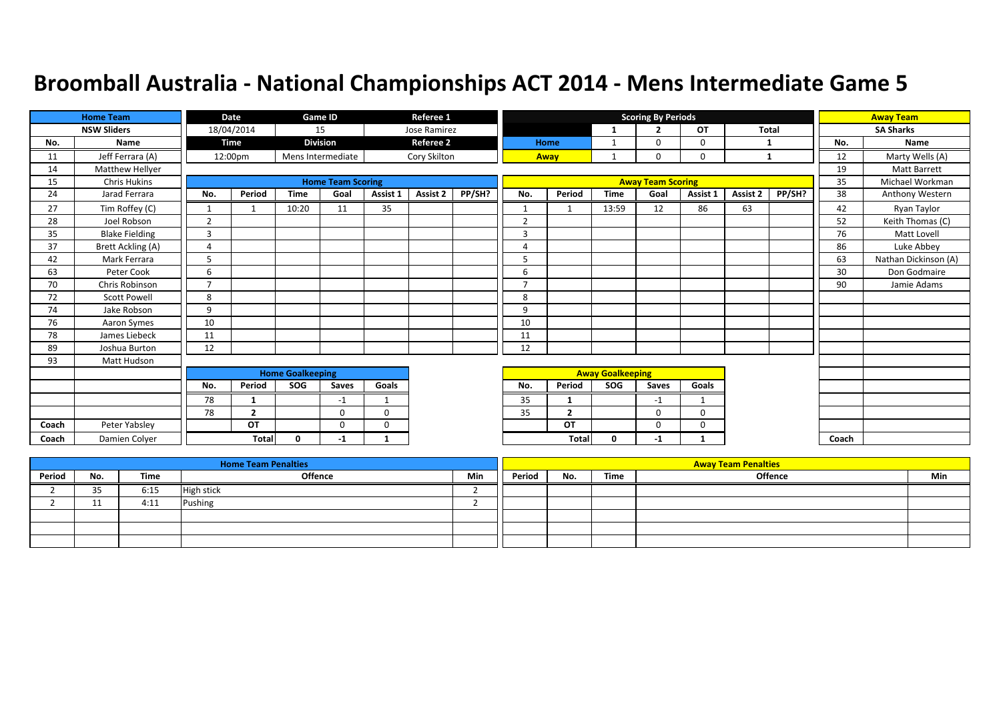|       | <b>Home Team</b>      |                | Date           |                         | Game ID                  |              | Referee 1        |        |                |                |                         | <b>Scoring By Periods</b> |              |          |              |       | <b>Away Team</b>     |
|-------|-----------------------|----------------|----------------|-------------------------|--------------------------|--------------|------------------|--------|----------------|----------------|-------------------------|---------------------------|--------------|----------|--------------|-------|----------------------|
|       | <b>NSW Sliders</b>    |                | 18/04/2014     |                         | 15                       |              | Jose Ramirez     |        |                |                | 1                       | $\overline{2}$            | OT           |          | <b>Total</b> |       | <b>SA Sharks</b>     |
| No.   | <b>Name</b>           |                | <b>Time</b>    |                         | <b>Division</b>          |              | <b>Referee 2</b> |        |                | Home           | $\mathbf{1}$            | $\Omega$                  | $\mathbf 0$  |          | 1            | No.   | Name                 |
| 11    | Jeff Ferrara (A)      |                | 12:00pm        |                         | Mens Intermediate        |              | Cory Skilton     |        |                | Away           |                         | $\mathbf 0$               | $\mathbf 0$  |          | 1            | 12    | Marty Wells (A)      |
| 14    | Matthew Hellyer       |                |                |                         |                          |              |                  |        |                |                |                         |                           |              |          |              | 19    | Matt Barrett         |
| 15    | <b>Chris Hukins</b>   |                |                |                         | <b>Home Team Scoring</b> |              |                  |        |                |                |                         | <b>Away Team Scoring</b>  |              |          |              | 35    | Michael Workman      |
| 24    | Jarad Ferrara         | No.            | Period         | <b>Time</b>             | Goal                     | Assist 1     | <b>Assist 2</b>  | PP/SH? | No.            | Period         | <b>Time</b>             | Goal                      | Assist 1     | Assist 2 | PP/SH?       | 38    | Anthony Western      |
| 27    | Tim Roffey (C)        | 1              |                | 10:20                   | 11                       | 35           |                  |        |                |                | 13:59                   | 12                        | 86           | 63       |              | 42    | Ryan Taylor          |
| 28    | Joel Robson           | $\overline{2}$ |                |                         |                          |              |                  |        | $\overline{2}$ |                |                         |                           |              |          |              | 52    | Keith Thomas (C)     |
| 35    | <b>Blake Fielding</b> | 3              |                |                         |                          |              |                  |        | $\overline{3}$ |                |                         |                           |              |          |              | 76    | Matt Lovell          |
| 37    | Brett Ackling (A)     | 4              |                |                         |                          |              |                  |        | $\overline{4}$ |                |                         |                           |              |          |              | 86    | Luke Abbey           |
| 42    | Mark Ferrara          | 5              |                |                         |                          |              |                  |        | 5              |                |                         |                           |              |          |              | 63    | Nathan Dickinson (A) |
| 63    | Peter Cook            | 6              |                |                         |                          |              |                  |        | 6              |                |                         |                           |              |          |              | 30    | Don Godmaire         |
| 70    | Chris Robinson        | $\overline{7}$ |                |                         |                          |              |                  |        | $\overline{7}$ |                |                         |                           |              |          |              | 90    | Jamie Adams          |
| 72    | <b>Scott Powell</b>   | 8              |                |                         |                          |              |                  |        | 8              |                |                         |                           |              |          |              |       |                      |
| 74    | Jake Robson           | 9              |                |                         |                          |              |                  |        | 9              |                |                         |                           |              |          |              |       |                      |
| 76    | Aaron Symes           | 10             |                |                         |                          |              |                  |        | 10             |                |                         |                           |              |          |              |       |                      |
| 78    | James Liebeck         | 11             |                |                         |                          |              |                  |        | 11             |                |                         |                           |              |          |              |       |                      |
| 89    | Joshua Burton         | 12             |                |                         |                          |              |                  |        | 12             |                |                         |                           |              |          |              |       |                      |
| 93    | Matt Hudson           |                |                |                         |                          |              |                  |        |                |                |                         |                           |              |          |              |       |                      |
|       |                       |                |                | <b>Home Goalkeeping</b> |                          |              |                  |        |                |                | <b>Away Goalkeeping</b> |                           |              |          |              |       |                      |
|       |                       | No.            | Period         | SOG                     | Saves                    | Goals        |                  |        | No.            | Period         | SOG                     | <b>Saves</b>              | Goals        |          |              |       |                      |
|       |                       | 78             | 1              |                         | $-1$                     | $\mathbf{1}$ |                  |        | 35             | 1              |                         | $-1$                      | 1            |          |              |       |                      |
|       |                       | 78             | $\overline{2}$ |                         | $\Omega$                 | $\Omega$     |                  |        | 35             | $\overline{2}$ |                         | $\Omega$                  | $\Omega$     |          |              |       |                      |
| Coach | Peter Yabsley         |                | OT             |                         | $\Omega$                 | $\Omega$     |                  |        |                | OT             |                         | $\Omega$                  | $\mathbf 0$  |          |              |       |                      |
| Coach | Damien Colyer         |                | <b>Total</b>   | 0                       | -1                       | 1            |                  |        |                | <b>Total</b>   | $\mathbf 0$             | $-1$                      | $\mathbf{1}$ |          |              | Coach |                      |

|        |                |      | <b>Home Team Penalties</b> |     |        |     |      | <b>Away Team Penalties</b> |     |
|--------|----------------|------|----------------------------|-----|--------|-----|------|----------------------------|-----|
| Period | No.            | Time | Offence                    | Min | Period | No. | Time | <b>Offence</b>             | Min |
|        | 2E<br><u>.</u> | 6:15 | <b>High stick</b>          |     |        |     |      |                            |     |
|        | <b>. .</b>     | 4:11 | Pushing                    |     |        |     |      |                            |     |
|        |                |      |                            |     |        |     |      |                            |     |
|        |                |      |                            |     |        |     |      |                            |     |
|        |                |      |                            |     |        |     |      |                            |     |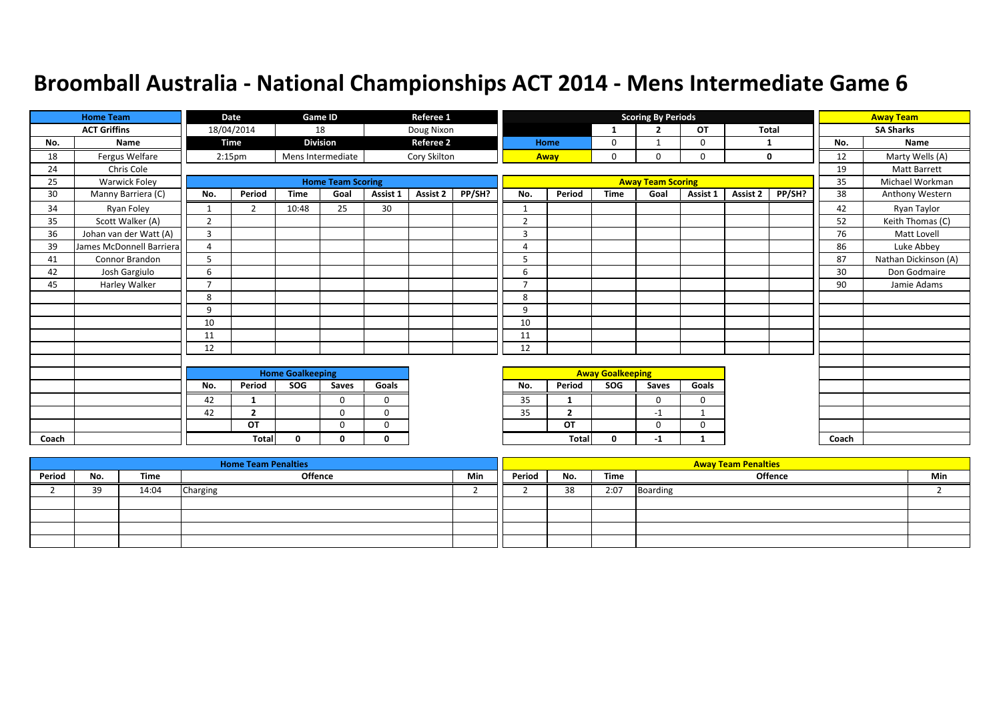|       | <b>Home Team</b>         |                | Date               |                         | Game ID                  |             | Referee 1        |        |                |                         |                         | <b>Scoring By Periods</b> |              |              |        |       | <b>Away Team</b>     |
|-------|--------------------------|----------------|--------------------|-------------------------|--------------------------|-------------|------------------|--------|----------------|-------------------------|-------------------------|---------------------------|--------------|--------------|--------|-------|----------------------|
|       | <b>ACT Griffins</b>      |                | 18/04/2014         |                         | 18                       |             | Doug Nixon       |        |                |                         |                         | $\overline{2}$            | <b>OT</b>    | <b>Total</b> |        |       | <b>SA Sharks</b>     |
| No.   | Name                     |                | <b>Time</b>        |                         | <b>Division</b>          |             | <b>Referee 2</b> |        |                | Home                    | 0                       |                           | $\mathbf 0$  | 1            |        | No.   | Name                 |
| 18    | Fergus Welfare           |                | 2:15 <sub>pm</sub> |                         | Mens Intermediate        |             | Cory Skilton     |        |                | Away                    | 0                       | $\Omega$                  | $\mathbf 0$  | $\mathbf 0$  |        | 12    | Marty Wells (A)      |
| 24    | Chris Cole               |                |                    |                         |                          |             |                  |        |                |                         |                         |                           |              |              |        | 19    | <b>Matt Barrett</b>  |
| 25    | Warwick Foley            |                |                    |                         | <b>Home Team Scoring</b> |             |                  |        |                |                         |                         | <b>Away Team Scoring</b>  |              |              |        | 35    | Michael Workman      |
| 30    | Manny Barriera (C)       | No.            | Period             | <b>Time</b>             | Goal                     | Assist 1    | Assist 2         | PP/SH? | No.            | Period                  | <b>Time</b>             | Goal                      | Assist 1     | Assist 2     | PP/SH? | 38    | Anthony Western      |
| 34    | Ryan Foley               |                | 2                  | 10:48                   | 25                       | 30          |                  |        |                |                         |                         |                           |              |              |        | 42    | Ryan Taylor          |
| 35    | Scott Walker (A)         | $\overline{2}$ |                    |                         |                          |             |                  |        | $\overline{2}$ |                         |                         |                           |              |              |        | 52    | Keith Thomas (C)     |
| 36    | Johan van der Watt (A)   | 3              |                    |                         |                          |             |                  |        | 3              |                         |                         |                           |              |              |        | 76    | Matt Lovell          |
| 39    | James McDonnell Barriera | 4              |                    |                         |                          |             |                  |        | $\overline{4}$ |                         |                         |                           |              |              |        | 86    | Luke Abbey           |
| 41    | Connor Brandon           | 5              |                    |                         |                          |             |                  |        | 5              |                         |                         |                           |              |              |        | 87    | Nathan Dickinson (A) |
| 42    | Josh Gargiulo            | 6              |                    |                         |                          |             |                  |        | 6              |                         |                         |                           |              |              |        | 30    | Don Godmaire         |
| 45    | Harley Walker            | $\overline{7}$ |                    |                         |                          |             |                  |        | $\mathbf{z}$   |                         |                         |                           |              |              |        | 90    | Jamie Adams          |
|       |                          | 8              |                    |                         |                          |             |                  |        | 8              |                         |                         |                           |              |              |        |       |                      |
|       |                          | 9              |                    |                         |                          |             |                  |        | 9              |                         |                         |                           |              |              |        |       |                      |
|       |                          | 10             |                    |                         |                          |             |                  |        | 10             |                         |                         |                           |              |              |        |       |                      |
|       |                          | 11             |                    |                         |                          |             |                  |        | 11             |                         |                         |                           |              |              |        |       |                      |
|       |                          | 12             |                    |                         |                          |             |                  |        | 12             |                         |                         |                           |              |              |        |       |                      |
|       |                          |                |                    |                         |                          |             |                  |        |                |                         |                         |                           |              |              |        |       |                      |
|       |                          |                |                    | <b>Home Goalkeeping</b> |                          |             |                  |        |                |                         | <b>Away Goalkeeping</b> |                           |              |              |        |       |                      |
|       |                          | No.            | Period             | SOG                     | Saves                    | Goals       |                  |        | No.            | Period                  | SOG                     | Saves                     | Goals        |              |        |       |                      |
|       |                          | 42             | 1                  |                         | $\Omega$                 | $\mathbf 0$ |                  |        | 35             | -1                      |                         | $\Omega$                  | $\mathbf 0$  |              |        |       |                      |
|       |                          | 42             | $\overline{2}$     |                         | $\mathbf 0$              | $\mathbf 0$ |                  |        | 35             | $\overline{\mathbf{2}}$ |                         | $-1$                      |              |              |        |       |                      |
|       |                          |                | OT                 |                         | $\Omega$                 | $\Omega$    |                  |        |                | OT                      |                         | $\Omega$                  | 0            |              |        |       |                      |
| Coach |                          |                | <b>Total</b>       | $\Omega$                | 0                        | $\Omega$    |                  |        |                | <b>Total</b>            | 0                       | $-1$                      | $\mathbf{1}$ |              |        | Coach |                      |

|        |     |       | <b>Home Team Penalties</b> |     |        |     |      | <b>Away Team Penalties</b> |     |
|--------|-----|-------|----------------------------|-----|--------|-----|------|----------------------------|-----|
| Period | No. | Time  | Offence                    | Min | Period | No. | Time | Offence                    | Min |
|        | 39  | 14:04 | Charging                   |     |        | 38  | 2:07 | <b>Boarding</b>            |     |
|        |     |       |                            |     |        |     |      |                            |     |
|        |     |       |                            |     |        |     |      |                            |     |
|        |     |       |                            |     |        |     |      |                            |     |
|        |     |       |                            |     |        |     |      |                            |     |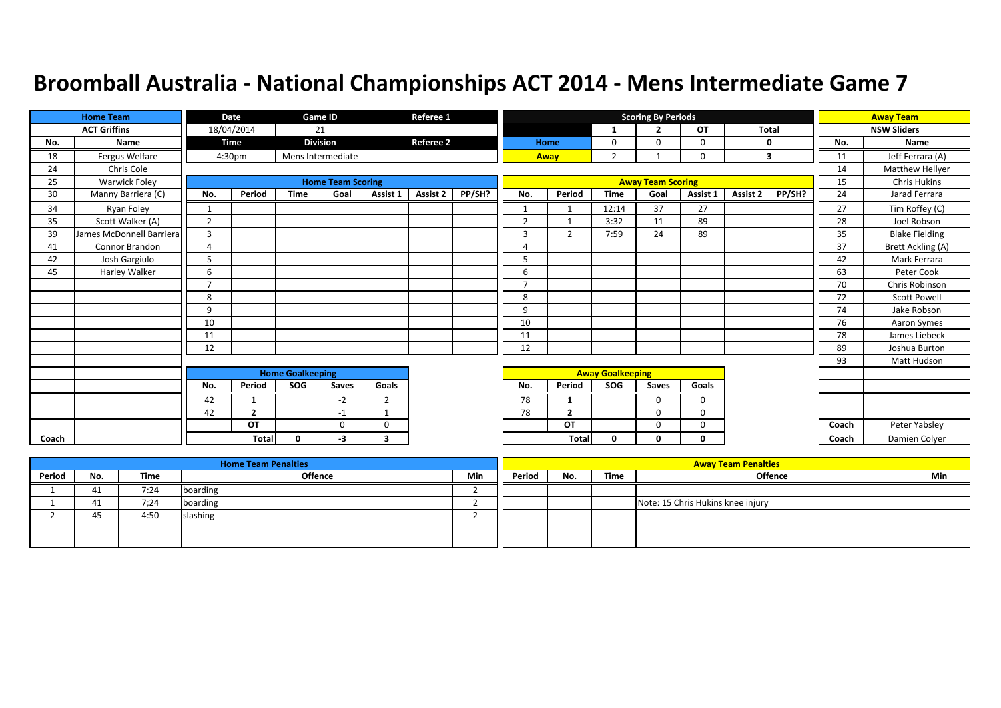|       | <b>Home Team</b>         |                          | <b>Date</b>        |                         | Game ID                  |                | Referee 1        |        |                |                         |                         | <b>Scoring By Periods</b> |              |                         |        |       | <b>Away Team</b>      |
|-------|--------------------------|--------------------------|--------------------|-------------------------|--------------------------|----------------|------------------|--------|----------------|-------------------------|-------------------------|---------------------------|--------------|-------------------------|--------|-------|-----------------------|
|       | <b>ACT Griffins</b>      |                          | 18/04/2014         |                         | 21                       |                |                  |        |                |                         | -1                      | $\overline{2}$            | OT           | <b>Total</b>            |        |       | <b>NSW Sliders</b>    |
| No.   | Name                     |                          | <b>Time</b>        |                         | <b>Division</b>          |                | <b>Referee 2</b> |        |                | Home                    | $\mathbf 0$             | $\mathbf 0$               | $\mathbf 0$  | 0                       |        | No.   | Name                  |
| 18    | Fergus Welfare           |                          | 4:30 <sub>pm</sub> |                         | Mens Intermediate        |                |                  |        |                | Away                    | $\overline{2}$          |                           | $\mathbf 0$  | $\overline{\mathbf{3}}$ |        | 11    | Jeff Ferrara (A)      |
| 24    | Chris Cole               |                          |                    |                         |                          |                |                  |        |                |                         |                         |                           |              |                         |        | 14    | Matthew Hellyer       |
| 25    | Warwick Foley            |                          |                    |                         | <b>Home Team Scoring</b> |                |                  |        |                |                         |                         | <b>Away Team Scoring</b>  |              |                         |        | 15    | <b>Chris Hukins</b>   |
| 30    | Manny Barriera (C)       | No.                      | Period             | <b>Time</b>             | Goal                     | Assist 1       | Assist 2         | PP/SH? | No.            | Period                  | <b>Time</b>             | Goal                      | Assist 1     | Assist 2                | PP/SH? | 24    | Jarad Ferrara         |
| 34    | Ryan Foley               | $\mathbf{1}$             |                    |                         |                          |                |                  |        |                |                         | 12:14                   | 37                        | 27           |                         |        | 27    | Tim Roffey (C)        |
| 35    | Scott Walker (A)         | $\overline{2}$           |                    |                         |                          |                |                  |        | $\overline{2}$ |                         | 3:32                    | 11                        | 89           |                         |        | 28    | Joel Robson           |
| 39    | James McDonnell Barriera | 3                        |                    |                         |                          |                |                  |        | $\overline{3}$ | $\overline{2}$          | 7:59                    | 24                        | 89           |                         |        | 35    | <b>Blake Fielding</b> |
| 41    | Connor Brandon           | 4                        |                    |                         |                          |                |                  |        | $\overline{4}$ |                         |                         |                           |              |                         |        | 37    | Brett Ackling (A)     |
| 42    | Josh Gargiulo            | 5                        |                    |                         |                          |                |                  |        | 5              |                         |                         |                           |              |                         |        | 42    | Mark Ferrara          |
| 45    | Harley Walker            | 6                        |                    |                         |                          |                |                  |        | 6              |                         |                         |                           |              |                         |        | 63    | Peter Cook            |
|       |                          | $\overline{\phantom{a}}$ |                    |                         |                          |                |                  |        | $\mathbf{z}$   |                         |                         |                           |              |                         |        | 70    | Chris Robinson        |
|       |                          | 8                        |                    |                         |                          |                |                  |        | 8              |                         |                         |                           |              |                         |        | 72    | <b>Scott Powell</b>   |
|       |                          | 9                        |                    |                         |                          |                |                  |        | 9              |                         |                         |                           |              |                         |        | 74    | Jake Robson           |
|       |                          | 10                       |                    |                         |                          |                |                  |        | 10             |                         |                         |                           |              |                         |        | 76    | Aaron Symes           |
|       |                          | 11                       |                    |                         |                          |                |                  |        | 11             |                         |                         |                           |              |                         |        | 78    | James Liebeck         |
|       |                          | 12                       |                    |                         |                          |                |                  |        | 12             |                         |                         |                           |              |                         |        | 89    | Joshua Burton         |
|       |                          |                          |                    |                         |                          |                |                  |        |                |                         |                         |                           |              |                         |        | 93    | Matt Hudson           |
|       |                          |                          |                    | <b>Home Goalkeeping</b> |                          |                |                  |        |                |                         | <b>Away Goalkeeping</b> |                           |              |                         |        |       |                       |
|       |                          | No.                      | Period             | SOG                     | Saves                    | Goals          |                  |        | No.            | Period                  | SOG                     | Saves                     | Goals        |                         |        |       |                       |
|       |                          | 42                       | 1                  |                         | $-2$                     | $\overline{2}$ |                  |        | 78             | 1                       |                         | $\mathbf 0$               | $\mathbf 0$  |                         |        |       |                       |
|       |                          | 42                       | $\overline{2}$     |                         | -1                       | -1             |                  |        | 78             | $\overline{\mathbf{2}}$ |                         | $\mathbf 0$               | $\mathbf 0$  |                         |        |       |                       |
|       |                          |                          | OT                 |                         | $\Omega$                 | 0              |                  |        |                | OT                      |                         | $\mathbf 0$               | $\mathbf 0$  |                         |        | Coach | Peter Yabsley         |
| Coach |                          |                          | Total              | $\Omega$                | -3                       | 3              |                  |        |                | <b>Total</b>            | $\mathbf 0$             | 0                         | $\mathbf{0}$ |                         |        | Coach | Damien Colyer         |

|        |     |             | <b>Home Team Penalties</b> |     |        |     |      | <b>Away Team Penalties</b>        |     |
|--------|-----|-------------|----------------------------|-----|--------|-----|------|-----------------------------------|-----|
| Period | No. | <b>Time</b> | Offence                    | Min | Period | No. | Time | <b>Offence</b>                    | Min |
|        |     | 7:24        | boarding                   |     |        |     |      |                                   |     |
|        |     | 7:24        | boarding                   |     |        |     |      | Note: 15 Chris Hukins knee injury |     |
|        | 45  | 4:50        | slashing                   |     |        |     |      |                                   |     |
|        |     |             |                            |     |        |     |      |                                   |     |
|        |     |             |                            |     |        |     |      |                                   |     |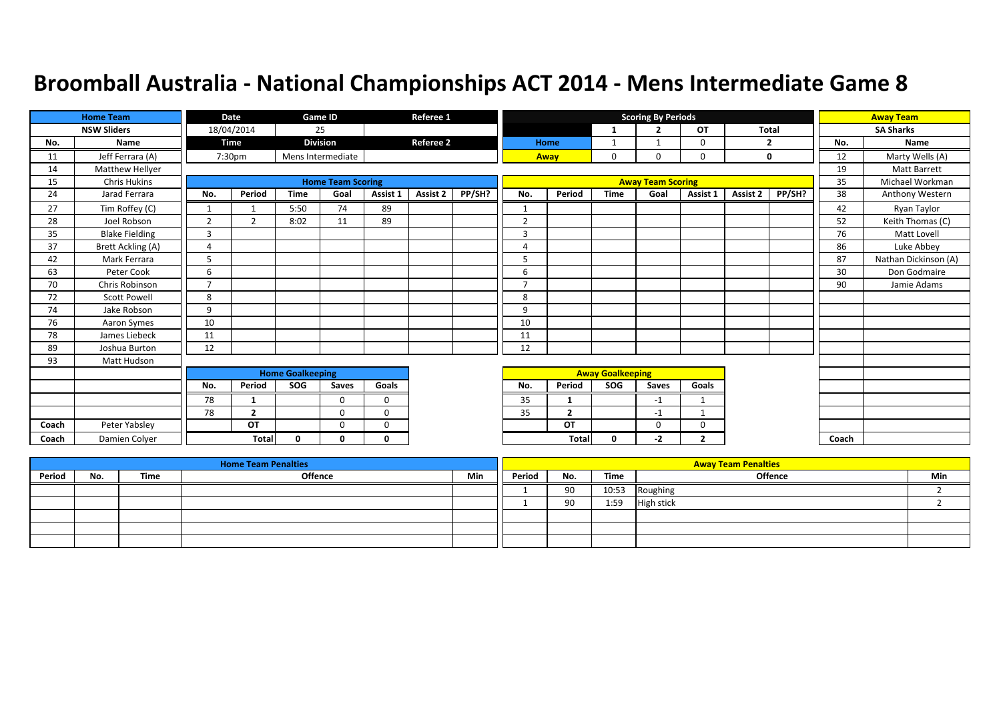|       | <b>Home Team</b>      |                | Date           |                         | Game ID                  |              | Referee 1        |        |                |                |                         | <b>Scoring By Periods</b> |                |                 |              |       | <b>Away Team</b>     |
|-------|-----------------------|----------------|----------------|-------------------------|--------------------------|--------------|------------------|--------|----------------|----------------|-------------------------|---------------------------|----------------|-----------------|--------------|-------|----------------------|
|       | <b>NSW Sliders</b>    |                | 18/04/2014     |                         | 25                       |              |                  |        |                |                | 1                       | $\overline{2}$            | OT             |                 | <b>Total</b> |       | <b>SA Sharks</b>     |
| No.   | Name                  |                | <b>Time</b>    |                         | <b>Division</b>          |              | <b>Referee 2</b> |        |                | Home           | 1                       |                           | $\mathbf 0$    |                 | 2            | No.   | Name                 |
| 11    | Jeff Ferrara (A)      |                | 7:30pm         |                         | Mens Intermediate        |              |                  |        |                | Away           | 0                       | $\mathbf 0$               | $\mathbf 0$    |                 | $\mathbf 0$  | 12    | Marty Wells (A)      |
| 14    | Matthew Hellyer       |                |                |                         |                          |              |                  |        |                |                |                         |                           |                |                 |              | 19    | <b>Matt Barrett</b>  |
| 15    | <b>Chris Hukins</b>   |                |                |                         | <b>Home Team Scoring</b> |              |                  |        |                |                |                         | <b>Away Team Scoring</b>  |                |                 |              | 35    | Michael Workman      |
| 24    | Jarad Ferrara         | No.            | Period         | <b>Time</b>             | Goal                     | Assist 1     | Assist 2         | PP/SH? | No.            | Period         | <b>Time</b>             | Goal                      | Assist 1       | <b>Assist 2</b> | PP/SH?       | 38    | Anthony Western      |
| 27    | Tim Roffey (C)        |                |                | 5:50                    | 74                       | 89           |                  |        |                |                |                         |                           |                |                 |              | 42    | Ryan Taylor          |
| 28    | Joel Robson           | $\overline{2}$ | $\overline{2}$ | 8:02                    | 11                       | 89           |                  |        | $\overline{2}$ |                |                         |                           |                |                 |              | 52    | Keith Thomas (C)     |
| 35    | <b>Blake Fielding</b> | 3              |                |                         |                          |              |                  |        | 3              |                |                         |                           |                |                 |              | 76    | Matt Lovell          |
| 37    | Brett Ackling (A)     | 4              |                |                         |                          |              |                  |        | $\overline{4}$ |                |                         |                           |                |                 |              | 86    | Luke Abbey           |
| 42    | Mark Ferrara          | 5              |                |                         |                          |              |                  |        | 5              |                |                         |                           |                |                 |              | 87    | Nathan Dickinson (A) |
| 63    | Peter Cook            | 6              |                |                         |                          |              |                  |        | 6              |                |                         |                           |                |                 |              | 30    | Don Godmaire         |
| 70    | Chris Robinson        | $\overline{7}$ |                |                         |                          |              |                  |        | $\overline{7}$ |                |                         |                           |                |                 |              | 90    | Jamie Adams          |
| 72    | <b>Scott Powell</b>   | 8              |                |                         |                          |              |                  |        | 8              |                |                         |                           |                |                 |              |       |                      |
| 74    | Jake Robson           | 9              |                |                         |                          |              |                  |        | 9              |                |                         |                           |                |                 |              |       |                      |
| 76    | Aaron Symes           | 10             |                |                         |                          |              |                  |        | 10             |                |                         |                           |                |                 |              |       |                      |
| 78    | James Liebeck         | 11             |                |                         |                          |              |                  |        | 11             |                |                         |                           |                |                 |              |       |                      |
| 89    | Joshua Burton         | 12             |                |                         |                          |              |                  |        | 12             |                |                         |                           |                |                 |              |       |                      |
| 93    | Matt Hudson           |                |                |                         |                          |              |                  |        |                |                |                         |                           |                |                 |              |       |                      |
|       |                       |                |                | <b>Home Goalkeeping</b> |                          |              |                  |        |                |                | <b>Away Goalkeeping</b> |                           |                |                 |              |       |                      |
|       |                       | No.            | Period         | SOG                     | Saves                    | Goals        |                  |        | No.            | Period         | SOG                     | <b>Saves</b>              | Goals          |                 |              |       |                      |
|       |                       | 78             | 1              |                         | $\Omega$                 | $\mathbf 0$  |                  |        | 35             | -1             |                         | $-1$                      | 1              |                 |              |       |                      |
|       |                       | 78             | $\overline{2}$ |                         | $\Omega$                 | $\mathbf 0$  |                  |        | 35             | $\overline{2}$ |                         | $-1$                      | 1              |                 |              |       |                      |
| Coach | Peter Yabsley         |                | OT             |                         | $\Omega$                 | $\Omega$     |                  |        |                | OT             |                         | $\Omega$                  | $\mathbf 0$    |                 |              |       |                      |
| Coach | Damien Colver         |                | <b>Total</b>   | $\mathbf{0}$            | 0                        | $\mathbf{0}$ |                  |        |                | <b>Total</b>   | $\mathbf{0}$            | $-2$                      | $\overline{2}$ |                 |              | Coach |                      |

|        |     |      | <b>Home Team Penalties</b> |            |        |     |       | <b>Away Team Penalties</b> |     |
|--------|-----|------|----------------------------|------------|--------|-----|-------|----------------------------|-----|
| Period | No. | Time | Offence                    | <b>Min</b> | Period | No. | Time  | <b>Offence</b>             | Min |
|        |     |      |                            |            |        | 90  | 10:53 | Roughing                   |     |
|        |     |      |                            |            |        | 90  | 1:59  | High stick                 |     |
|        |     |      |                            |            |        |     |       |                            |     |
|        |     |      |                            |            |        |     |       |                            |     |
|        |     |      |                            |            |        |     |       |                            |     |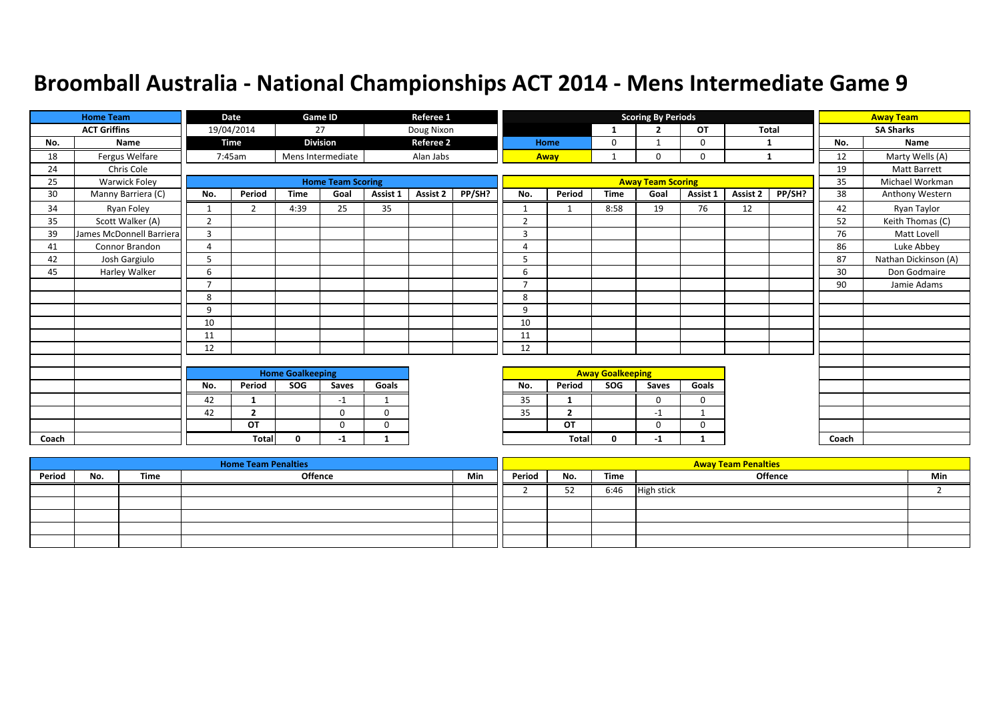|       | <b>Home Team</b>         |                | <b>Date</b>    |                         | <b>Game ID</b>           |              | Referee 1        |        |                |                |                         | <b>Scoring By Periods</b> |              |          |              |       | <b>Away Team</b>     |
|-------|--------------------------|----------------|----------------|-------------------------|--------------------------|--------------|------------------|--------|----------------|----------------|-------------------------|---------------------------|--------------|----------|--------------|-------|----------------------|
|       | <b>ACT Griffins</b>      |                | 19/04/2014     |                         | 27                       |              | Doug Nixon       |        |                |                | 1                       | $\overline{2}$            | OT           |          | <b>Total</b> |       | <b>SA Sharks</b>     |
| No.   | Name                     |                | <b>Time</b>    |                         | <b>Division</b>          |              | <b>Referee 2</b> |        |                | Home           | 0                       |                           | $\mathbf 0$  | 1        |              | No.   | Name                 |
| 18    | Fergus Welfare           |                | 7:45am         |                         | Mens Intermediate        |              | Alan Jabs        |        |                | Away           |                         | $\Omega$                  | $\mathbf 0$  |          | -1           | 12    | Marty Wells (A)      |
| 24    | Chris Cole               |                |                |                         |                          |              |                  |        |                |                |                         |                           |              |          |              | 19    | <b>Matt Barrett</b>  |
| 25    | Warwick Foley            |                |                |                         | <b>Home Team Scoring</b> |              |                  |        |                |                |                         | <b>Away Team Scoring</b>  |              |          |              | 35    | Michael Workman      |
| 30    | Manny Barriera (C)       | No.            | Period         | <b>Time</b>             | Goal                     | Assist 1     | Assist 2         | PP/SH? | No.            | Period         | <b>Time</b>             | Goal                      | Assist 1     | Assist 2 | PP/SH?       | 38    | Anthony Western      |
| 34    | Ryan Foley               |                | 2              | 4:39                    | 25                       | 35           |                  |        |                |                | 8:58                    | 19                        | 76           | 12       |              | 42    | Ryan Taylor          |
| 35    | Scott Walker (A)         | $\overline{2}$ |                |                         |                          |              |                  |        | $\overline{2}$ |                |                         |                           |              |          |              | 52    | Keith Thomas (C)     |
| 39    | James McDonnell Barriera | 3              |                |                         |                          |              |                  |        | 3              |                |                         |                           |              |          |              | 76    | Matt Lovell          |
| 41    | Connor Brandon           | 4              |                |                         |                          |              |                  |        | $\Delta$       |                |                         |                           |              |          |              | 86    | Luke Abbey           |
| 42    | Josh Gargiulo            | 5              |                |                         |                          |              |                  |        | 5              |                |                         |                           |              |          |              | 87    | Nathan Dickinson (A) |
| 45    | Harley Walker            | 6              |                |                         |                          |              |                  |        | 6              |                |                         |                           |              |          |              | 30    | Don Godmaire         |
|       |                          | $\overline{7}$ |                |                         |                          |              |                  |        | $\overline{7}$ |                |                         |                           |              |          |              | 90    | Jamie Adams          |
|       |                          | 8              |                |                         |                          |              |                  |        | 8              |                |                         |                           |              |          |              |       |                      |
|       |                          | 9              |                |                         |                          |              |                  |        | 9              |                |                         |                           |              |          |              |       |                      |
|       |                          | 10             |                |                         |                          |              |                  |        | 10             |                |                         |                           |              |          |              |       |                      |
|       |                          | 11             |                |                         |                          |              |                  |        | 11             |                |                         |                           |              |          |              |       |                      |
|       |                          | 12             |                |                         |                          |              |                  |        | 12             |                |                         |                           |              |          |              |       |                      |
|       |                          |                |                |                         |                          |              |                  |        |                |                |                         |                           |              |          |              |       |                      |
|       |                          |                |                | <b>Home Goalkeeping</b> |                          |              |                  |        |                |                | <b>Away Goalkeeping</b> |                           |              |          |              |       |                      |
|       |                          | No.            | Period         | SOG                     | Saves                    | Goals        |                  |        | No.            | Period         | SOG                     | Saves                     | Goals        |          |              |       |                      |
|       |                          | 42             | 1              |                         | $-1$                     | $\mathbf{1}$ |                  |        | 35             | 1              |                         | $\Omega$                  | $\mathbf 0$  |          |              |       |                      |
|       |                          | 42             | $\overline{2}$ |                         | $\mathbf 0$              | $\mathbf 0$  |                  |        | 35             | $\overline{2}$ |                         | $-1$                      |              |          |              |       |                      |
|       |                          |                | OT             |                         | $\Omega$                 | $\Omega$     |                  |        |                | OT             |                         | $\Omega$                  | $\mathbf 0$  |          |              |       |                      |
| Coach |                          |                | <b>Total</b>   | $\Omega$                | $-1$                     | 1            |                  |        |                | <b>Total</b>   | 0                       | $-1$                      | $\mathbf{1}$ |          |              | Coach |                      |

|        |     |      | <b>Home Team Penalties</b> |     |        |          |      | <b>Away Team Penalties</b> |     |
|--------|-----|------|----------------------------|-----|--------|----------|------|----------------------------|-----|
| Period | No. | Time | Offence                    | Min | Period | No.      | Time | <b>Offence</b>             | Min |
|        |     |      |                            |     |        | につ<br>ےر | 6:46 | <b>High stick</b>          |     |
|        |     |      |                            |     |        |          |      |                            |     |
|        |     |      |                            |     |        |          |      |                            |     |
|        |     |      |                            |     |        |          |      |                            |     |
|        |     |      |                            |     |        |          |      |                            |     |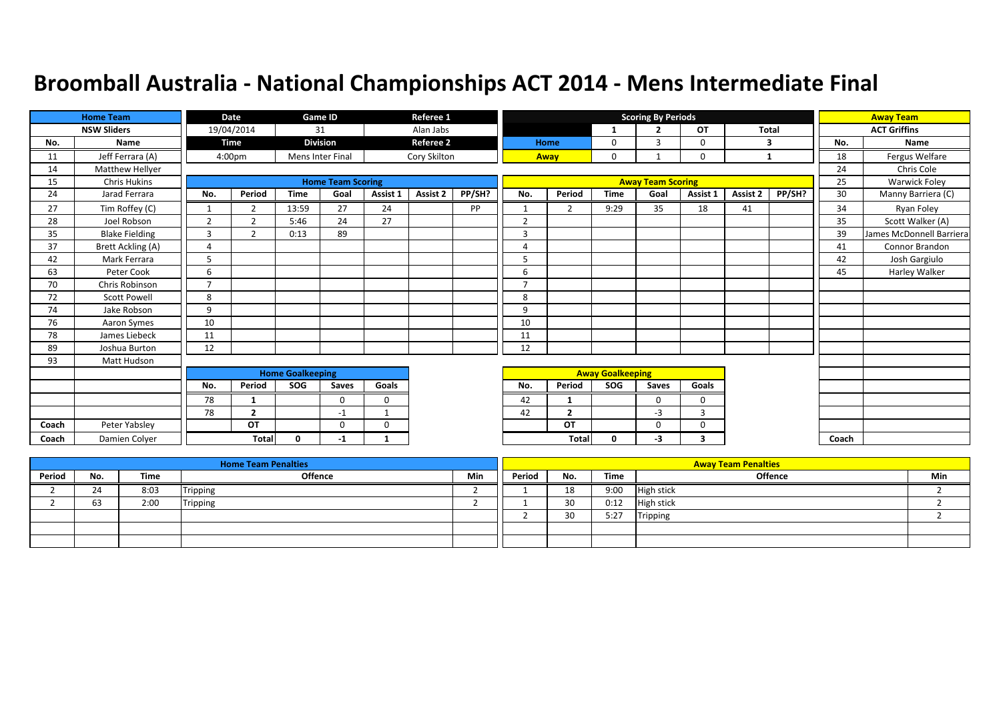|       | <b>Home Team</b>      |                | Date               |                         | <b>Game ID</b>           |              | Referee 1        |        |                |                |                         | <b>Scoring By Periods</b> |                |          |              |       | <b>Away Team</b>         |
|-------|-----------------------|----------------|--------------------|-------------------------|--------------------------|--------------|------------------|--------|----------------|----------------|-------------------------|---------------------------|----------------|----------|--------------|-------|--------------------------|
|       | <b>NSW Sliders</b>    |                | 19/04/2014         |                         | 31                       |              | Alan Jabs        |        |                |                | 1                       | $\overline{\phantom{a}}$  | OT             |          | <b>Total</b> |       | <b>ACT Griffins</b>      |
| No.   | Name                  |                | <b>Time</b>        |                         | <b>Division</b>          |              | <b>Referee 2</b> |        |                | Home           | $\mathbf 0$             | $\mathbf{a}$              | $\mathbf 0$    |          | 3            | No.   | Name                     |
| 11    | Jeff Ferrara (A)      |                | 4:00 <sub>pm</sub> |                         | Mens Inter Final         |              | Cory Skilton     |        |                | Away           | $\mathbf 0$             |                           | $\mathbf 0$    |          | $\mathbf{1}$ | 18    | Fergus Welfare           |
| 14    | Matthew Hellyer       |                |                    |                         |                          |              |                  |        |                |                |                         |                           |                |          |              | 24    | Chris Cole               |
| 15    | <b>Chris Hukins</b>   |                |                    |                         | <b>Home Team Scoring</b> |              |                  |        |                |                |                         | <b>Away Team Scoring</b>  |                |          |              | 25    | Warwick Foley            |
| 24    | Jarad Ferrara         | No.            | Period             | <b>Time</b>             | Goal                     | Assist 1     | Assist 2         | PP/SH? | No.            | Period         | <b>Time</b>             | Goal                      | Assist 1       | Assist 2 | PP/SH?       | 30    | Manny Barriera (C)       |
| 27    | Tim Roffey (C)        |                | $\overline{2}$     | 13:59                   | 27                       | 24           |                  | PP     |                | $\overline{2}$ | 9:29                    | 35                        | 18             | 41       |              | 34    | Ryan Foley               |
| 28    | Joel Robson           | $\overline{2}$ | $\overline{2}$     | 5:46                    | 24                       | 27           |                  |        | $\overline{2}$ |                |                         |                           |                |          |              | 35    | Scott Walker (A)         |
| 35    | <b>Blake Fielding</b> | 3              | 2                  | 0:13                    | 89                       |              |                  |        | 3              |                |                         |                           |                |          |              | 39    | James McDonnell Barriera |
| 37    | Brett Ackling (A)     | 4              |                    |                         |                          |              |                  |        | $\overline{4}$ |                |                         |                           |                |          |              | 41    | Connor Brandon           |
| 42    | Mark Ferrara          | 5              |                    |                         |                          |              |                  |        | 5              |                |                         |                           |                |          |              | 42    | Josh Gargiulo            |
| 63    | Peter Cook            | 6              |                    |                         |                          |              |                  |        | 6              |                |                         |                           |                |          |              | 45    | Harley Walker            |
| 70    | Chris Robinson        | $\overline{7}$ |                    |                         |                          |              |                  |        | $\overline{7}$ |                |                         |                           |                |          |              |       |                          |
| 72    | <b>Scott Powell</b>   | 8              |                    |                         |                          |              |                  |        | 8              |                |                         |                           |                |          |              |       |                          |
| 74    | Jake Robson           | 9              |                    |                         |                          |              |                  |        | 9              |                |                         |                           |                |          |              |       |                          |
| 76    | Aaron Symes           | 10             |                    |                         |                          |              |                  |        | 10             |                |                         |                           |                |          |              |       |                          |
| 78    | James Liebeck         | 11             |                    |                         |                          |              |                  |        | 11             |                |                         |                           |                |          |              |       |                          |
| 89    | Joshua Burton         | 12             |                    |                         |                          |              |                  |        | 12             |                |                         |                           |                |          |              |       |                          |
| 93    | Matt Hudson           |                |                    |                         |                          |              |                  |        |                |                |                         |                           |                |          |              |       |                          |
|       |                       |                |                    | <b>Home Goalkeeping</b> |                          |              |                  |        |                |                | <b>Away Goalkeeping</b> |                           |                |          |              |       |                          |
|       |                       | No.            | Period             | SOG                     | Saves                    | Goals        |                  |        | No.            | Period         | SOG                     | Saves                     | Goals          |          |              |       |                          |
|       |                       | 78             | 1                  |                         | $\Omega$                 | $\mathbf 0$  |                  |        | 42             | 1              |                         | $\mathbf 0$               | $\mathbf 0$    |          |              |       |                          |
|       |                       | 78             | $\overline{2}$     |                         | $-1$                     | $\mathbf{1}$ |                  |        | 42             | $\overline{2}$ |                         | $-3$                      | $\overline{3}$ |          |              |       |                          |
| Coach | Peter Yabsley         |                | OT                 |                         | $\Omega$                 | $\Omega$     |                  |        |                | OT             |                         | $\Omega$                  | $\mathbf 0$    |          |              |       |                          |
| Coach | Damien Colver         |                | <b>Total</b>       | 0                       | -1                       | 1            |                  |        |                | <b>Total</b>   | $\mathbf 0$             | $-3$                      | 3              |          |              | Coach |                          |

|        |     |      | <b>Home Team Penalties</b> |            |        |     |      | <b>Away Team Penalties</b> |     |
|--------|-----|------|----------------------------|------------|--------|-----|------|----------------------------|-----|
| Period | No. | Time | <b>Offence</b>             | <b>Min</b> | Period | No. | Time | Offence                    | Min |
|        | 24  | 8:03 | <b>Tripping</b>            |            |        | 18  | 9:00 | <b>High stick</b>          |     |
|        | 63  | 2:00 | Tripping                   |            |        | 30  | 0:12 | <b>High stick</b>          |     |
|        |     |      |                            |            |        | 30  | 5:27 | Tripping                   |     |
|        |     |      |                            |            |        |     |      |                            |     |
|        |     |      |                            |            |        |     |      |                            |     |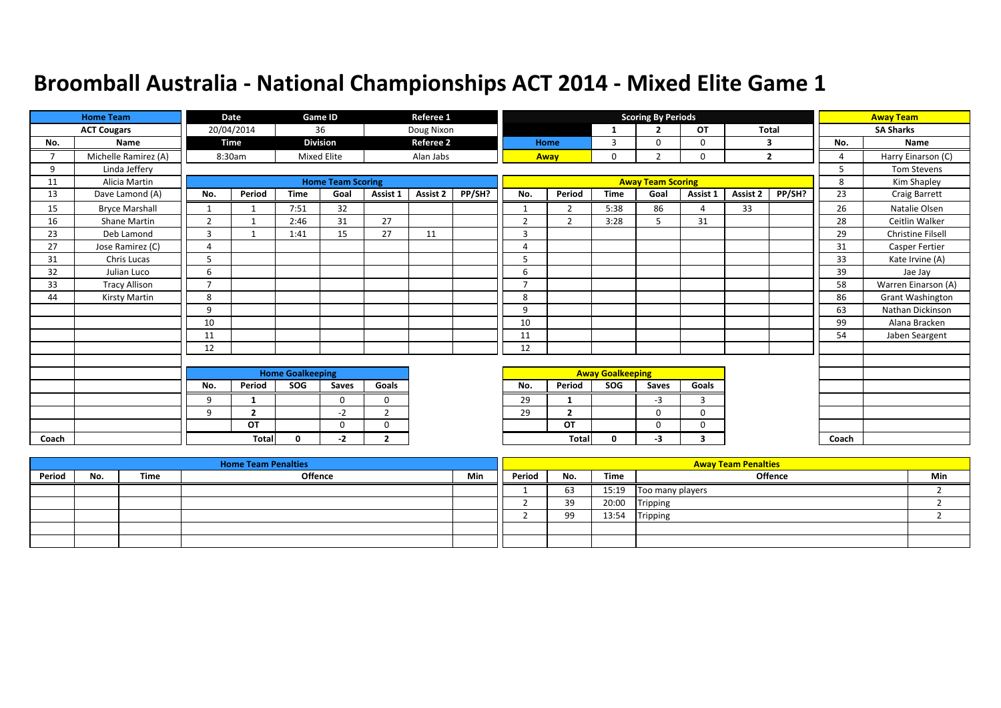|       | <b>Home Team</b>      |                | Date           |                         | Game ID                  |                | Referee 1        |        |                |                |                         | <b>Scoring By Periods</b> |           |          |                |                | <b>Away Team</b>         |
|-------|-----------------------|----------------|----------------|-------------------------|--------------------------|----------------|------------------|--------|----------------|----------------|-------------------------|---------------------------|-----------|----------|----------------|----------------|--------------------------|
|       | <b>ACT Cougars</b>    |                | 20/04/2014     |                         | 36                       |                | Doug Nixon       |        |                |                | -1                      | $\overline{2}$            | <b>OT</b> | Total    |                |                | <b>SA Sharks</b>         |
| No.   | Name                  |                | <b>Time</b>    |                         | <b>Division</b>          |                | <b>Referee 2</b> |        |                | Home           | 3                       | $\Omega$                  | 0         |          | 3              | No.            | Name                     |
| 7     | Michelle Ramirez (A)  |                | 8:30am         |                         | <b>Mixed Elite</b>       |                | Alan Jabs        |        |                | Away           | 0                       | $\overline{2}$            | 0         |          | $\overline{2}$ | $\overline{a}$ | Harry Einarson (C)       |
| 9     | Linda Jeffery         |                |                |                         |                          |                |                  |        |                |                |                         |                           |           |          |                | 5              | Tom Stevens              |
| 11    | Alicia Martin         |                |                |                         | <b>Home Team Scoring</b> |                |                  |        |                |                |                         | <b>Away Team Scoring</b>  |           |          |                | 8              | Kim Shapley              |
| 13    | Dave Lamond (A)       | No.            | Period         | <b>Time</b>             | Goal                     | Assist 1       | Assist 2         | PP/SH? | No.            | Period         | <b>Time</b>             | Goal                      | Assist 1  | Assist 2 | PP/SH?         | 23             | <b>Craig Barrett</b>     |
| 15    | <b>Bryce Marshall</b> | $\mathbf{1}$   |                | 7:51                    | 32                       |                |                  |        | $\mathbf{1}$   | $\overline{2}$ | 5:38                    | 86                        | 4         | 33       |                | 26             | Natalie Olsen            |
| 16    | <b>Shane Martin</b>   | 2              |                | 2:46                    | 31                       | 27             |                  |        | $\overline{2}$ | $\overline{2}$ | 3:28                    | 5                         | 31        |          |                | 28             | Ceitlin Walker           |
| 23    | Deb Lamond            | 3              |                | 1:41                    | 15                       | 27             | 11               |        | 3              |                |                         |                           |           |          |                | 29             | <b>Christine Filsell</b> |
| 27    | Jose Ramirez (C)      | $\overline{4}$ |                |                         |                          |                |                  |        | 4              |                |                         |                           |           |          |                | 31             | <b>Casper Fertier</b>    |
| 31    | Chris Lucas           | 5              |                |                         |                          |                |                  |        | 5              |                |                         |                           |           |          |                | 33             | Kate Irvine (A)          |
| 32    | Julian Luco           | 6              |                |                         |                          |                |                  |        | 6              |                |                         |                           |           |          |                | 39             | Jae Jay                  |
| 33    | <b>Tracy Allison</b>  | 7              |                |                         |                          |                |                  |        | 7              |                |                         |                           |           |          |                | 58             | Warren Einarson (A)      |
| 44    | <b>Kirsty Martin</b>  | 8              |                |                         |                          |                |                  |        | 8              |                |                         |                           |           |          |                | 86             | Grant Washington         |
|       |                       | 9              |                |                         |                          |                |                  |        | 9              |                |                         |                           |           |          |                | 63             | Nathan Dickinson         |
|       |                       | 10             |                |                         |                          |                |                  |        | 10             |                |                         |                           |           |          |                | 99             | Alana Bracken            |
|       |                       | 11             |                |                         |                          |                |                  |        | 11             |                |                         |                           |           |          |                | 54             | Jaben Seargent           |
|       |                       | 12             |                |                         |                          |                |                  |        | 12             |                |                         |                           |           |          |                |                |                          |
|       |                       |                |                |                         |                          |                |                  |        |                |                |                         |                           |           |          |                |                |                          |
|       |                       |                |                | <b>Home Goalkeeping</b> |                          |                |                  |        |                |                | <b>Away Goalkeeping</b> |                           |           |          |                |                |                          |
|       |                       | No.            | Period         | SOG                     | Saves                    | Goals          |                  |        | No.            | Period         | <b>SOG</b>              | Saves                     | Goals     |          |                |                |                          |
|       |                       | 9              | 1              |                         | $\Omega$                 | $\Omega$       |                  |        | 29             | 1              |                         | $-3$                      | 3         |          |                |                |                          |
|       |                       | 9              | $\overline{2}$ |                         | -2                       | 2              |                  |        | 29             | $\overline{2}$ |                         | $\Omega$                  | $\Omega$  |          |                |                |                          |
|       |                       |                | OT             |                         | $\mathbf 0$              | $\mathbf 0$    |                  |        |                | OT             |                         | 0                         | 0         |          |                |                |                          |
| Coach |                       |                | <b>Total</b>   | 0                       | -2                       | $\overline{2}$ |                  |        |                | Total          | 0                       | $-3$                      | 3         |          |                | Coach          |                          |

|        |     |      | <b>Home Team Penalties</b> |     |        |          |       | <b>Away Team Penalties</b> |     |
|--------|-----|------|----------------------------|-----|--------|----------|-------|----------------------------|-----|
| Period | No. | Time | <b>Offence</b>             | Min | Period | No.      | Time  | <b>Offence</b>             | Min |
|        |     |      |                            |     |        | 63       | 15:19 | Too many players           |     |
|        |     |      |                            |     |        | 39       | 20:00 | Tripping                   |     |
|        |     |      |                            |     |        | ۵Q<br>رر | 13:54 | Tripping                   |     |
|        |     |      |                            |     |        |          |       |                            |     |
|        |     |      |                            |     |        |          |       |                            |     |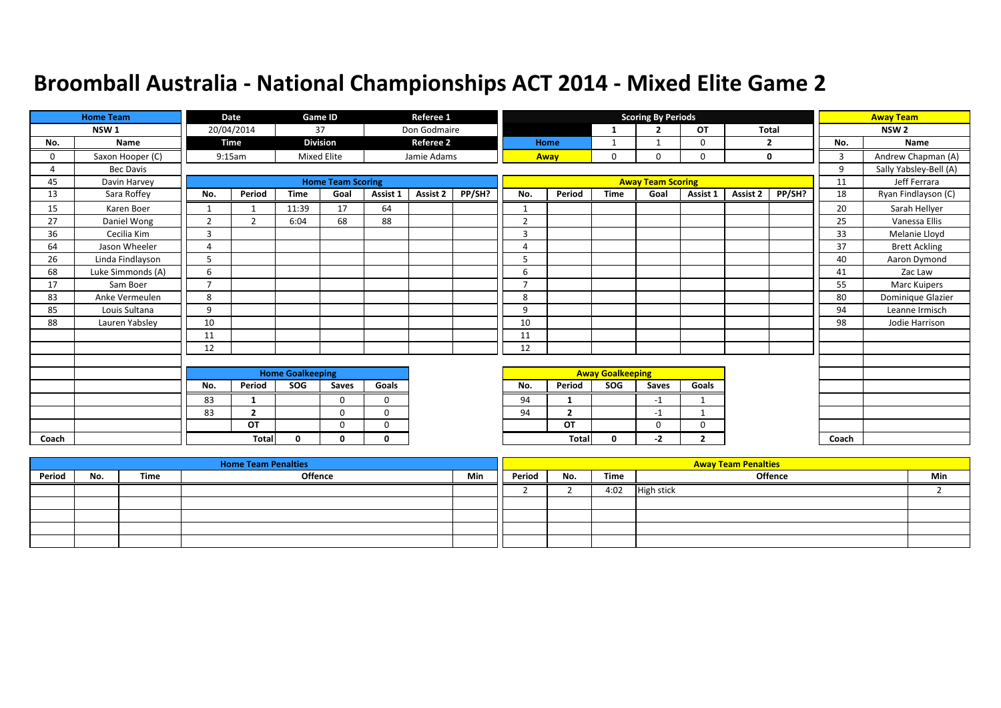|       | <b>Home Team</b>  |                | Date           |                         | <b>Game ID</b>           |              | Referee 1        |        |                          |                |                         | <b>Scoring By Periods</b> |                |              |        |       | <b>Away Team</b>       |
|-------|-------------------|----------------|----------------|-------------------------|--------------------------|--------------|------------------|--------|--------------------------|----------------|-------------------------|---------------------------|----------------|--------------|--------|-------|------------------------|
|       | NSW <sub>1</sub>  |                | 20/04/2014     |                         | 37                       |              | Don Godmaire     |        |                          |                | 1                       | $\mathbf{r}$              | OT             | <b>Total</b> |        |       | NSW <sub>2</sub>       |
| No.   | Name              |                | Time           |                         | <b>Division</b>          |              | <b>Referee 2</b> |        |                          | Home           | 1                       |                           | 0              | 2            |        | No.   | Name                   |
| 0     | Saxon Hooper (C)  |                | 9:15am         |                         | <b>Mixed Elite</b>       |              | Jamie Adams      |        |                          | Away           | 0                       | $\Omega$                  | 0              |              | 0      | 3     | Andrew Chapman (A)     |
| 4     | Bec Davis         |                |                |                         |                          |              |                  |        |                          |                |                         |                           |                |              |        | 9     | Sally Yabsley-Bell (A) |
| 45    | Davin Harvey      |                |                |                         | <b>Home Team Scoring</b> |              |                  |        |                          |                |                         | <b>Away Team Scoring</b>  |                |              |        | 11    | Jeff Ferrara           |
| 13    | Sara Roffey       | No.            | Period         | <b>Time</b>             | Goal                     | Assist 1     | Assist 2         | PP/SH? | No.                      | Period         | <b>Time</b>             | Goal                      | Assist 1       | Assist 2     | PP/SH? | 18    | Ryan Findlayson (C)    |
| 15    | Karen Boer        |                |                | 11:39                   | 17                       | 64           |                  |        | $\mathbf{1}$             |                |                         |                           |                |              |        | 20    | Sarah Hellyer          |
| 27    | Daniel Wong       | $\overline{2}$ | $\overline{2}$ | 6:04                    | 68                       | 88           |                  |        | 2                        |                |                         |                           |                |              |        | 25    | Vanessa Ellis          |
| 36    | Cecilia Kim       | $\overline{3}$ |                |                         |                          |              |                  |        | 3                        |                |                         |                           |                |              |        | 33    | Melanie Lloyd          |
| 64    | Jason Wheeler     | $\overline{A}$ |                |                         |                          |              |                  |        | 4                        |                |                         |                           |                |              |        | 37    | <b>Brett Ackling</b>   |
| 26    | Linda Findlayson  | 5              |                |                         |                          |              |                  |        | 5                        |                |                         |                           |                |              |        | 40    | Aaron Dymond           |
| 68    | Luke Simmonds (A) | 6              |                |                         |                          |              |                  |        | 6                        |                |                         |                           |                |              |        | 41    | Zac Law                |
| 17    | Sam Boer          | $\overline{7}$ |                |                         |                          |              |                  |        | $\overline{\phantom{a}}$ |                |                         |                           |                |              |        | 55    | Marc Kuipers           |
| 83    | Anke Vermeulen    | 8              |                |                         |                          |              |                  |        | 8                        |                |                         |                           |                |              |        | 80    | Dominique Glazier      |
| 85    | Louis Sultana     | 9              |                |                         |                          |              |                  |        | 9                        |                |                         |                           |                |              |        | 94    | Leanne Irmisch         |
| 88    | Lauren Yabsley    | 10             |                |                         |                          |              |                  |        | 10                       |                |                         |                           |                |              |        | 98    | Jodie Harrison         |
|       |                   | 11             |                |                         |                          |              |                  |        | 11                       |                |                         |                           |                |              |        |       |                        |
|       |                   | 12             |                |                         |                          |              |                  |        | 12                       |                |                         |                           |                |              |        |       |                        |
|       |                   |                |                |                         |                          |              |                  |        |                          |                |                         |                           |                |              |        |       |                        |
|       |                   |                |                | <b>Home Goalkeeping</b> |                          |              |                  |        |                          |                | <b>Away Goalkeeping</b> |                           |                |              |        |       |                        |
|       |                   | No.            | Period         | SOG                     | Saves                    | Goals        |                  |        | No.                      | Period         | SOG                     | Saves                     | Goals          |              |        |       |                        |
|       |                   | 83             | 1              |                         | $\Omega$                 | $\Omega$     |                  |        | 94                       | -1             |                         | $-1$                      | $\mathbf 1$    |              |        |       |                        |
|       |                   | 83             | $\overline{2}$ |                         | $\Omega$                 | $\Omega$     |                  |        | 94                       | $\overline{2}$ |                         | $-1$                      |                |              |        |       |                        |
|       |                   |                | OT             |                         | $\Omega$                 | $\mathbf 0$  |                  |        |                          | OT             |                         | $\mathbf 0$               | 0              |              |        |       |                        |
| Coach |                   |                | Total          | $\Omega$                | <sup>0</sup>             | $\mathbf{0}$ |                  |        |                          | Total          | $\mathbf{0}$            | -2                        | $\overline{2}$ |              |        | Coach |                        |

|        |     |      | <b>Home Team Penalties</b> |     |        |     |      | <b>Away Team Penalties</b> |     |
|--------|-----|------|----------------------------|-----|--------|-----|------|----------------------------|-----|
| Period | No. | Time | Offence                    | Min | Period | No. | Time | <b>Offence</b>             | Min |
|        |     |      |                            |     |        |     | 4:02 | <b>High stick</b>          |     |
|        |     |      |                            |     |        |     |      |                            |     |
|        |     |      |                            |     |        |     |      |                            |     |
|        |     |      |                            |     |        |     |      |                            |     |
|        |     |      |                            |     |        |     |      |                            |     |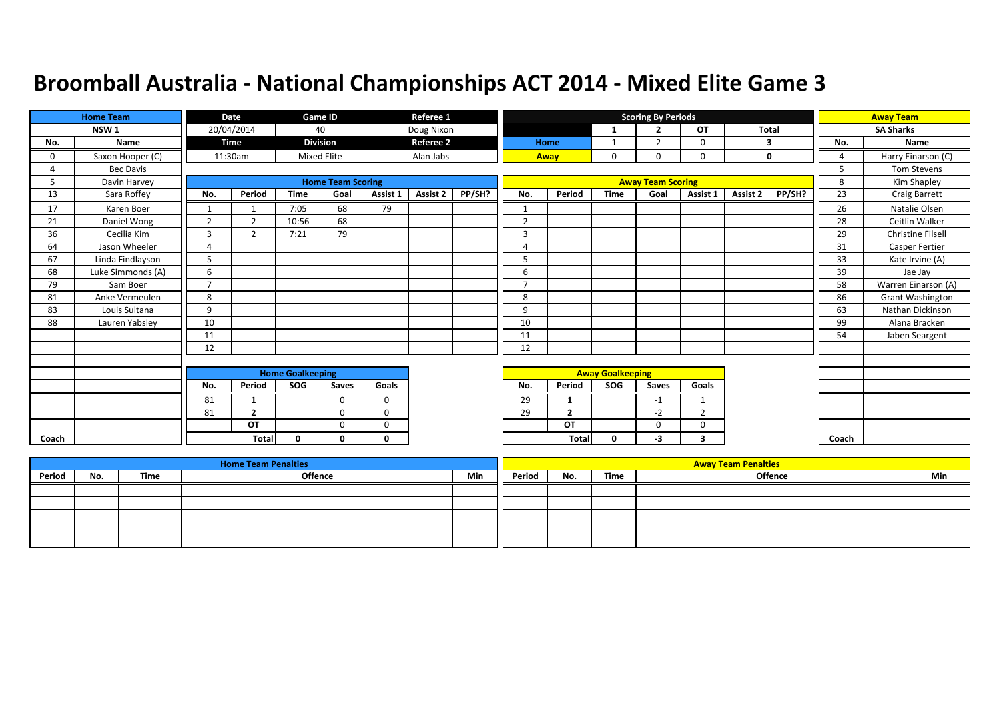|       | <b>Home Team</b>  |                | <b>Date</b>    |                         | Game ID                  |          | Referee 1        |        |                |                |                         | <b>Scoring By Periods</b> |                |              |             |                | <b>Away Team</b>         |
|-------|-------------------|----------------|----------------|-------------------------|--------------------------|----------|------------------|--------|----------------|----------------|-------------------------|---------------------------|----------------|--------------|-------------|----------------|--------------------------|
|       | NSW <sub>1</sub>  |                | 20/04/2014     |                         | 40                       |          | Doug Nixon       |        |                |                | -1                      | $\overline{2}$            | OT             | <b>Total</b> |             |                | <b>SA Sharks</b>         |
| No.   | Name              |                | Time           |                         | <b>Division</b>          |          | <b>Referee 2</b> |        |                | Home           | $\mathbf{1}$            | $\overline{2}$            | 0              |              | 3           | No.            | <b>Name</b>              |
| 0     | Saxon Hooper (C)  |                | 11:30am        |                         | <b>Mixed Elite</b>       |          | Alan Jabs        |        |                | Away           | $\mathbf{0}$            | 0                         | 0              |              | $\mathbf 0$ | $\overline{4}$ | Harry Einarson (C)       |
|       | Bec Davis         |                |                |                         |                          |          |                  |        |                |                |                         |                           |                |              |             | 5              | <b>Tom Stevens</b>       |
| 5     | Davin Harvey      |                |                |                         | <b>Home Team Scoring</b> |          |                  |        |                |                |                         | <b>Away Team Scoring</b>  |                |              |             | 8              | Kim Shapley              |
| 13    | Sara Roffey       | No.            | Period         | <b>Time</b>             | Goal                     | Assist 1 | <b>Assist 2</b>  | PP/SH? | No.            | Period         | <b>Time</b>             | Goal                      | Assist 1       | Assist 2     | PP/SH?      | 23             | Craig Barrett            |
| 17    | Karen Boer        | $\mathbf{1}$   |                | 7:05                    | 68                       | 79       |                  |        | $\mathbf{1}$   |                |                         |                           |                |              |             | 26             | Natalie Olsen            |
| 21    | Daniel Wong       | $\overline{2}$ | 2              | 10:56                   | 68                       |          |                  |        | $\overline{2}$ |                |                         |                           |                |              |             | 28             | Ceitlin Walker           |
| 36    | Cecilia Kim       | $\overline{3}$ | $\overline{2}$ | 7:21                    | 79                       |          |                  |        | $\overline{3}$ |                |                         |                           |                |              |             | 29             | <b>Christine Filsell</b> |
| 64    | Jason Wheeler     | $\overline{4}$ |                |                         |                          |          |                  |        | 4              |                |                         |                           |                |              |             | 31             | Casper Fertier           |
| 67    | Linda Findlayson  | 5              |                |                         |                          |          |                  |        | 5              |                |                         |                           |                |              |             | 33             | Kate Irvine (A)          |
| 68    | Luke Simmonds (A) | 6              |                |                         |                          |          |                  |        | 6              |                |                         |                           |                |              |             | 39             | Jae Jay                  |
| 79    | Sam Boer          | $\overline{ }$ |                |                         |                          |          |                  |        | $\overline{7}$ |                |                         |                           |                |              |             | 58             | Warren Einarson (A)      |
| 81    | Anke Vermeulen    | 8              |                |                         |                          |          |                  |        | 8              |                |                         |                           |                |              |             | 86             | <b>Grant Washington</b>  |
| 83    | Louis Sultana     | 9              |                |                         |                          |          |                  |        | 9              |                |                         |                           |                |              |             | 63             | Nathan Dickinson         |
| 88    | Lauren Yabsley    | 10             |                |                         |                          |          |                  |        | 10             |                |                         |                           |                |              |             | 99             | Alana Bracken            |
|       |                   | 11             |                |                         |                          |          |                  |        | 11             |                |                         |                           |                |              |             | 54             | Jaben Seargent           |
|       |                   | 12             |                |                         |                          |          |                  |        | 12             |                |                         |                           |                |              |             |                |                          |
|       |                   |                |                |                         |                          |          |                  |        |                |                |                         |                           |                |              |             |                |                          |
|       |                   |                |                | <b>Home Goalkeeping</b> |                          |          |                  |        |                |                | <b>Away Goalkeeping</b> |                           |                |              |             |                |                          |
|       |                   | No.            | Period         | SOG                     | Saves                    | Goals    |                  |        | No.            | Period         | SOG                     | Saves                     | Goals          |              |             |                |                          |
|       |                   | 81             | 1              |                         | $\Omega$                 | $\Omega$ |                  |        | 29             | $\mathbf{1}$   |                         | $-1$                      | $\mathbf 1$    |              |             |                |                          |
|       |                   | 81             | $\overline{2}$ |                         | $\Omega$                 | $\Omega$ |                  |        | 29             | $\overline{2}$ |                         | $-2$                      | $\overline{2}$ |              |             |                |                          |
|       |                   |                | OT             |                         | $\Omega$                 | $\Omega$ |                  |        |                | OT             |                         | 0                         | $\Omega$       |              |             |                |                          |
| Coach |                   |                | <b>Total</b>   | 0                       | 0                        | 0        |                  |        |                | <b>Total</b>   | 0                       | -3                        | 3              |              |             | Coach          |                          |

|        |     |      | <b>Home Team Penalties</b> |     |        |     |      | <b>Away Team Penalties</b> |     |
|--------|-----|------|----------------------------|-----|--------|-----|------|----------------------------|-----|
| Period | No. | Time | Offence                    | Min | Period | No. | Time | <b>Offence</b>             | Min |
|        |     |      |                            |     |        |     |      |                            |     |
|        |     |      |                            |     |        |     |      |                            |     |
|        |     |      |                            |     |        |     |      |                            |     |
|        |     |      |                            |     |        |     |      |                            |     |
|        |     |      |                            |     |        |     |      |                            |     |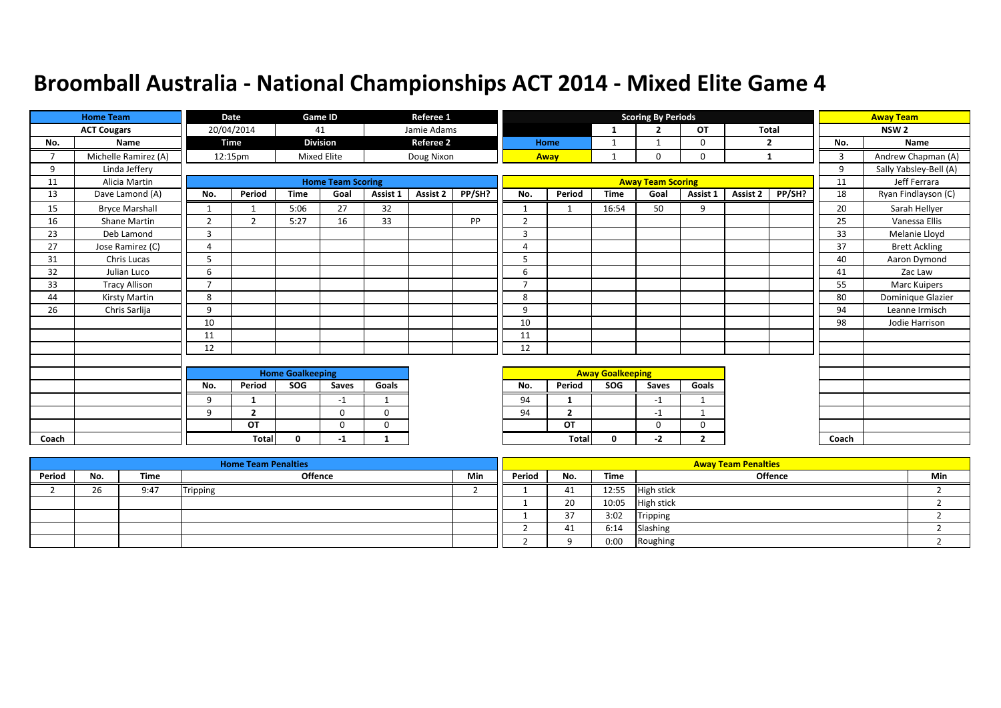|                | <b>Home Team</b>      |                | Date           |                         | <b>Game ID</b>           |             | Referee 1        |        |                          |                |                         | <b>Scoring By Periods</b> |                |              |        |       | <b>Away Team</b>       |
|----------------|-----------------------|----------------|----------------|-------------------------|--------------------------|-------------|------------------|--------|--------------------------|----------------|-------------------------|---------------------------|----------------|--------------|--------|-------|------------------------|
|                | <b>ACT Cougars</b>    |                | 20/04/2014     |                         | 41                       |             | Jamie Adams      |        |                          |                | 1                       | $\mathbf{r}$              | OT             | <b>Total</b> |        |       | NSW <sub>2</sub>       |
| No.            | Name                  |                | Time           |                         | <b>Division</b>          |             | <b>Referee 2</b> |        |                          | Home           | 1                       |                           | 0              | 2            |        | No.   | Name                   |
| $\overline{ }$ | Michelle Ramirez (A)  |                | 12:15pm        |                         | <b>Mixed Elite</b>       |             | Doug Nixon       |        |                          | Away           | $\mathbf{1}$            | $\Omega$                  | 0              | $\mathbf{1}$ |        | 3     | Andrew Chapman (A)     |
| 9              | Linda Jeffery         |                |                |                         |                          |             |                  |        |                          |                |                         |                           |                |              |        | 9     | Sally Yabsley-Bell (A) |
| 11             | Alicia Martin         |                |                |                         | <b>Home Team Scoring</b> |             |                  |        |                          |                |                         | <b>Away Team Scoring</b>  |                |              |        | 11    | Jeff Ferrara           |
| 13             | Dave Lamond (A)       | No.            | Period         | <b>Time</b>             | Goal                     | Assist 1    | Assist 2         | PP/SH? | No.                      | Period         | <b>Time</b>             | Goal                      | Assist 1       | Assist 2     | PP/SH? | 18    | Ryan Findlayson (C)    |
| 15             | <b>Bryce Marshall</b> | 1              |                | 5:06                    | 27                       | 32          |                  |        | $\mathbf{1}$             | 1              | 16:54                   | 50                        | 9              |              |        | 20    | Sarah Hellyer          |
| 16             | Shane Martin          | $\overline{2}$ | $\overline{2}$ | 5:27                    | 16                       | 33          |                  | PP     | 2                        |                |                         |                           |                |              |        | 25    | Vanessa Ellis          |
| 23             | Deb Lamond            | $\overline{3}$ |                |                         |                          |             |                  |        | 3                        |                |                         |                           |                |              |        | 33    | Melanie Lloyd          |
| 27             | Jose Ramirez (C)      | $\overline{A}$ |                |                         |                          |             |                  |        | 4                        |                |                         |                           |                |              |        | 37    | <b>Brett Ackling</b>   |
| 31             | Chris Lucas           | 5              |                |                         |                          |             |                  |        | 5                        |                |                         |                           |                |              |        | 40    | Aaron Dymond           |
| 32             | Julian Luco           | 6              |                |                         |                          |             |                  |        | 6                        |                |                         |                           |                |              |        | 41    | Zac Law                |
| 33             | <b>Tracy Allison</b>  | $\overline{ }$ |                |                         |                          |             |                  |        | $\overline{\phantom{a}}$ |                |                         |                           |                |              |        | 55    | Marc Kuipers           |
| 44             | Kirsty Martin         | 8              |                |                         |                          |             |                  |        | 8                        |                |                         |                           |                |              |        | 80    | Dominique Glazier      |
| 26             | Chris Sarlija         | 9              |                |                         |                          |             |                  |        | 9                        |                |                         |                           |                |              |        | 94    | Leanne Irmisch         |
|                |                       | 10             |                |                         |                          |             |                  |        | 10                       |                |                         |                           |                |              |        | 98    | Jodie Harrison         |
|                |                       | 11             |                |                         |                          |             |                  |        | 11                       |                |                         |                           |                |              |        |       |                        |
|                |                       | 12             |                |                         |                          |             |                  |        | 12                       |                |                         |                           |                |              |        |       |                        |
|                |                       |                |                |                         |                          |             |                  |        |                          |                |                         |                           |                |              |        |       |                        |
|                |                       |                |                | <b>Home Goalkeeping</b> |                          |             |                  |        |                          |                | <b>Away Goalkeeping</b> |                           |                |              |        |       |                        |
|                |                       | No.            | Period         | SOG                     | Saves                    | Goals       |                  |        | No.                      | Period         | SOG                     | Saves                     | Goals          |              |        |       |                        |
|                |                       | 9              | $\mathbf{1}$   |                         | $-1$                     |             |                  |        | 94                       | -1             |                         | $-1$                      | $\mathbf{1}$   |              |        |       |                        |
|                |                       | 9              | $\overline{2}$ |                         | $\Omega$                 | $\Omega$    |                  |        | 94                       | $\overline{2}$ |                         | $-1$                      |                |              |        |       |                        |
|                |                       |                | OT             |                         | $\Omega$                 | $\mathbf 0$ |                  |        |                          | OT             |                         | $\mathbf 0$               | 0              |              |        |       |                        |
| Coach          |                       |                | Total          | $\Omega$                | -1                       | 1           |                  |        |                          | Total          | 0                       | -2                        | $\overline{2}$ |              |        | Coach |                        |

|        |     |      | <b>Home Team Penalties</b> |     |        |     |       | <b>Away Team Penalties</b> |     |
|--------|-----|------|----------------------------|-----|--------|-----|-------|----------------------------|-----|
| Period | No. | Time | Offence                    | Min | Period | No. | Time  | <b>Offence</b>             | Min |
|        | 26  | 9:47 | Tripping                   |     |        | 41  | 12:55 | <b>High stick</b>          |     |
|        |     |      |                            |     |        | 20  | 10:05 | <b>High stick</b>          |     |
|        |     |      |                            |     |        | 27  | 3:02  | Tripping                   |     |
|        |     |      |                            |     |        | 41  | 6:14  | Slashing                   |     |
|        |     |      |                            |     |        |     | 0:00  | Roughing                   |     |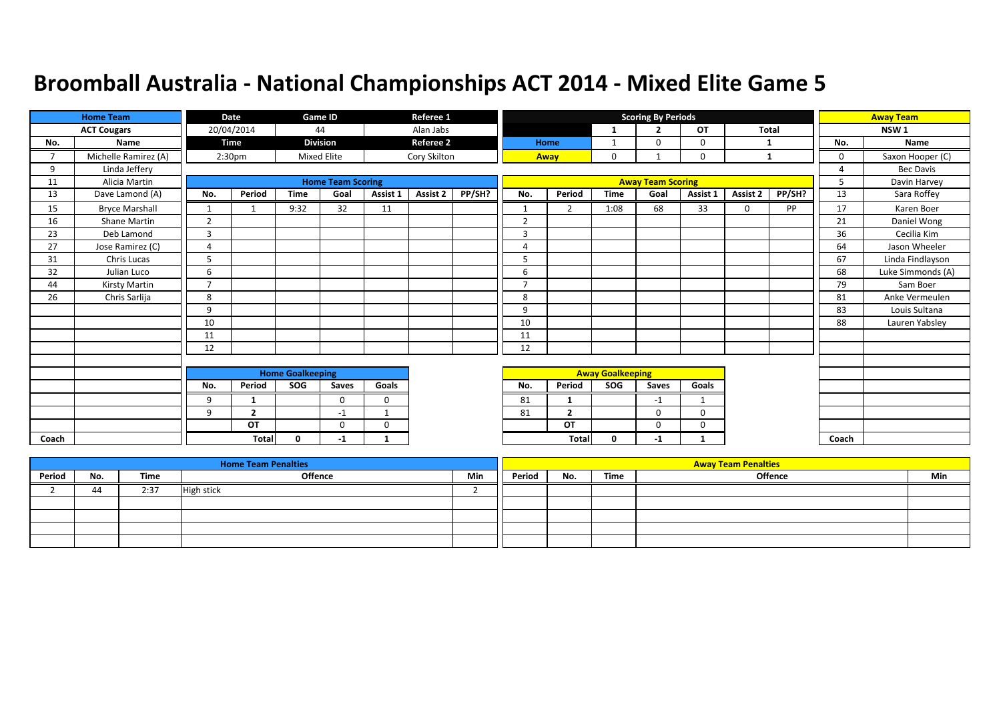|                | <b>Home Team</b>      |                | Date               |                         | <b>Game ID</b>           |              | Referee 1        |        |                |                |                         | <b>Scoring By Periods</b> |             |          |        |                | <b>Away Team</b>  |
|----------------|-----------------------|----------------|--------------------|-------------------------|--------------------------|--------------|------------------|--------|----------------|----------------|-------------------------|---------------------------|-------------|----------|--------|----------------|-------------------|
|                | <b>ACT Cougars</b>    |                | 20/04/2014         |                         | 44                       |              | Alan Jabs        |        |                |                | 1                       | $\overline{2}$            | <b>OT</b>   | Total    |        |                | NSW <sub>1</sub>  |
| No.            | Name                  |                | <b>Time</b>        |                         | <b>Division</b>          |              | <b>Referee 2</b> |        |                | Home           | 1                       | $\Omega$                  | 0           | 1        |        | No.            | Name              |
| $\overline{7}$ | Michelle Ramirez (A)  |                | 2:30 <sub>pm</sub> |                         | <b>Mixed Elite</b>       |              | Cory Skilton     |        |                | Away           | 0                       |                           | 0           | 1        |        | $\mathbf 0$    | Saxon Hooper (C)  |
| 9              | Linda Jeffery         |                |                    |                         |                          |              |                  |        |                |                |                         |                           |             |          |        | $\overline{a}$ | <b>Bec Davis</b>  |
| 11             | Alicia Martin         |                |                    |                         | <b>Home Team Scoring</b> |              |                  |        |                |                |                         | <b>Away Team Scoring</b>  |             |          |        | 5              | Davin Harvey      |
| 13             | Dave Lamond (A)       | No.            | Period             | <b>Time</b>             | Goal                     | Assist 1     | Assist 2         | PP/SH? | No.            | Period         | <b>Time</b>             | Goal                      | Assist 1    | Assist 2 | PP/SH? | 13             | Sara Roffey       |
| 15             | <b>Bryce Marshall</b> | $\mathbf{1}$   |                    | 9:32                    | 32                       | 11           |                  |        | $\mathbf{1}$   | $\overline{2}$ | 1:08                    | 68                        | 33          | $\Omega$ | PP     | 17             | Karen Boer        |
| 16             | <b>Shane Martin</b>   | 2              |                    |                         |                          |              |                  |        | $\overline{2}$ |                |                         |                           |             |          |        | 21             | Daniel Wong       |
| 23             | Deb Lamond            | 3              |                    |                         |                          |              |                  |        | 3              |                |                         |                           |             |          |        | 36             | Cecilia Kim       |
| 27             | Jose Ramirez (C)      | $\overline{4}$ |                    |                         |                          |              |                  |        | 4              |                |                         |                           |             |          |        | 64             | Jason Wheeler     |
| 31             | Chris Lucas           | 5              |                    |                         |                          |              |                  |        | 5              |                |                         |                           |             |          |        | 67             | Linda Findlayson  |
| 32             | Julian Luco           | 6              |                    |                         |                          |              |                  |        | 6              |                |                         |                           |             |          |        | 68             | Luke Simmonds (A) |
| 44             | Kirsty Martin         | $\overline{ }$ |                    |                         |                          |              |                  |        | $\overline{7}$ |                |                         |                           |             |          |        | 79             | Sam Boer          |
| 26             | Chris Sarlija         | 8              |                    |                         |                          |              |                  |        | 8              |                |                         |                           |             |          |        | 81             | Anke Vermeulen    |
|                |                       | 9              |                    |                         |                          |              |                  |        | 9              |                |                         |                           |             |          |        | 83             | Louis Sultana     |
|                |                       | 10             |                    |                         |                          |              |                  |        | 10             |                |                         |                           |             |          |        | 88             | Lauren Yabsley    |
|                |                       | 11             |                    |                         |                          |              |                  |        | 11             |                |                         |                           |             |          |        |                |                   |
|                |                       | 12             |                    |                         |                          |              |                  |        | 12             |                |                         |                           |             |          |        |                |                   |
|                |                       |                |                    |                         |                          |              |                  |        |                |                |                         |                           |             |          |        |                |                   |
|                |                       |                |                    | <b>Home Goalkeeping</b> |                          |              |                  |        |                |                | <b>Away Goalkeeping</b> |                           |             |          |        |                |                   |
|                |                       | No.            | Period             | SOG                     | Saves                    | Goals        |                  |        | No.            | Period         | SOG                     | Saves                     | Goals       |          |        |                |                   |
|                |                       | 9              | 1                  |                         | $\Omega$                 | $\Omega$     |                  |        | 81             | 1              |                         | $-1$                      | $\mathbf 1$ |          |        |                |                   |
|                |                       | 9              | $\overline{2}$     |                         | $-1$                     | -1           |                  |        | 81             | $\overline{2}$ |                         | $\Omega$                  | $\Omega$    |          |        |                |                   |
|                |                       |                | OT                 |                         | $\mathbf{0}$             | $\mathbf 0$  |                  |        |                | OT             |                         | 0                         | 0           |          |        |                |                   |
| Coach          |                       |                | <b>Total</b>       | 0                       | -1                       | $\mathbf{1}$ |                  |        |                | Total          | $\mathbf{0}$            | $-1$                      | $\mathbf 1$ |          |        | Coach          |                   |

|        |     |      | <b>Home Team Penalties</b> |     |        |     |      | <b>Away Team Penalties</b> |     |
|--------|-----|------|----------------------------|-----|--------|-----|------|----------------------------|-----|
| Period | No. | Time | <b>Offence</b>             | Min | Period | No. | Time | <b>Offence</b>             | Min |
|        | 44  | 2:37 | <b>High stick</b>          |     |        |     |      |                            |     |
|        |     |      |                            |     |        |     |      |                            |     |
|        |     |      |                            |     |        |     |      |                            |     |
|        |     |      |                            |     |        |     |      |                            |     |
|        |     |      |                            |     |        |     |      |                            |     |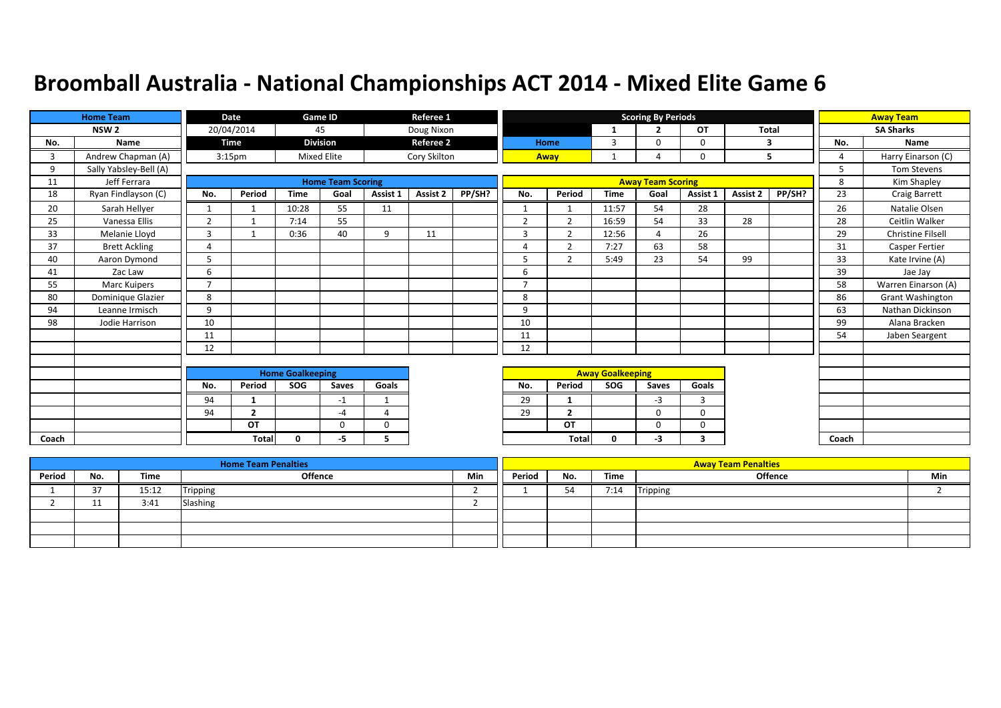|       | <b>Home Team</b>       |                | Date               |                         | Game ID                  |             | Referee 1        |        |                |                |                         | <b>Scoring By Periods</b> |          |          |        |                | <b>Away Team</b>         |
|-------|------------------------|----------------|--------------------|-------------------------|--------------------------|-------------|------------------|--------|----------------|----------------|-------------------------|---------------------------|----------|----------|--------|----------------|--------------------------|
|       | NSW <sub>2</sub>       |                | 20/04/2014         |                         | 45                       |             | Doug Nixon       |        |                |                | 1                       | $\overline{\phantom{a}}$  | OT       | Total    |        |                | <b>SA Sharks</b>         |
| No.   | Name                   |                | <b>Time</b>        |                         | <b>Division</b>          |             | <b>Referee 2</b> |        |                | Home           | 3                       | 0                         | 0        |          | 3      | No.            | Name                     |
| 3     | Andrew Chapman (A)     |                | 3:15 <sub>pm</sub> |                         | <b>Mixed Elite</b>       |             | Cory Skilton     |        |                | Away           | 1                       | Δ                         | 0        |          | 5      | $\overline{4}$ | Harry Einarson (C)       |
| 9     | Sally Yabsley-Bell (A) |                |                    |                         |                          |             |                  |        |                |                |                         |                           |          |          |        | 5              | <b>Tom Stevens</b>       |
| 11    | Jeff Ferrara           |                |                    |                         | <b>Home Team Scoring</b> |             |                  |        |                |                |                         | <b>Away Team Scoring</b>  |          |          |        | 8              | Kim Shapley              |
| 18    | Ryan Findlayson (C)    | No.            | Period             | <b>Time</b>             | Goal                     | Assist 1    | Assist 2         | PP/SH? | No.            | Period         | <b>Time</b>             | Goal                      | Assist 1 | Assist 2 | PP/SH? | 23             | Craig Barrett            |
| 20    | Sarah Hellyer          |                |                    | 10:28                   | 55                       | 11          |                  |        | $\mathbf{1}$   |                | 11:57                   | 54                        | 28       |          |        | 26             | Natalie Olsen            |
| 25    | Vanessa Ellis          | 2              |                    | 7:14                    | 55                       |             |                  |        | $\overline{2}$ | $\overline{2}$ | 16:59                   | 54                        | 33       | 28       |        | 28             | Ceitlin Walker           |
| 33    | Melanie Lloyd          | $\overline{3}$ |                    | 0:36                    | 40                       | 9           | 11               |        | $\overline{3}$ | $\mathcal{P}$  | 12:56                   | $\Delta$                  | 26       |          |        | 29             | <b>Christine Filsell</b> |
| 37    | <b>Brett Ackling</b>   | $\overline{4}$ |                    |                         |                          |             |                  |        | 4              | $\overline{2}$ | 7:27                    | 63                        | 58       |          |        | 31             | <b>Casper Fertier</b>    |
| 40    | Aaron Dymond           | 5              |                    |                         |                          |             |                  |        | 5              | $\overline{2}$ | 5:49                    | 23                        | 54       | 99       |        | 33             | Kate Irvine (A)          |
| 41    | Zac Law                | 6              |                    |                         |                          |             |                  |        | 6              |                |                         |                           |          |          |        | 39             | Jae Jay                  |
| 55    | Marc Kuipers           | $\overline{ }$ |                    |                         |                          |             |                  |        | $\overline{ }$ |                |                         |                           |          |          |        | 58             | Warren Einarson (A)      |
| 80    | Dominique Glazier      | 8              |                    |                         |                          |             |                  |        | 8              |                |                         |                           |          |          |        | 86             | Grant Washington         |
| 94    | Leanne Irmisch         | 9              |                    |                         |                          |             |                  |        | 9              |                |                         |                           |          |          |        | 63             | Nathan Dickinson         |
| 98    | Jodie Harrison         | 10             |                    |                         |                          |             |                  |        | 10             |                |                         |                           |          |          |        | 99             | Alana Bracken            |
|       |                        | 11             |                    |                         |                          |             |                  |        | 11             |                |                         |                           |          |          |        | 54             | Jaben Seargent           |
|       |                        | 12             |                    |                         |                          |             |                  |        | 12             |                |                         |                           |          |          |        |                |                          |
|       |                        |                |                    |                         |                          |             |                  |        |                |                |                         |                           |          |          |        |                |                          |
|       |                        |                |                    | <b>Home Goalkeeping</b> |                          |             |                  |        |                |                | <b>Away Goalkeeping</b> |                           |          |          |        |                |                          |
|       |                        | No.            | Period             | SOG                     | Saves                    | Goals       |                  |        | No.            | Period         | <b>SOG</b>              | Saves                     | Goals    |          |        |                |                          |
|       |                        | 94             | 1                  |                         | $-1$                     | $\mathbf 1$ |                  |        | 29             | $\mathbf{1}$   |                         | $-3$                      | 3        |          |        |                |                          |
|       |                        | 94             | $\overline{2}$     |                         | $-4$                     | Δ           |                  |        | 29             | $\overline{2}$ |                         | $\Omega$                  | 0        |          |        |                |                          |
|       |                        |                | OT                 |                         | $\Omega$                 | $\Omega$    |                  |        |                | <b>OT</b>      |                         | 0                         | $\Omega$ |          |        |                |                          |
| Coach |                        |                | <b>Total</b>       | $\mathbf{0}$            | -5                       | 5           |                  |        |                | Total          | 0                       | -3                        | 3        |          |        | Coach          |                          |

|        |                   |       | <b>Home Team Penalties</b> |     |        |     |      | <b>Away Team Penalties</b> |     |
|--------|-------------------|-------|----------------------------|-----|--------|-----|------|----------------------------|-----|
| Period | No.               | Time  | Offence                    | Min | Period | No. | Time | Offence                    | Min |
|        | $\sim$ $-$<br>، ب | 15:12 | <b>Tripping</b>            |     |        | 54  | 7:14 | Tripping                   |     |
|        | - 11              | 3:41  | Slashing                   |     |        |     |      |                            |     |
|        |                   |       |                            |     |        |     |      |                            |     |
|        |                   |       |                            |     |        |     |      |                            |     |
|        |                   |       |                            |     |        |     |      |                            |     |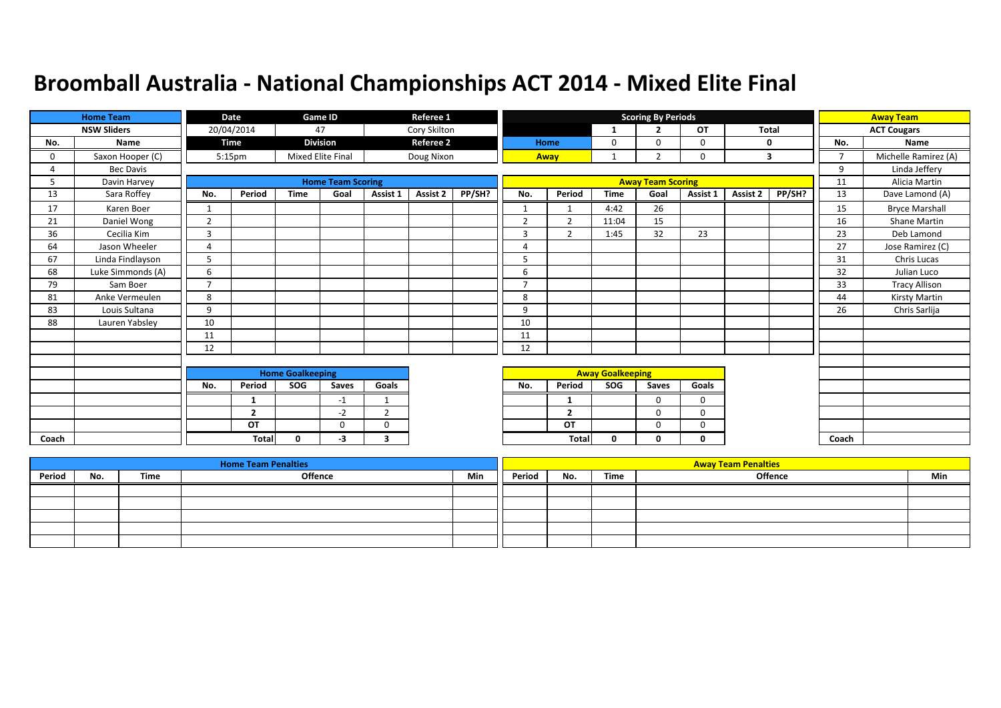|       | <b>Home Team</b>   |                | Date               |                         | Game ID                  |                | Referee 1        |        |                |                |                         | <b>Scoring By Periods</b> |             |              |        |                | <b>Away Team</b>      |
|-------|--------------------|----------------|--------------------|-------------------------|--------------------------|----------------|------------------|--------|----------------|----------------|-------------------------|---------------------------|-------------|--------------|--------|----------------|-----------------------|
|       | <b>NSW Sliders</b> |                | 20/04/2014         |                         | 47                       |                | Cory Skilton     |        |                |                | -1                      | <b>D</b>                  | OT          | <b>Total</b> |        |                | <b>ACT Cougars</b>    |
| No.   | Name               |                | Time               |                         | <b>Division</b>          |                | <b>Referee 2</b> |        |                | Home           | 0                       | $\Omega$                  | 0           |              | 0      | No.            | Name                  |
| 0     | Saxon Hooper (C)   |                | 5:15 <sub>pm</sub> |                         | Mixed Elite Final        |                | Doug Nixon       |        |                | Away           | 1                       | $\overline{2}$            | $\mathbf 0$ |              | 3      | $\overline{7}$ | Michelle Ramirez (A)  |
| 4     | Bec Davis          |                |                    |                         |                          |                |                  |        |                |                |                         |                           |             |              |        | 9              | Linda Jeffery         |
| 5     | Davin Harvey       |                |                    |                         | <b>Home Team Scoring</b> |                |                  |        |                |                |                         | <b>Away Team Scoring</b>  |             |              |        | 11             | Alicia Martin         |
| 13    | Sara Roffey        | No.            | Period             | <b>Time</b>             | Goal                     | Assist 1       | Assist 2         | PP/SH? | No.            | Period         | <b>Time</b>             | Goal                      | Assist 1    | Assist 2     | PP/SH? | 13             | Dave Lamond (A)       |
| 17    | Karen Boer         |                |                    |                         |                          |                |                  |        | $\mathbf{1}$   |                | 4:42                    | 26                        |             |              |        | 15             | <b>Bryce Marshall</b> |
| 21    | Daniel Wong        | $\overline{2}$ |                    |                         |                          |                |                  |        | $\overline{2}$ | $\overline{2}$ | 11:04                   | 15                        |             |              |        | 16             | Shane Martin          |
| 36    | Cecilia Kim        | $\overline{3}$ |                    |                         |                          |                |                  |        | 3              | $\overline{2}$ | 1:45                    | 32                        | 23          |              |        | 23             | Deb Lamond            |
| 64    | Jason Wheeler      | $\overline{4}$ |                    |                         |                          |                |                  |        | 4              |                |                         |                           |             |              |        | 27             | Jose Ramirez (C)      |
| 67    | Linda Findlayson   | 5              |                    |                         |                          |                |                  |        | 5              |                |                         |                           |             |              |        | 31             | Chris Lucas           |
| 68    | Luke Simmonds (A)  | 6              |                    |                         |                          |                |                  |        | 6              |                |                         |                           |             |              |        | 32             | Julian Luco           |
| 79    | Sam Boer           | $\overline{ }$ |                    |                         |                          |                |                  |        | $\overline{ }$ |                |                         |                           |             |              |        | 33             | <b>Tracy Allison</b>  |
| 81    | Anke Vermeulen     | 8              |                    |                         |                          |                |                  |        | 8              |                |                         |                           |             |              |        | 44             | Kirsty Martin         |
| 83    | Louis Sultana      | 9              |                    |                         |                          |                |                  |        | 9              |                |                         |                           |             |              |        | 26             | Chris Sarlija         |
| 88    | Lauren Yabsley     | 10             |                    |                         |                          |                |                  |        | 10             |                |                         |                           |             |              |        |                |                       |
|       |                    | 11             |                    |                         |                          |                |                  |        | 11             |                |                         |                           |             |              |        |                |                       |
|       |                    | 12             |                    |                         |                          |                |                  |        | 12             |                |                         |                           |             |              |        |                |                       |
|       |                    |                |                    |                         |                          |                |                  |        |                |                |                         |                           |             |              |        |                |                       |
|       |                    |                |                    | <b>Home Goalkeeping</b> |                          |                |                  |        |                |                | <b>Away Goalkeeping</b> |                           |             |              |        |                |                       |
|       |                    | No.            | Period             | SOG                     | Saves                    | Goals          |                  |        | No.            | Period         | <b>SOG</b>              | Saves                     | Goals       |              |        |                |                       |
|       |                    |                | 1                  |                         | $-1$                     | $\mathbf 1$    |                  |        |                | 1              |                         | $\Omega$                  | $\mathbf 0$ |              |        |                |                       |
|       |                    |                | $\mathbf{2}$       |                         | $-2$                     | $\overline{2}$ |                  |        |                | $\overline{2}$ |                         | 0                         | 0           |              |        |                |                       |
|       |                    |                | OT                 |                         | $\Omega$                 | $\Omega$       |                  |        |                | OT             |                         | $\Omega$                  | 0           |              |        |                |                       |
| Coach |                    |                | Total              | <sup>0</sup>            | -3                       | 3              |                  |        |                | Total          | 0                       | 0                         | 0           |              |        | Coach          |                       |

|        |     |      | <b>Home Team Penalties</b> |     |        |     |      | <b>Away Team Penalties</b> |     |
|--------|-----|------|----------------------------|-----|--------|-----|------|----------------------------|-----|
| Period | No. | Time | <b>Offence</b>             | Min | Period | No. | Time | <b>Offence</b>             | Min |
|        |     |      |                            |     |        |     |      |                            |     |
|        |     |      |                            |     |        |     |      |                            |     |
|        |     |      |                            |     |        |     |      |                            |     |
|        |     |      |                            |     |        |     |      |                            |     |
|        |     |      |                            |     |        |     |      |                            |     |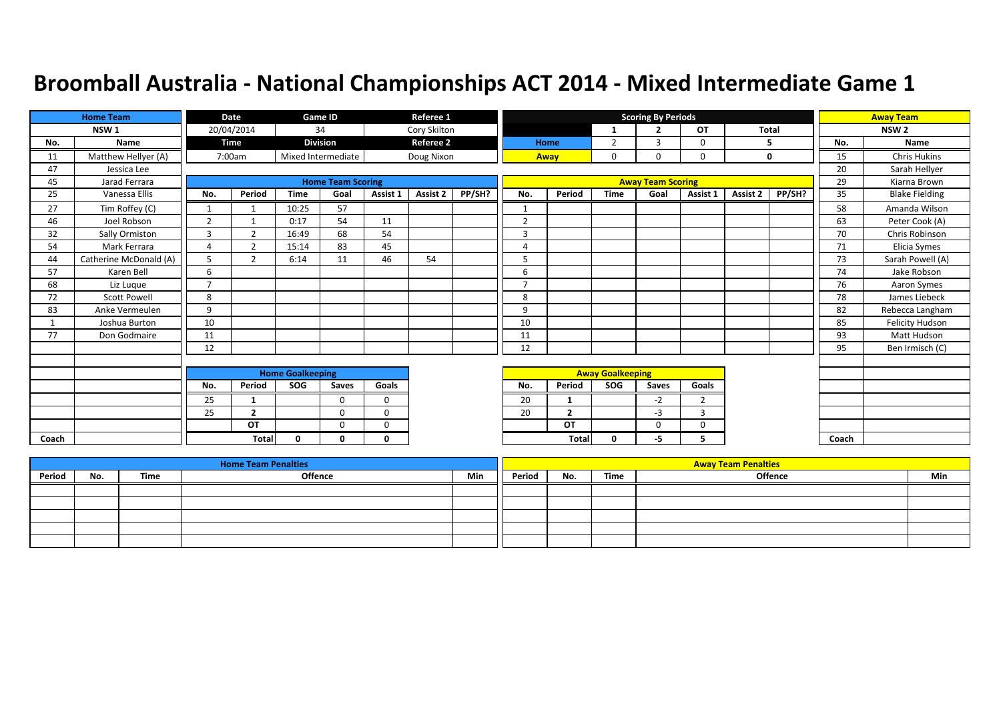|       | <b>Home Team</b>       |                | Date           |                         | Game ID                  |          | Referee 1        |        |                         |                |             | <b>Scoring By Periods</b> |                |          |             |       | <b>Away Team</b>      |
|-------|------------------------|----------------|----------------|-------------------------|--------------------------|----------|------------------|--------|-------------------------|----------------|-------------|---------------------------|----------------|----------|-------------|-------|-----------------------|
|       | NSW <sub>1</sub>       |                | 20/04/2014     |                         | 34                       |          | Cory Skilton     |        |                         |                | 1           | $\overline{2}$            | OT             | Total    |             |       | NSW <sub>2</sub>      |
| No.   | Name                   |                | Time           |                         | <b>Division</b>          |          | <b>Referee 2</b> |        |                         | Home           | 2           | 3                         | 0              |          | 5           | No.   | <b>Name</b>           |
| 11    | Matthew Hellyer (A)    |                | 7:00am         |                         | Mixed Intermediate       |          | Doug Nixon       |        |                         | Away           | $\mathbf 0$ | 0                         | 0              |          | $\mathbf 0$ | 15    | <b>Chris Hukins</b>   |
| 47    | Jessica Lee            |                |                |                         |                          |          |                  |        |                         |                |             |                           |                |          |             | 20    | Sarah Hellyer         |
| 45    | Jarad Ferrara          |                |                |                         | <b>Home Team Scoring</b> |          |                  |        |                         |                |             | <b>Away Team Scoring</b>  |                |          |             | 29    | Kiarna Brown          |
| 25    | Vanessa Ellis          | No.            | Period         | <b>Time</b>             | Goal                     | Assist 1 | Assist 2         | PP/SH? | No.                     | Period         | <b>Time</b> | Goal                      | Assist 1       | Assist 2 | PP/SH?      | 35    | <b>Blake Fielding</b> |
| 27    | Tim Roffey (C)         | $\mathbf{1}$   |                | 10:25                   | 57                       |          |                  |        | $\mathbf{1}$            |                |             |                           |                |          |             | 58    | Amanda Wilson         |
| 46    | Joel Robson            | $\overline{2}$ |                | 0:17                    | 54                       | 11       |                  |        | $\overline{2}$          |                |             |                           |                |          |             | 63    | Peter Cook (A)        |
| 32    | Sally Ormiston         | $\overline{3}$ | 2              | 16:49                   | 68                       | 54       |                  |        | $\overline{3}$          |                |             |                           |                |          |             | 70    | Chris Robinson        |
| 54    | Mark Ferrara           | $\overline{4}$ | $\overline{2}$ | 15:14                   | 83                       | 45       |                  |        | 4                       |                |             |                           |                |          |             | 71    | Elicia Symes          |
| 44    | Catherine McDonald (A) | 5              | $\overline{2}$ | 6:14                    | 11                       | 46       | 54               |        | 5                       |                |             |                           |                |          |             | 73    | Sarah Powell (A)      |
| 57    | Karen Bell             | 6              |                |                         |                          |          |                  |        | 6                       |                |             |                           |                |          |             | 74    | Jake Robson           |
| 68    | Liz Lugue              | $\overline{ }$ |                |                         |                          |          |                  |        | $\overline{7}$          |                |             |                           |                |          |             | 76    | Aaron Symes           |
| 72    | <b>Scott Powell</b>    | 8              |                |                         |                          |          |                  |        | 8                       |                |             |                           |                |          |             | 78    | James Liebeck         |
| 83    | Anke Vermeulen         | 9              |                |                         |                          |          |                  |        | 9                       |                |             |                           |                |          |             | 82    | Rebecca Langham       |
| 1     | Joshua Burton          | 10             |                |                         |                          |          |                  |        | 10                      |                |             |                           |                |          |             | 85    | Felicity Hudson       |
| 77    | Don Godmaire           | 11             |                |                         |                          |          |                  |        | 11                      |                |             |                           |                |          |             | 93    | Matt Hudson           |
|       |                        | 12             |                |                         |                          |          |                  |        | 12                      |                |             |                           |                |          |             | 95    | Ben Irmisch (C)       |
|       |                        |                |                |                         |                          |          |                  |        |                         |                |             |                           |                |          |             |       |                       |
|       |                        |                |                | <b>Home Goalkeeping</b> |                          |          |                  |        | <b>Away Goalkeeping</b> |                |             |                           |                |          |             |       |                       |
|       |                        | No.            | Period         | SOG                     | Saves                    | Goals    |                  |        | No.                     | Period         | <b>SOG</b>  | Saves                     | Goals          |          |             |       |                       |
|       |                        | 25             | 1              |                         | $\Omega$                 | $\Omega$ |                  |        | 20                      | -1             |             | $-2$                      | $\overline{2}$ |          |             |       |                       |
|       |                        | 25             | $\overline{2}$ |                         | $\Omega$                 | $\Omega$ |                  |        | 20                      | $\overline{2}$ |             | $-3$                      | 3              |          |             |       |                       |
|       |                        |                | OT             |                         | $\Omega$                 | $\Omega$ |                  |        |                         | OT             |             | $\Omega$                  | 0              |          |             |       |                       |
| Coach |                        |                | <b>Total</b>   | $\mathbf{0}$            | 0                        | 0        |                  |        |                         | Total          | 0           | -5                        | 5.             |          |             | Coach |                       |

|        |     |      | <b>Home Team Penalties</b> |     |        |     |      | <b>Away Team Penalties</b> |     |
|--------|-----|------|----------------------------|-----|--------|-----|------|----------------------------|-----|
| Period | No. | Time | <b>Offence</b>             | Min | Period | No. | Time | Offence                    | Min |
|        |     |      |                            |     |        |     |      |                            |     |
|        |     |      |                            |     |        |     |      |                            |     |
|        |     |      |                            |     |        |     |      |                            |     |
|        |     |      |                            |     |        |     |      |                            |     |
|        |     |      |                            |     |        |     |      |                            |     |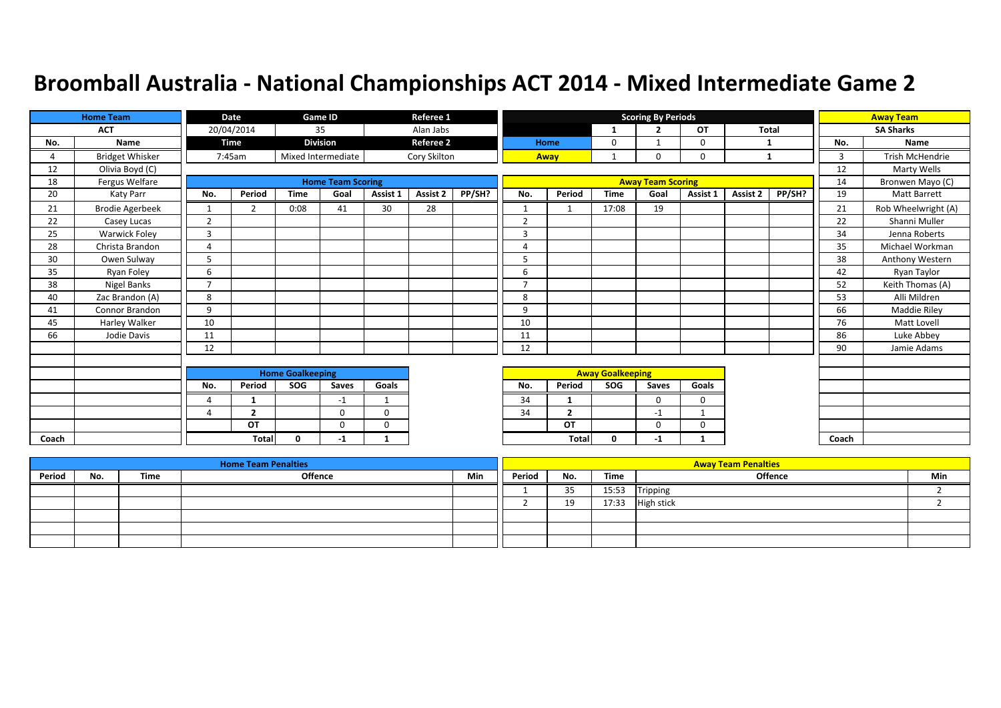|       | <b>Home Team</b>       |                | Date           |                         | Game ID                  |             | Referee 1        |        |                |                |                         | <b>Scoring By Periods</b> |             |          |              |       | <b>Away Team</b>    |
|-------|------------------------|----------------|----------------|-------------------------|--------------------------|-------------|------------------|--------|----------------|----------------|-------------------------|---------------------------|-------------|----------|--------------|-------|---------------------|
|       | <b>ACT</b>             |                | 20/04/2014     |                         | 35                       |             | Alan Jabs        |        |                |                | 1                       | $\overline{2}$            | <b>OT</b>   |          | <b>Total</b> |       | <b>SA Sharks</b>    |
| No.   | Name                   |                | Time           |                         | <b>Division</b>          |             | <b>Referee 2</b> |        |                | Home           | 0                       |                           | $\mathbf 0$ |          | 1            | No.   | Name                |
| 4     | <b>Bridget Whisker</b> |                | 7:45am         |                         | Mixed Intermediate       |             | Cory Skilton     |        |                | Away           |                         | $\Omega$                  | $\mathbf 0$ |          | 1            | 3     | Trish McHendrie     |
| 12    | Olivia Boyd (C)        |                |                |                         |                          |             |                  |        |                |                |                         |                           |             |          |              | 12    | Marty Wells         |
| 18    | Fergus Welfare         |                |                |                         | <b>Home Team Scoring</b> |             |                  |        |                |                |                         | <b>Away Team Scoring</b>  |             |          |              | 14    | Bronwen Mayo (C)    |
| 20    | Katy Parr              | No.            | Period         | <b>Time</b>             | Goal                     | Assist 1    | Assist 2         | PP/SH? | No.            | Period         | <b>Time</b>             | Goal                      | Assist 1    | Assist 2 | PP/SH?       | 19    | <b>Matt Barrett</b> |
| 21    | <b>Brodie Agerbeek</b> | 1              | $\overline{2}$ | 0:08                    | 41                       | 30          | 28               |        | $\mathbf{1}$   | $\mathbf 1$    | 17:08                   | 19                        |             |          |              | 21    | Rob Wheelwright (A) |
| 22    | Casey Lucas            | $\overline{2}$ |                |                         |                          |             |                  |        | $\overline{2}$ |                |                         |                           |             |          |              | 22    | Shanni Muller       |
| 25    | Warwick Foley          | 3              |                |                         |                          |             |                  |        | 3              |                |                         |                           |             |          |              | 34    | Jenna Roberts       |
| 28    | Christa Brandon        | 4              |                |                         |                          |             |                  |        | 4              |                |                         |                           |             |          |              | 35    | Michael Workman     |
| 30    | Owen Sulway            | 5              |                |                         |                          |             |                  |        | 5              |                |                         |                           |             |          |              | 38    | Anthony Western     |
| 35    | Ryan Foley             | 6              |                |                         |                          |             |                  |        | 6              |                |                         |                           |             |          |              | 42    | Ryan Taylor         |
| 38    | Nigel Banks            | $\overline{ }$ |                |                         |                          |             |                  |        | $\overline{ }$ |                |                         |                           |             |          |              | 52    | Keith Thomas (A)    |
| 40    | Zac Brandon (A)        | 8              |                |                         |                          |             |                  |        | 8              |                |                         |                           |             |          |              | 53    | Alli Mildren        |
| 41    | Connor Brandon         | 9              |                |                         |                          |             |                  |        | 9              |                |                         |                           |             |          |              | 66    | Maddie Riley        |
| 45    | Harley Walker          | 10             |                |                         |                          |             |                  |        | 10             |                |                         |                           |             |          |              | 76    | Matt Lovell         |
| 66    | Jodie Davis            | 11             |                |                         |                          |             |                  |        | 11             |                |                         |                           |             |          |              | 86    | Luke Abbey          |
|       |                        | 12             |                |                         |                          |             |                  |        | 12             |                |                         |                           |             |          |              | 90    | Jamie Adams         |
|       |                        |                |                |                         |                          |             |                  |        |                |                |                         |                           |             |          |              |       |                     |
|       |                        |                |                | <b>Home Goalkeeping</b> |                          |             |                  |        |                |                | <b>Away Goalkeeping</b> |                           |             |          |              |       |                     |
|       |                        | No.            | Period         | SOG                     | Saves                    | Goals       |                  |        | No.            | Period         | SOG                     | Saves                     | Goals       |          |              |       |                     |
|       |                        | 4              |                |                         | $-1$                     |             |                  |        | 34             |                |                         | $\mathbf 0$               | 0           |          |              |       |                     |
|       |                        | 4              | $\overline{2}$ |                         | $\Omega$                 | $\Omega$    |                  |        | 34             | $\overline{2}$ |                         | $-1$                      |             |          |              |       |                     |
|       |                        |                | OT             |                         | 0                        | $\mathbf 0$ |                  |        |                | OT             |                         | $\Omega$                  | 0           |          |              |       |                     |
| Coach |                        |                | Total          | $\Omega$                | -1                       | 1           |                  |        |                | <b>Total</b>   | 0                       | $-1$                      |             |          |              | Coach |                     |

|        |     |      | <b>Home Team Penalties</b> |     |        |     |       | <b>Away Team Penalties</b> |     |
|--------|-----|------|----------------------------|-----|--------|-----|-------|----------------------------|-----|
| Period | No. | Time | Offence                    | Min | Period | No. | Time  | Offence                    | Min |
|        |     |      |                            |     |        | 35  | 15:53 | Tripping                   |     |
|        |     |      |                            |     |        | 10  | 17:33 | <b>High stick</b>          |     |
|        |     |      |                            |     |        |     |       |                            |     |
|        |     |      |                            |     |        |     |       |                            |     |
|        |     |      |                            |     |        |     |       |                            |     |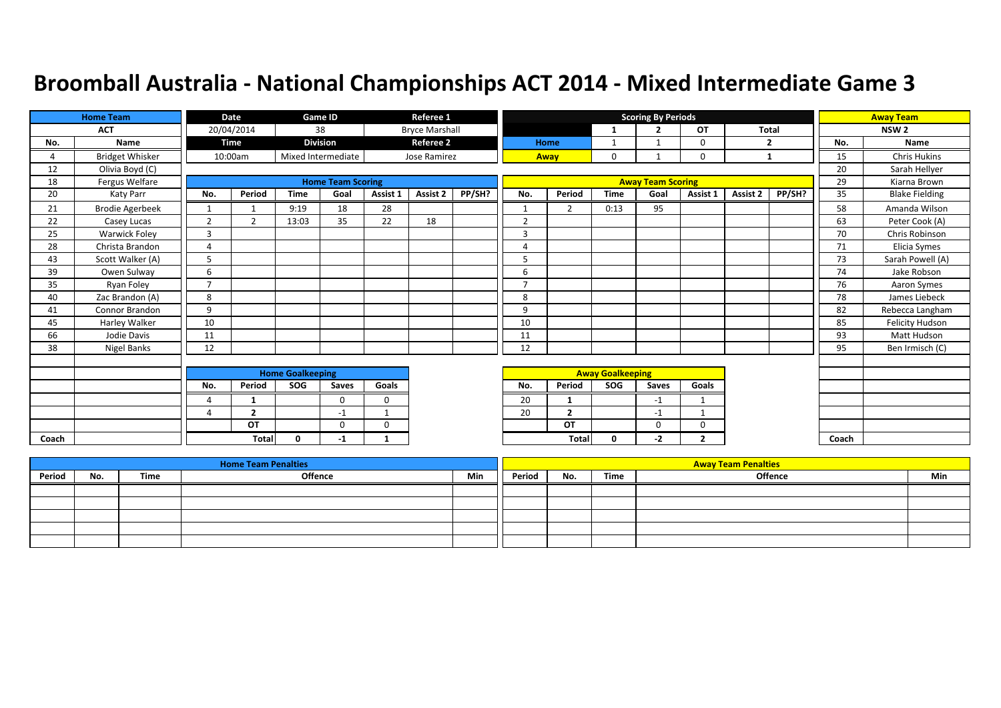|       | <b>Home Team</b>       | Date                     |                | <b>Game ID</b>          |                          | Referee 1   |                       |        |                          |                | <b>Scoring By Periods</b> |                          |                |              | <b>Away Team</b> |       |                       |
|-------|------------------------|--------------------------|----------------|-------------------------|--------------------------|-------------|-----------------------|--------|--------------------------|----------------|---------------------------|--------------------------|----------------|--------------|------------------|-------|-----------------------|
|       | <b>ACT</b>             |                          | 20/04/2014     |                         | 38                       |             | <b>Bryce Marshall</b> |        |                          |                | $\mathbf{1}$              | $\overline{2}$           | <b>OT</b>      | <b>Total</b> |                  |       | NSW <sub>2</sub>      |
| No.   | Name                   |                          | Time           |                         | <b>Division</b>          |             | <b>Referee 2</b>      |        |                          | Home           | 1                         |                          | 0              |              | $\overline{2}$   | No.   | Name                  |
| 4     | <b>Bridget Whisker</b> |                          | 10:00am        |                         | Mixed Intermediate       |             | Jose Ramirez          |        |                          | Away           | 0                         |                          | 0              |              | 1                | 15    | <b>Chris Hukins</b>   |
| 12    | Olivia Boyd (C)        |                          |                |                         |                          |             |                       |        |                          |                |                           |                          |                |              |                  | 20    | Sarah Hellyer         |
| 18    | Fergus Welfare         |                          |                |                         | <b>Home Team Scoring</b> |             |                       |        |                          |                |                           | <b>Away Team Scoring</b> |                |              |                  | 29    | Kiarna Brown          |
| 20    | Katy Parr              | No.                      | Period         | <b>Time</b>             | Goal                     | Assist 1    | Assist 2              | PP/SH? | No.                      | Period         | <b>Time</b>               | Goal                     | Assist 1       | Assist 2     | PP/SH?           | 35    | <b>Blake Fielding</b> |
| 21    | <b>Brodie Agerbeek</b> |                          |                | 9:19                    | 18                       | 28          |                       |        | $\mathbf{1}$             | $\overline{2}$ | 0:13                      | 95                       |                |              |                  | 58    | Amanda Wilson         |
| 22    | Casey Lucas            | $\overline{2}$           | 2              | 13:03                   | 35                       | 22          | 18                    |        | $\overline{2}$           |                |                           |                          |                |              |                  | 63    | Peter Cook (A)        |
| 25    | <b>Warwick Foley</b>   | 3                        |                |                         |                          |             |                       |        | 3                        |                |                           |                          |                |              |                  | 70    | Chris Robinson        |
| 28    | Christa Brandon        | $\overline{4}$           |                |                         |                          |             |                       |        | 4                        |                |                           |                          |                |              |                  | 71    | Elicia Symes          |
| 43    | Scott Walker (A)       | 5                        |                |                         |                          |             |                       |        | 5                        |                |                           |                          |                |              |                  | 73    | Sarah Powell (A)      |
| 39    | Owen Sulway            | 6                        |                |                         |                          |             |                       |        | 6                        |                |                           |                          |                |              |                  | 74    | Jake Robson           |
| 35    | Ryan Foley             | $\overline{\phantom{a}}$ |                |                         |                          |             |                       |        | $\overline{\phantom{a}}$ |                |                           |                          |                |              |                  | 76    | Aaron Symes           |
| 40    | Zac Brandon (A)        | 8                        |                |                         |                          |             |                       |        | 8                        |                |                           |                          |                |              |                  | 78    | James Liebeck         |
| 41    | Connor Brandon         | 9                        |                |                         |                          |             |                       |        | 9                        |                |                           |                          |                |              |                  | 82    | Rebecca Langham       |
| 45    | Harley Walker          | 10                       |                |                         |                          |             |                       |        | 10                       |                |                           |                          |                |              |                  | 85    | Felicity Hudson       |
| 66    | Jodie Davis            | 11                       |                |                         |                          |             |                       |        | 11                       |                |                           |                          |                |              |                  | 93    | <b>Matt Hudson</b>    |
| 38    | Nigel Banks            | 12                       |                |                         |                          |             |                       |        | 12                       |                |                           |                          |                |              |                  | 95    | Ben Irmisch (C)       |
|       |                        |                          |                |                         |                          |             |                       |        |                          |                |                           |                          |                |              |                  |       |                       |
|       |                        |                          |                | <b>Home Goalkeeping</b> |                          |             |                       |        |                          |                | <b>Away Goalkeeping</b>   |                          |                |              |                  |       |                       |
|       |                        | No.                      | Period         | SOG                     | Saves                    | Goals       |                       |        | No.                      | Period         | SOG                       | Saves                    | Goals          |              |                  |       |                       |
|       |                        | 4                        |                |                         | $\Omega$                 | $\Omega$    |                       |        | 20                       |                |                           | $-1$                     |                |              |                  |       |                       |
|       |                        | Δ                        | $\overline{2}$ |                         | -1                       | -1          |                       |        | 20                       | $\overline{2}$ |                           | $-1$                     |                |              |                  |       |                       |
|       |                        |                          | OT             |                         | $\Omega$                 | $\mathbf 0$ |                       |        |                          | OT             |                           | $\Omega$                 | $\Omega$       |              |                  |       |                       |
| Coach |                        |                          | <b>Total</b>   | $\mathbf{0}$            | $-1$                     | 1           |                       |        |                          | Total          | 0                         | $-2$                     | $\overline{2}$ |              |                  | Coach |                       |

|        |     |      | <b>Home Team Penalties</b> |     |        |     |      | <b>Away Team Penalties</b> |     |
|--------|-----|------|----------------------------|-----|--------|-----|------|----------------------------|-----|
| Period | No. | Time | Offence                    | Min | Period | No. | Time | <b>Offence</b>             | Min |
|        |     |      |                            |     |        |     |      |                            |     |
|        |     |      |                            |     |        |     |      |                            |     |
|        |     |      |                            |     |        |     |      |                            |     |
|        |     |      |                            |     |        |     |      |                            |     |
|        |     |      |                            |     |        |     |      |                            |     |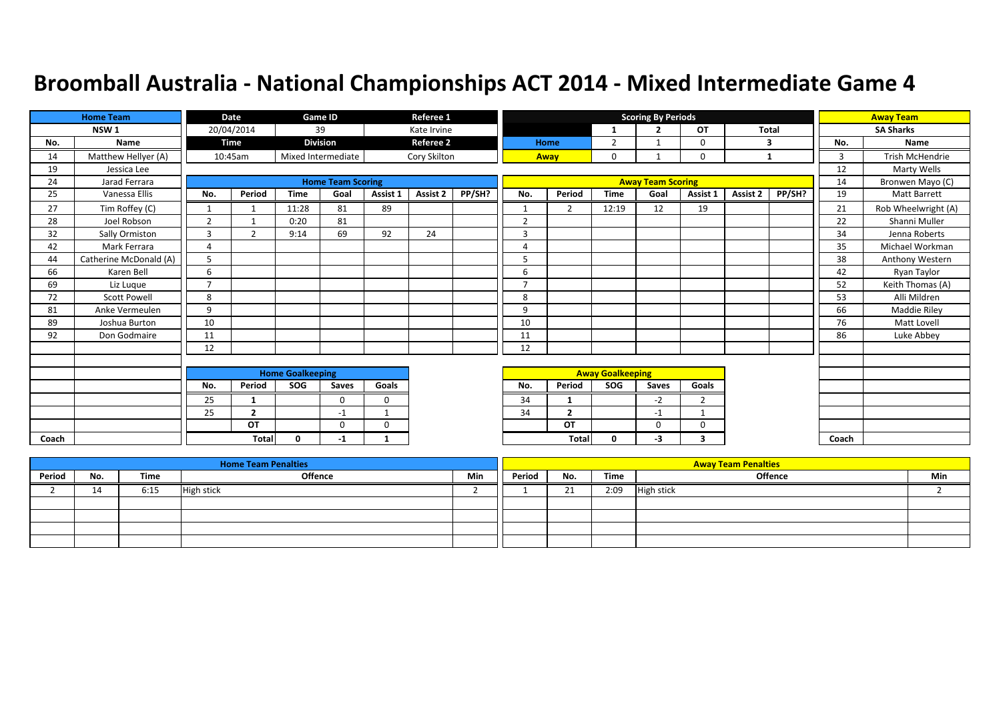|       | <b>Home Team</b><br>Date |                          |                |                         | Game ID                  |             | Referee 1        |        |                |                |                         | <b>Scoring By Periods</b> |                |          |        |       | <b>Away Team</b>       |
|-------|--------------------------|--------------------------|----------------|-------------------------|--------------------------|-------------|------------------|--------|----------------|----------------|-------------------------|---------------------------|----------------|----------|--------|-------|------------------------|
|       | NSW <sub>1</sub>         |                          | 20/04/2014     |                         | 39                       |             | Kate Irvine      |        |                |                | 1                       | $\overline{2}$            | OT             | Total    |        |       | <b>SA Sharks</b>       |
| No.   | Name                     |                          | Time           |                         | <b>Division</b>          |             | <b>Referee 2</b> |        |                | <b>Home</b>    | 2                       | $\mathbf{\overline{1}}$   | 0              |          | 3      | No.   | Name                   |
| 14    | Matthew Hellyer (A)      |                          | 10:45am        |                         | Mixed Intermediate       |             | Cory Skilton     |        |                | Away           | 0                       |                           | 0              | 1        |        | 3     | <b>Trish McHendrie</b> |
| 19    | Jessica Lee              |                          |                |                         |                          |             |                  |        |                |                |                         |                           |                |          |        | 12    | Marty Wells            |
| 24    | Jarad Ferrara            |                          |                |                         | <b>Home Team Scoring</b> |             |                  |        |                |                |                         | <b>Away Team Scoring</b>  |                |          |        | 14    | Bronwen Mayo (C)       |
| 25    | Vanessa Ellis            | No.                      | Period         | <b>Time</b>             | Goal                     | Assist 1    | Assist 2         | PP/SH? | No.            | Period         | <b>Time</b>             | Goal                      | Assist 1       | Assist 2 | PP/SH? | 19    | Matt Barrett           |
| 27    | Tim Roffey (C)           |                          |                | 11:28                   | 81                       | 89          |                  |        | $\mathbf{1}$   | $\overline{2}$ | 12:19                   | 12                        | 19             |          |        | 21    | Rob Wheelwright (A)    |
| 28    | Joel Robson              | $\overline{2}$           |                | 0:20                    | 81                       |             |                  |        | $\overline{2}$ |                |                         |                           |                |          |        | 22    | Shanni Muller          |
| 32    | Sally Ormiston           | $\overline{3}$           | 2              | 9:14                    | 69                       | 92          | 24               |        | $\overline{3}$ |                |                         |                           |                |          |        | 34    | Jenna Roberts          |
| 42    | Mark Ferrara             | $\overline{4}$           |                |                         |                          |             |                  |        | 4              |                |                         |                           |                |          |        | 35    | Michael Workman        |
| 44    | Catherine McDonald (A)   | 5                        |                |                         |                          |             |                  |        | 5              |                |                         |                           |                |          |        | 38    | Anthony Western        |
| 66    | Karen Bell               | 6                        |                |                         |                          |             |                  |        | 6              |                |                         |                           |                |          |        | 42    | Ryan Taylor            |
| 69    | Liz Luque                | $\overline{\phantom{a}}$ |                |                         |                          |             |                  |        | 7              |                |                         |                           |                |          |        | 52    | Keith Thomas (A)       |
| 72    | <b>Scott Powell</b>      | 8                        |                |                         |                          |             |                  |        | 8              |                |                         |                           |                |          |        | 53    | Alli Mildren           |
| 81    | Anke Vermeulen           | 9                        |                |                         |                          |             |                  |        | 9              |                |                         |                           |                |          |        | 66    | Maddie Riley           |
| 89    | Joshua Burton            | 10                       |                |                         |                          |             |                  |        | 10             |                |                         |                           |                |          |        | 76    | Matt Lovell            |
| 92    | Don Godmaire             | 11                       |                |                         |                          |             |                  |        | 11             |                |                         |                           |                |          |        | 86    | Luke Abbey             |
|       |                          | 12                       |                |                         |                          |             |                  |        | 12             |                |                         |                           |                |          |        |       |                        |
|       |                          |                          |                |                         |                          |             |                  |        |                |                |                         |                           |                |          |        |       |                        |
|       |                          |                          |                | <b>Home Goalkeeping</b> |                          |             |                  |        |                |                | <b>Away Goalkeeping</b> |                           |                |          |        |       |                        |
|       |                          | No.                      | Period         | SOG                     | Saves                    | Goals       |                  |        | No.            | Period         | <b>SOG</b>              | Saves                     | Goals          |          |        |       |                        |
|       |                          | 25                       | 1              |                         | $\Omega$                 | $\mathbf 0$ |                  |        | 34             | $\mathbf{1}$   |                         | $-2$                      | $\overline{2}$ |          |        |       |                        |
|       |                          | 25                       | $\overline{2}$ |                         | $-1$                     |             |                  |        | 34             | $\overline{2}$ |                         | $-1$                      |                |          |        |       |                        |
|       |                          |                          | OT             |                         | $\mathbf 0$              | $\mathbf 0$ |                  |        |                | OT             |                         | 0                         | 0              |          |        |       |                        |
| Coach |                          |                          | <b>Total</b>   | $\mathbf{0}$            | -1                       | 1           |                  |        |                | <b>Total</b>   | $\mathbf{0}$            | $-3$                      | 3              |          |        | Coach |                        |

|        |                 |      | <b>Home Team Penalties</b> |     |        |          |      | <b>Away Team Penalties</b> |     |
|--------|-----------------|------|----------------------------|-----|--------|----------|------|----------------------------|-----|
| Period | No.             | Time | <b>Offence</b>             | Min | Period | No.      | Time | <b>Offence</b>             | Min |
|        | 4n<br><u>д.</u> | 6:15 | High stick                 |     |        | 71<br>-4 | 2:09 | <b>High stick</b>          |     |
|        |                 |      |                            |     |        |          |      |                            |     |
|        |                 |      |                            |     |        |          |      |                            |     |
|        |                 |      |                            |     |        |          |      |                            |     |
|        |                 |      |                            |     |        |          |      |                            |     |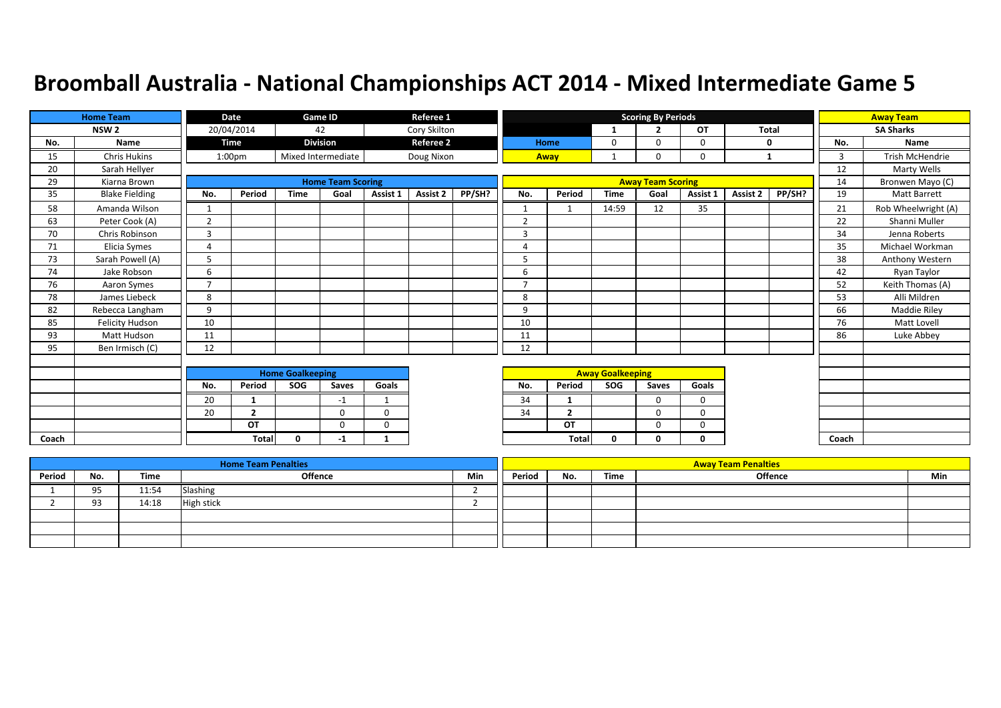|       | <b>Home Team</b>       |                | Date               |                         | Game ID                  |             | Referee 1        |        |                |                          |                         | <b>Scoring By Periods</b> |             |              |        |       | <b>Away Team</b>       |
|-------|------------------------|----------------|--------------------|-------------------------|--------------------------|-------------|------------------|--------|----------------|--------------------------|-------------------------|---------------------------|-------------|--------------|--------|-------|------------------------|
|       | NSW <sub>2</sub>       |                | 20/04/2014         |                         | 42                       |             | Cory Skilton     |        |                |                          | 1                       | $\overline{2}$            | <b>OT</b>   | <b>Total</b> |        |       | <b>SA Sharks</b>       |
| No.   | Name                   |                | Time               |                         | <b>Division</b>          |             | <b>Referee 2</b> |        |                | Home                     | 0                       | $\Omega$                  | $\mathbf 0$ | 0            |        | No.   | Name                   |
| 15    | <b>Chris Hukins</b>    |                | 1:00 <sub>pm</sub> |                         | Mixed Intermediate       |             | Doug Nixon       |        |                | Away                     |                         | $\Omega$                  | $\mathbf 0$ | $\mathbf{1}$ |        | 3     | <b>Trish McHendrie</b> |
| 20    | Sarah Hellyer          |                |                    |                         |                          |             |                  |        |                |                          |                         |                           |             |              |        | 12    | Marty Wells            |
| 29    | Kiarna Brown           |                |                    |                         | <b>Home Team Scoring</b> |             |                  |        |                |                          |                         | <b>Away Team Scoring</b>  |             |              |        | 14    | Bronwen Mayo (C)       |
| 35    | <b>Blake Fielding</b>  | No.            | Period             | <b>Time</b>             | Goal                     | Assist 1    | Assist 2         | PP/SH? | No.            | Period                   | <b>Time</b>             | Goal                      | Assist 1    | Assist 2     | PP/SH? | 19    | Matt Barrett           |
| 58    | Amanda Wilson          | 1              |                    |                         |                          |             |                  |        | $\mathbf 1$    |                          | 14:59                   | 12                        | 35          |              |        | 21    | Rob Wheelwright (A)    |
| 63    | Peter Cook (A)         | $\overline{2}$ |                    |                         |                          |             |                  |        | $\overline{2}$ |                          |                         |                           |             |              |        | 22    | Shanni Muller          |
| 70    | Chris Robinson         | 3              |                    |                         |                          |             |                  |        | 3              |                          |                         |                           |             |              |        | 34    | Jenna Roberts          |
| 71    | Elicia Symes           | $\overline{4}$ |                    |                         |                          |             |                  |        | 4              |                          |                         |                           |             |              |        | 35    | Michael Workman        |
| 73    | Sarah Powell (A)       | 5              |                    |                         |                          |             |                  |        | 5              |                          |                         |                           |             |              |        | 38    | Anthony Western        |
| 74    | Jake Robson            | 6              |                    |                         |                          |             |                  |        | 6              |                          |                         |                           |             |              |        | 42    | Ryan Taylor            |
| 76    | Aaron Symes            | $\overline{ }$ |                    |                         |                          |             |                  |        | $\overline{ }$ |                          |                         |                           |             |              |        | 52    | Keith Thomas (A)       |
| 78    | James Liebeck          | 8              |                    |                         |                          |             |                  |        | 8              |                          |                         |                           |             |              |        | 53    | Alli Mildren           |
| 82    | Rebecca Langham        | 9              |                    |                         |                          |             |                  |        | 9              |                          |                         |                           |             |              |        | 66    | Maddie Riley           |
| 85    | <b>Felicity Hudson</b> | 10             |                    |                         |                          |             |                  |        | 10             |                          |                         |                           |             |              |        | 76    | Matt Lovell            |
| 93    | Matt Hudson            | 11             |                    |                         |                          |             |                  |        | 11             |                          |                         |                           |             |              |        | 86    | Luke Abbey             |
| 95    | Ben Irmisch (C)        | 12             |                    |                         |                          |             |                  |        | 12             |                          |                         |                           |             |              |        |       |                        |
|       |                        |                |                    |                         |                          |             |                  |        |                |                          |                         |                           |             |              |        |       |                        |
|       |                        |                |                    | <b>Home Goalkeeping</b> |                          |             |                  |        |                |                          | <b>Away Goalkeeping</b> |                           |             |              |        |       |                        |
|       |                        | No.            | Period             | SOG                     | Saves                    | Goals       |                  |        | No.            | Period                   | <b>SOG</b>              | Saves                     | Goals       |              |        |       |                        |
|       |                        | 20             | 1                  |                         | -1                       | -1          |                  |        | 34             |                          |                         | $\Omega$                  | $\Omega$    |              |        |       |                        |
|       |                        | 20             | $\overline{2}$     |                         | $\Omega$                 | $\mathbf 0$ |                  |        | 34             | $\overline{\phantom{a}}$ |                         | $\Omega$                  | $\mathbf 0$ |              |        |       |                        |
|       |                        |                | OT                 |                         | $\Omega$                 | $\Omega$    |                  |        |                | OT                       |                         | $\Omega$                  | $\mathbf 0$ |              |        |       |                        |
| Coach |                        |                | <b>Total</b>       | 0                       | -1                       | 1           |                  |        |                | <b>Total</b>             | 0                       | 0                         | $\mathbf 0$ |              |        | Coach |                        |

|        |            |       | <b>Home Team Penalties</b> |     |        |     |      | <b>Away Team Penalties</b> |     |
|--------|------------|-------|----------------------------|-----|--------|-----|------|----------------------------|-----|
| Period | No.        | Time  | <b>Offence</b>             | Min | Period | No. | Time | <b>Offence</b>             | Min |
|        | 95         | 11:54 | Slashing                   |     |        |     |      |                            |     |
|        | 93.<br>ر ر | 14:18 | <b>High stick</b>          |     |        |     |      |                            |     |
|        |            |       |                            |     |        |     |      |                            |     |
|        |            |       |                            |     |        |     |      |                            |     |
|        |            |       |                            |     |        |     |      |                            |     |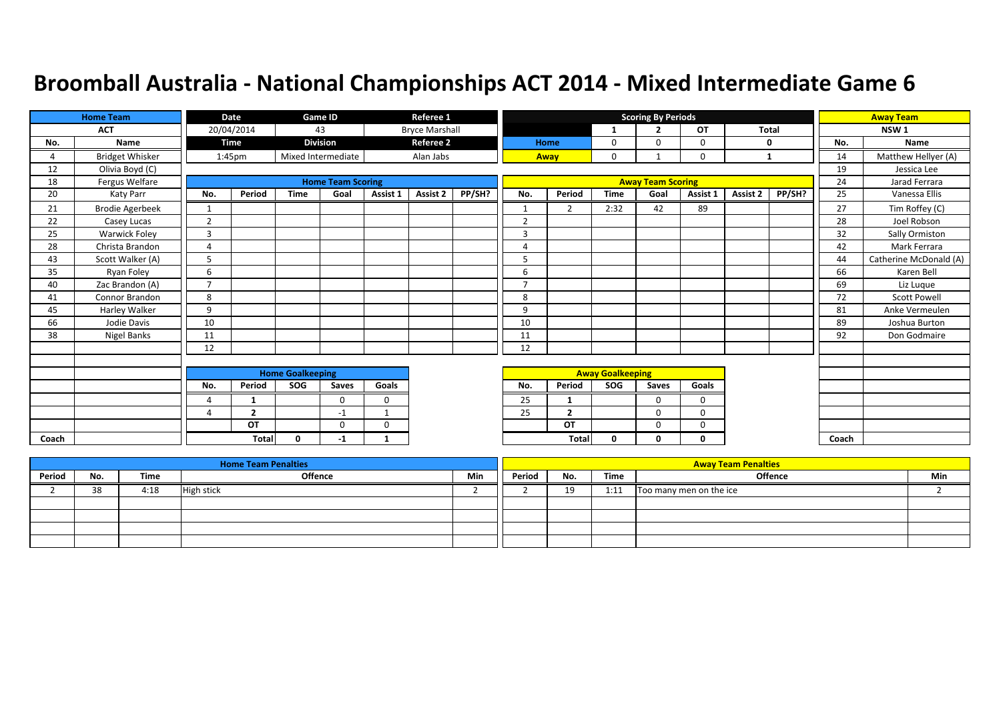|       | <b>Home Team</b>       |                | Date               |                         | Game ID                  |             | Referee 1             |        |                |                |                         | <b>Scoring By Periods</b> |             |              |        |       | <b>Away Team</b>       |
|-------|------------------------|----------------|--------------------|-------------------------|--------------------------|-------------|-----------------------|--------|----------------|----------------|-------------------------|---------------------------|-------------|--------------|--------|-------|------------------------|
|       | <b>ACT</b>             |                | 20/04/2014         |                         | 43                       |             | <b>Bryce Marshall</b> |        |                |                | 1                       | $\overline{\phantom{a}}$  | OT          | <b>Total</b> |        |       | NSW <sub>1</sub>       |
| No.   | Name                   |                | Time               |                         | <b>Division</b>          |             | <b>Referee 2</b>      |        |                | Home           | 0                       | $\Omega$                  | 0           | 0            |        | No.   | Name                   |
| 4     | <b>Bridget Whisker</b> |                | 1:45 <sub>pm</sub> |                         | Mixed Intermediate       |             | Alan Jabs             |        |                | Away           | 0                       |                           | 0           | 1            |        | 14    | Matthew Hellyer (A)    |
| 12    | Olivia Boyd (C)        |                |                    |                         |                          |             |                       |        |                |                |                         |                           |             |              |        | 19    | Jessica Lee            |
| 18    | Fergus Welfare         |                |                    |                         | <b>Home Team Scoring</b> |             |                       |        |                |                |                         | <b>Away Team Scoring</b>  |             |              |        | 24    | Jarad Ferrara          |
| 20    | Katy Parr              | No.            | Period             | <b>Time</b>             | Goal                     | Assist 1    | Assist 2              | PP/SH? | No.            | Period         | <b>Time</b>             | Goal                      | Assist 1    | Assist 2     | PP/SH? | 25    | Vanessa Ellis          |
| 21    | <b>Brodie Agerbeek</b> | 1              |                    |                         |                          |             |                       |        | $\mathbf{1}$   | $\overline{2}$ | 2:32                    | 42                        | 89          |              |        | 27    | Tim Roffey (C)         |
| 22    | Casey Lucas            | 2              |                    |                         |                          |             |                       |        | $\overline{2}$ |                |                         |                           |             |              |        | 28    | Joel Robson            |
| 25    | Warwick Foley          | $\overline{3}$ |                    |                         |                          |             |                       |        | 3              |                |                         |                           |             |              |        | 32    | Sally Ormiston         |
| 28    | Christa Brandon        | 4              |                    |                         |                          |             |                       |        | 4              |                |                         |                           |             |              |        | 42    | Mark Ferrara           |
| 43    | Scott Walker (A)       | 5              |                    |                         |                          |             |                       |        | 5              |                |                         |                           |             |              |        | 44    | Catherine McDonald (A) |
| 35    | Ryan Foley             | 6              |                    |                         |                          |             |                       |        | 6              |                |                         |                           |             |              |        | 66    | Karen Bell             |
| 40    | Zac Brandon (A)        | $\overline{7}$ |                    |                         |                          |             |                       |        | $\overline{7}$ |                |                         |                           |             |              |        | 69    | Liz Luque              |
| 41    | Connor Brandon         | 8              |                    |                         |                          |             |                       |        | 8              |                |                         |                           |             |              |        | 72    | <b>Scott Powell</b>    |
| 45    | Harley Walker          | 9              |                    |                         |                          |             |                       |        | 9              |                |                         |                           |             |              |        | 81    | Anke Vermeulen         |
| 66    | Jodie Davis            | 10             |                    |                         |                          |             |                       |        | 10             |                |                         |                           |             |              |        | 89    | Joshua Burton          |
| 38    | Nigel Banks            | 11             |                    |                         |                          |             |                       |        | 11             |                |                         |                           |             |              |        | 92    | Don Godmaire           |
|       |                        | 12             |                    |                         |                          |             |                       |        | 12             |                |                         |                           |             |              |        |       |                        |
|       |                        |                |                    |                         |                          |             |                       |        |                |                |                         |                           |             |              |        |       |                        |
|       |                        |                |                    | <b>Home Goalkeeping</b> |                          |             |                       |        |                |                | <b>Away Goalkeeping</b> |                           |             |              |        |       |                        |
|       |                        | No.            | Period             | SOG                     | Saves                    | Goals       |                       |        | No.            | Period         | SOG                     | Saves                     | Goals       |              |        |       |                        |
|       |                        | $\overline{4}$ | -1                 |                         | $\Omega$                 | $\mathbf 0$ |                       |        | 25             |                |                         | $\Omega$                  | $\mathbf 0$ |              |        |       |                        |
|       |                        | Δ              | $\overline{2}$     |                         | $-1$                     |             |                       |        | 25             | $\overline{2}$ |                         | $\Omega$                  | $\Omega$    |              |        |       |                        |
|       |                        |                | OT                 |                         | $\mathbf 0$              | $\mathbf 0$ |                       |        |                | OT             |                         | $\Omega$                  | $\mathbf 0$ |              |        |       |                        |
| Coach |                        |                | <b>Total</b>       | $\Omega$                | -1                       | 1           |                       |        |                | Total          | 0                       | 0                         | 0           |              |        | Coach |                        |

|        |     |      | <b>Home Team Penalties</b> |     | <b>Away Team Penalties</b> |     |      |                         |     |  |  |  |  |  |
|--------|-----|------|----------------------------|-----|----------------------------|-----|------|-------------------------|-----|--|--|--|--|--|
| Period | No. | Time | <b>Offence</b>             | Min | Period                     | No. | Time | Offence                 | Min |  |  |  |  |  |
|        | 38  | 4:18 | <b>High stick</b>          |     |                            | 19  | 1:11 | Too many men on the ice |     |  |  |  |  |  |
|        |     |      |                            |     |                            |     |      |                         |     |  |  |  |  |  |
|        |     |      |                            |     |                            |     |      |                         |     |  |  |  |  |  |
|        |     |      |                            |     |                            |     |      |                         |     |  |  |  |  |  |
|        |     |      |                            |     |                            |     |      |                         |     |  |  |  |  |  |